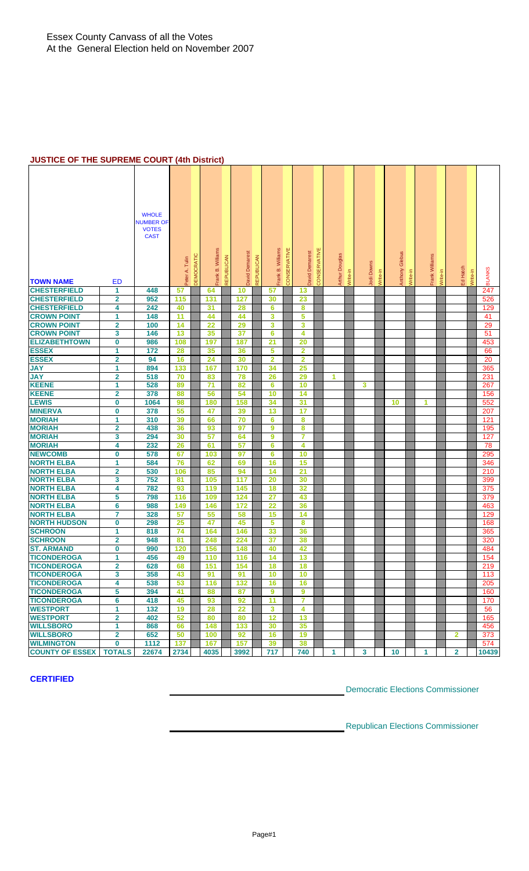#### **JUSTICE OF THE SUPREME COURT (4th District)**

| <b>TOWN NAME</b>                         | <b>ED</b>                    | <b>WHOLE</b><br><b>NUMBER OF</b><br><b>VOTES</b><br><b>CAST</b> | DEMOCRATIC<br>Peter A. Tulin | Frank B. Williams | REPUBLICAN | David Demarest | REPUBLICAN | Frank B. Williams       | CONSERVATIVE | David Demarest          | CONSERVATIVE | <b>Arthur Douglas</b> | Write-in | Jodi Downs | Write-in | Glebus<br>Anthony | Write-in | Frank Williams | Write-in | Ed Hatch       | Write-in | <b>BLANKS</b> |
|------------------------------------------|------------------------------|-----------------------------------------------------------------|------------------------------|-------------------|------------|----------------|------------|-------------------------|--------------|-------------------------|--------------|-----------------------|----------|------------|----------|-------------------|----------|----------------|----------|----------------|----------|---------------|
| <b>CHESTERFIELD</b>                      | 1                            | 448                                                             | 57                           | 64                |            | 10             |            | 57                      |              | 13                      |              |                       |          |            |          |                   |          |                |          |                |          | 247           |
| <b>CHESTERFIELD</b>                      | 2                            | 952                                                             | 115                          | 131               |            | 127            |            | 30                      |              | 23                      |              |                       |          |            |          |                   |          |                |          |                |          | 526           |
| <b>CHESTERFIELD</b>                      | 4                            | 242                                                             | 40                           | 31                |            | 28             |            | $6\phantom{1}6$         |              | 8                       |              |                       |          |            |          |                   |          |                |          |                |          | 129           |
| <b>CROWN POINT</b>                       | 1                            | 148                                                             | 11                           | 44                |            | 44             |            | 3                       |              | 5                       |              |                       |          |            |          |                   |          |                |          |                |          | 41            |
| <b>CROWN POINT</b>                       | 2                            | 100                                                             | 14                           | 22                |            | 29             |            | 3                       |              | 3                       |              |                       |          |            |          |                   |          |                |          |                |          | 29            |
| <b>CROWN POINT</b>                       | 3                            | 146                                                             | 13                           | 35                |            | 37             |            | $6\phantom{1}6$         |              | 4                       |              |                       |          |            |          |                   |          |                |          |                |          | 51            |
| <b>ELIZABETHTOWN</b>                     | $\mathbf 0$                  | 986                                                             | 108                          | 197               |            | 187            |            | 21                      |              | 20                      |              |                       |          |            |          |                   |          |                |          |                |          | 453           |
| <b>ESSEX</b>                             | 1                            | 172                                                             | 28                           | 35                |            | 36             |            | 5                       |              | $\overline{\mathbf{2}}$ |              |                       |          |            |          |                   |          |                |          |                |          | 66            |
| <b>ESSEX</b>                             | 2                            | 94                                                              | 16                           | 24                |            | 30             |            | $\overline{\mathbf{2}}$ |              | $\overline{\mathbf{2}}$ |              |                       |          |            |          |                   |          |                |          |                |          | 20            |
| <b>JAY</b>                               | 1                            | 894                                                             | 133                          | 167               |            | 170            |            | 34                      |              | 25                      |              |                       |          |            |          |                   |          |                |          |                |          | 365           |
| <b>JAY</b>                               | 2                            | 518                                                             | 70                           | 83                |            | 78             |            | 26                      |              | 29                      |              | 1                     |          |            |          |                   |          |                |          |                |          | 231           |
| <b>KEENE</b>                             | 1                            | 528                                                             | 89                           | 71                |            | 82             |            | $6\phantom{1}6$         |              | 10                      |              |                       |          | 3          |          |                   |          |                |          |                |          | 267           |
| <b>KEENE</b>                             | $\overline{\mathbf{2}}$      | 378                                                             | 88                           | 56                |            | 54             |            | 10                      |              | 14                      |              |                       |          |            |          |                   |          |                |          |                |          | 156           |
| <b>LEWIS</b>                             | $\bf{0}$                     | 1064                                                            | 98                           | 180               |            | 158            |            | 34                      |              | 31                      |              |                       |          |            |          | 10                |          | 1              |          |                |          | 552           |
| <b>MINERVA</b>                           | 0                            | 378                                                             | 55                           | 47                |            | 39             |            | 13                      |              | 17                      |              |                       |          |            |          |                   |          |                |          |                |          | 207           |
| <b>MORIAH</b>                            | 1                            | 310                                                             | 39                           | 66                |            | 70             |            | $6\phantom{1}6$         |              | 8                       |              |                       |          |            |          |                   |          |                |          |                |          | 121           |
| <b>MORIAH</b>                            | 2                            | 438                                                             | 36                           | 93                |            | 97             |            | 9                       |              | 8                       |              |                       |          |            |          |                   |          |                |          |                |          | 195           |
| <b>MORIAH</b>                            | 3                            | 294                                                             | 30                           | 57                |            | 64             |            | 9                       |              | 7                       |              |                       |          |            |          |                   |          |                |          |                |          | 127           |
| <b>MORIAH</b>                            | 4                            | 232                                                             | 26                           | 61                |            | 57             |            | $6\phantom{1}6$         |              | 4                       |              |                       |          |            |          |                   |          |                |          |                |          | 78            |
| <b>NEWCOMB</b>                           | 0                            | 578                                                             | 67                           | 103               |            | 97             |            | $6\phantom{1}6$         |              | 10                      |              |                       |          |            |          |                   |          |                |          |                |          | 295           |
| <b>NORTH ELBA</b>                        | 1                            | 584                                                             | 76                           | 62                |            | 69             |            | 16                      |              | 15                      |              |                       |          |            |          |                   |          |                |          |                |          | 346           |
| <b>NORTH ELBA</b>                        | $\overline{\mathbf{2}}$      | 530                                                             | 106                          | 85                |            | 94             |            | 14                      |              | 21                      |              |                       |          |            |          |                   |          |                |          |                |          | 210           |
| <b>NORTH ELBA</b>                        | 3                            | 752                                                             | 81                           | 105               |            | 117            |            | 20                      |              | 30                      |              |                       |          |            |          |                   |          |                |          |                |          | 399           |
| <b>NORTH ELBA</b>                        | 4                            | 782                                                             | 93                           | 119               |            | 145            |            | 18                      |              | 32                      |              |                       |          |            |          |                   |          |                |          |                |          | 375           |
| <b>NORTH ELBA</b>                        | 5                            | 798                                                             | 116                          | 109               |            | 124            |            | 27                      |              | 43                      |              |                       |          |            |          |                   |          |                |          |                |          | 379           |
| <b>NORTH ELBA</b>                        | 6                            | 988                                                             | 149                          | 146               |            | 172            |            | 22                      |              | 36                      |              |                       |          |            |          |                   |          |                |          |                |          | 463           |
| <b>NORTH ELBA</b>                        | 7                            | 328                                                             | 57                           | 55                |            | 58             |            | 15                      |              | 14                      |              |                       |          |            |          |                   |          |                |          |                |          | 129           |
| <b>NORTH HUDSON</b>                      | $\bf{0}$                     | 298                                                             | 25                           | 47                |            | 45             |            | 5                       |              | 8                       |              |                       |          |            |          |                   |          |                |          |                |          | 168           |
| <b>SCHROON</b>                           | 1                            | 818                                                             | 74                           | 164               |            | 146            |            | 33                      |              | 36                      |              |                       |          |            |          |                   |          |                |          |                |          | 365           |
| <b>SCHROON</b><br><b>ST. ARMAND</b>      | $\overline{\mathbf{2}}$      | 948                                                             | 81                           | 248               |            | 224            |            | 37                      |              | 38                      |              |                       |          |            |          |                   |          |                |          |                |          | 320           |
|                                          | 0                            | 990                                                             | 120                          | 156               |            | 148            |            | 40                      |              | 42                      |              |                       |          |            |          |                   |          |                |          |                |          | 484           |
| <b>TICONDEROGA</b><br><b>TICONDEROGA</b> | 1<br>$\overline{\mathbf{2}}$ | 456<br>628                                                      | 49                           | 110<br>151        |            | 116<br>154     |            | 14                      |              | 13                      |              |                       |          |            |          |                   |          |                |          |                |          | 154<br>219    |
| <b>TICONDEROGA</b>                       | 3                            | 358                                                             | 68<br>43                     | 91                |            | 91             |            | 18<br>10                |              | 18<br>10                |              |                       |          |            |          |                   |          |                |          |                |          | 113           |
| <b>TICONDEROGA</b>                       | 4                            | 538                                                             | 53                           | 116               |            | 132            |            | 16                      |              | 16                      |              |                       |          |            |          |                   |          |                |          |                |          | 205           |
| <b>TICONDEROGA</b>                       | 5                            | 394                                                             | 41                           | 88                |            | 87             |            | 9                       |              | 9                       |              |                       |          |            |          |                   |          |                |          |                |          | 160           |
| <b>TICONDEROGA</b>                       | 6                            | 418                                                             | 45                           | 93                |            | 92             |            | 11                      |              | $\overline{7}$          |              |                       |          |            |          |                   |          |                |          |                |          | 170           |
| <b>WESTPORT</b>                          | 1                            | 132                                                             | 19                           | 28                |            | 22             |            | 3                       |              | 4                       |              |                       |          |            |          |                   |          |                |          |                |          | 56            |
| <b>WESTPORT</b>                          | $\overline{\mathbf{2}}$      | 402                                                             | 52                           | 80                |            | 80             |            | 12                      |              | 13                      |              |                       |          |            |          |                   |          |                |          |                |          | 165           |
| <b>WILLSBORO</b>                         | $\mathbf{1}$                 | 868                                                             | 66                           | 148               |            | 133            |            | 30                      |              | 35                      |              |                       |          |            |          |                   |          |                |          |                |          | 456           |
| <b>WILLSBORO</b>                         | 2                            | 652                                                             | 50                           | 100               |            | 92             |            | 16                      |              | 19                      |              |                       |          |            |          |                   |          |                |          | 2              |          | 373           |
| <b>WILMINGTON</b>                        | $\bf{0}$                     | 1112                                                            | 137                          | 167               |            | 157            |            | 39                      |              | 38                      |              |                       |          |            |          |                   |          |                |          |                |          | 574           |
| <b>COUNTY OF ESSEX</b>                   | <b>TOTALS</b>                | 22674                                                           | 2734                         | 4035              |            | 3992           |            | 717                     |              | 740                     |              | 1                     |          | 3          |          | 10 <sub>1</sub>   |          | 1              |          | $\overline{2}$ |          | 10439         |

#### **CERTIFIED**

Democratic Elections Commissioner

Republican Elections Commissioner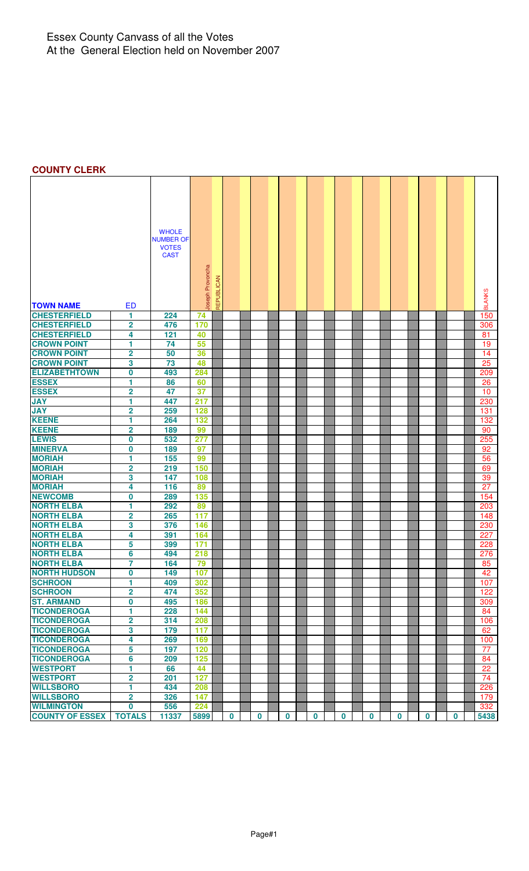#### Essex County Canvass of all the Votes At the General Election held on November 2007

# **COUNTY CLERK**

| <b>WHOLE</b><br><b>NUMBER OF</b><br><b>VOTES</b><br><b>CAST</b><br>oseph Provoncha<br>REPUBLICAN<br><b>BLANKS</b><br><b>TOWN NAME</b><br><b>ED</b><br><b>CHESTERFIELD</b><br>224<br>150<br>1.<br>74<br><b>CHESTERFIELD</b><br>$\overline{\mathbf{2}}$<br>476<br>170<br>306<br><b>CHESTERFIELD</b><br>121<br>4<br>40<br>81<br><b>CROWN POINT</b><br>1<br>74<br>55<br>19<br><b>CROWN POINT</b><br>2<br>50<br>36<br>14<br><b>CROWN POINT</b><br>3<br>25<br>73<br>48<br><b>ELIZABETHTOWN</b><br>0<br>493<br>284<br>209<br><b>ESSEX</b><br>1<br>26<br>86<br>60<br><b>ESSEX</b><br>$\overline{\mathbf{2}}$<br>47<br>37<br>10<br>1<br><b>JAY</b><br>447<br>217<br>230<br>$\overline{\mathbf{2}}$<br><b>JAY</b><br>259<br>128<br>131<br><b>KEENE</b><br>1<br>264<br>132<br>132<br><b>KEENE</b><br>$\overline{\mathbf{2}}$<br>189<br>99<br>90<br><b>LEWIS</b><br>532<br>255<br>0<br>277<br><b>MINERVA</b><br>0<br>189<br>97<br>92<br><b>MORIAH</b><br>1<br>155<br>56<br>99<br><b>MORIAH</b><br>$\overline{\mathbf{2}}$<br>219<br>150<br>69<br><b>MORIAH</b><br>3<br>147<br>108<br>39<br><b>MORIAH</b><br>4<br>116<br>89<br>27<br>0<br>135<br>154<br>289<br>1<br>292<br>89<br>203<br>$\overline{2}$<br>265<br>117<br>148<br>3<br>376<br>146<br>230<br>4<br>391<br>164<br>227<br>5<br>399<br>171<br>228<br>6<br>494<br>218<br>276<br>$\overline{7}$<br><b>NORTH ELBA</b><br>164<br>79<br>85<br>0<br>149<br>107<br>42<br><b>SCHROON</b><br>1<br>409<br>302<br>107<br><b>SCHROON</b><br>$\overline{\mathbf{2}}$<br>352<br>474<br>122<br><b>ST. ARMAND</b><br>0<br>495<br>186<br>309<br><b>TICONDEROGA</b><br>228<br>1<br>144<br>84<br>$\overline{\mathbf{2}}$<br><b>TICONDEROGA</b><br>314<br>208<br>106<br>3<br><b>TICONDEROGA</b><br>179<br>117<br>62<br><b>TICONDEROGA</b><br>4<br>269<br>169<br>100<br><b>TICONDEROGA</b><br>5<br>197<br>120<br>77<br><b>TICONDEROGA</b><br>6<br>125<br>209<br>84<br><b>WESTPORT</b><br>1<br>66<br>44<br>22<br><b>WESTPORT</b><br>$\overline{\mathbf{2}}$<br>201<br>127<br>74<br><b>WILLSBORO</b><br>1<br>434<br>208<br>226<br><b>WILLSBORO</b><br>$\overline{\mathbf{2}}$<br>326<br>147<br>179<br><b>WILMINGTON</b><br>556<br>224<br>0<br>332 |                        |               |       |      |          |             |          |             |             |             |          |          |          |      |
|-----------------------------------------------------------------------------------------------------------------------------------------------------------------------------------------------------------------------------------------------------------------------------------------------------------------------------------------------------------------------------------------------------------------------------------------------------------------------------------------------------------------------------------------------------------------------------------------------------------------------------------------------------------------------------------------------------------------------------------------------------------------------------------------------------------------------------------------------------------------------------------------------------------------------------------------------------------------------------------------------------------------------------------------------------------------------------------------------------------------------------------------------------------------------------------------------------------------------------------------------------------------------------------------------------------------------------------------------------------------------------------------------------------------------------------------------------------------------------------------------------------------------------------------------------------------------------------------------------------------------------------------------------------------------------------------------------------------------------------------------------------------------------------------------------------------------------------------------------------------------------------------------------------------------------------------------------------------------------------------------------------------------------------------------------------------------------------------------------------------------------------------------------------------------|------------------------|---------------|-------|------|----------|-------------|----------|-------------|-------------|-------------|----------|----------|----------|------|
|                                                                                                                                                                                                                                                                                                                                                                                                                                                                                                                                                                                                                                                                                                                                                                                                                                                                                                                                                                                                                                                                                                                                                                                                                                                                                                                                                                                                                                                                                                                                                                                                                                                                                                                                                                                                                                                                                                                                                                                                                                                                                                                                                                       |                        |               |       |      |          |             |          |             |             |             |          |          |          |      |
|                                                                                                                                                                                                                                                                                                                                                                                                                                                                                                                                                                                                                                                                                                                                                                                                                                                                                                                                                                                                                                                                                                                                                                                                                                                                                                                                                                                                                                                                                                                                                                                                                                                                                                                                                                                                                                                                                                                                                                                                                                                                                                                                                                       |                        |               |       |      |          |             |          |             |             |             |          |          |          |      |
|                                                                                                                                                                                                                                                                                                                                                                                                                                                                                                                                                                                                                                                                                                                                                                                                                                                                                                                                                                                                                                                                                                                                                                                                                                                                                                                                                                                                                                                                                                                                                                                                                                                                                                                                                                                                                                                                                                                                                                                                                                                                                                                                                                       |                        |               |       |      |          |             |          |             |             |             |          |          |          |      |
|                                                                                                                                                                                                                                                                                                                                                                                                                                                                                                                                                                                                                                                                                                                                                                                                                                                                                                                                                                                                                                                                                                                                                                                                                                                                                                                                                                                                                                                                                                                                                                                                                                                                                                                                                                                                                                                                                                                                                                                                                                                                                                                                                                       |                        |               |       |      |          |             |          |             |             |             |          |          |          |      |
|                                                                                                                                                                                                                                                                                                                                                                                                                                                                                                                                                                                                                                                                                                                                                                                                                                                                                                                                                                                                                                                                                                                                                                                                                                                                                                                                                                                                                                                                                                                                                                                                                                                                                                                                                                                                                                                                                                                                                                                                                                                                                                                                                                       |                        |               |       |      |          |             |          |             |             |             |          |          |          |      |
|                                                                                                                                                                                                                                                                                                                                                                                                                                                                                                                                                                                                                                                                                                                                                                                                                                                                                                                                                                                                                                                                                                                                                                                                                                                                                                                                                                                                                                                                                                                                                                                                                                                                                                                                                                                                                                                                                                                                                                                                                                                                                                                                                                       |                        |               |       |      |          |             |          |             |             |             |          |          |          |      |
|                                                                                                                                                                                                                                                                                                                                                                                                                                                                                                                                                                                                                                                                                                                                                                                                                                                                                                                                                                                                                                                                                                                                                                                                                                                                                                                                                                                                                                                                                                                                                                                                                                                                                                                                                                                                                                                                                                                                                                                                                                                                                                                                                                       |                        |               |       |      |          |             |          |             |             |             |          |          |          |      |
|                                                                                                                                                                                                                                                                                                                                                                                                                                                                                                                                                                                                                                                                                                                                                                                                                                                                                                                                                                                                                                                                                                                                                                                                                                                                                                                                                                                                                                                                                                                                                                                                                                                                                                                                                                                                                                                                                                                                                                                                                                                                                                                                                                       |                        |               |       |      |          |             |          |             |             |             |          |          |          |      |
|                                                                                                                                                                                                                                                                                                                                                                                                                                                                                                                                                                                                                                                                                                                                                                                                                                                                                                                                                                                                                                                                                                                                                                                                                                                                                                                                                                                                                                                                                                                                                                                                                                                                                                                                                                                                                                                                                                                                                                                                                                                                                                                                                                       |                        |               |       |      |          |             |          |             |             |             |          |          |          |      |
|                                                                                                                                                                                                                                                                                                                                                                                                                                                                                                                                                                                                                                                                                                                                                                                                                                                                                                                                                                                                                                                                                                                                                                                                                                                                                                                                                                                                                                                                                                                                                                                                                                                                                                                                                                                                                                                                                                                                                                                                                                                                                                                                                                       |                        |               |       |      |          |             |          |             |             |             |          |          |          |      |
|                                                                                                                                                                                                                                                                                                                                                                                                                                                                                                                                                                                                                                                                                                                                                                                                                                                                                                                                                                                                                                                                                                                                                                                                                                                                                                                                                                                                                                                                                                                                                                                                                                                                                                                                                                                                                                                                                                                                                                                                                                                                                                                                                                       |                        |               |       |      |          |             |          |             |             |             |          |          |          |      |
|                                                                                                                                                                                                                                                                                                                                                                                                                                                                                                                                                                                                                                                                                                                                                                                                                                                                                                                                                                                                                                                                                                                                                                                                                                                                                                                                                                                                                                                                                                                                                                                                                                                                                                                                                                                                                                                                                                                                                                                                                                                                                                                                                                       |                        |               |       |      |          |             |          |             |             |             |          |          |          |      |
|                                                                                                                                                                                                                                                                                                                                                                                                                                                                                                                                                                                                                                                                                                                                                                                                                                                                                                                                                                                                                                                                                                                                                                                                                                                                                                                                                                                                                                                                                                                                                                                                                                                                                                                                                                                                                                                                                                                                                                                                                                                                                                                                                                       |                        |               |       |      |          |             |          |             |             |             |          |          |          |      |
|                                                                                                                                                                                                                                                                                                                                                                                                                                                                                                                                                                                                                                                                                                                                                                                                                                                                                                                                                                                                                                                                                                                                                                                                                                                                                                                                                                                                                                                                                                                                                                                                                                                                                                                                                                                                                                                                                                                                                                                                                                                                                                                                                                       |                        |               |       |      |          |             |          |             |             |             |          |          |          |      |
|                                                                                                                                                                                                                                                                                                                                                                                                                                                                                                                                                                                                                                                                                                                                                                                                                                                                                                                                                                                                                                                                                                                                                                                                                                                                                                                                                                                                                                                                                                                                                                                                                                                                                                                                                                                                                                                                                                                                                                                                                                                                                                                                                                       |                        |               |       |      |          |             |          |             |             |             |          |          |          |      |
|                                                                                                                                                                                                                                                                                                                                                                                                                                                                                                                                                                                                                                                                                                                                                                                                                                                                                                                                                                                                                                                                                                                                                                                                                                                                                                                                                                                                                                                                                                                                                                                                                                                                                                                                                                                                                                                                                                                                                                                                                                                                                                                                                                       |                        |               |       |      |          |             |          |             |             |             |          |          |          |      |
|                                                                                                                                                                                                                                                                                                                                                                                                                                                                                                                                                                                                                                                                                                                                                                                                                                                                                                                                                                                                                                                                                                                                                                                                                                                                                                                                                                                                                                                                                                                                                                                                                                                                                                                                                                                                                                                                                                                                                                                                                                                                                                                                                                       |                        |               |       |      |          |             |          |             |             |             |          |          |          |      |
|                                                                                                                                                                                                                                                                                                                                                                                                                                                                                                                                                                                                                                                                                                                                                                                                                                                                                                                                                                                                                                                                                                                                                                                                                                                                                                                                                                                                                                                                                                                                                                                                                                                                                                                                                                                                                                                                                                                                                                                                                                                                                                                                                                       |                        |               |       |      |          |             |          |             |             |             |          |          |          |      |
|                                                                                                                                                                                                                                                                                                                                                                                                                                                                                                                                                                                                                                                                                                                                                                                                                                                                                                                                                                                                                                                                                                                                                                                                                                                                                                                                                                                                                                                                                                                                                                                                                                                                                                                                                                                                                                                                                                                                                                                                                                                                                                                                                                       |                        |               |       |      |          |             |          |             |             |             |          |          |          |      |
|                                                                                                                                                                                                                                                                                                                                                                                                                                                                                                                                                                                                                                                                                                                                                                                                                                                                                                                                                                                                                                                                                                                                                                                                                                                                                                                                                                                                                                                                                                                                                                                                                                                                                                                                                                                                                                                                                                                                                                                                                                                                                                                                                                       |                        |               |       |      |          |             |          |             |             |             |          |          |          |      |
|                                                                                                                                                                                                                                                                                                                                                                                                                                                                                                                                                                                                                                                                                                                                                                                                                                                                                                                                                                                                                                                                                                                                                                                                                                                                                                                                                                                                                                                                                                                                                                                                                                                                                                                                                                                                                                                                                                                                                                                                                                                                                                                                                                       |                        |               |       |      |          |             |          |             |             |             |          |          |          |      |
|                                                                                                                                                                                                                                                                                                                                                                                                                                                                                                                                                                                                                                                                                                                                                                                                                                                                                                                                                                                                                                                                                                                                                                                                                                                                                                                                                                                                                                                                                                                                                                                                                                                                                                                                                                                                                                                                                                                                                                                                                                                                                                                                                                       |                        |               |       |      |          |             |          |             |             |             |          |          |          |      |
|                                                                                                                                                                                                                                                                                                                                                                                                                                                                                                                                                                                                                                                                                                                                                                                                                                                                                                                                                                                                                                                                                                                                                                                                                                                                                                                                                                                                                                                                                                                                                                                                                                                                                                                                                                                                                                                                                                                                                                                                                                                                                                                                                                       |                        |               |       |      |          |             |          |             |             |             |          |          |          |      |
|                                                                                                                                                                                                                                                                                                                                                                                                                                                                                                                                                                                                                                                                                                                                                                                                                                                                                                                                                                                                                                                                                                                                                                                                                                                                                                                                                                                                                                                                                                                                                                                                                                                                                                                                                                                                                                                                                                                                                                                                                                                                                                                                                                       |                        |               |       |      |          |             |          |             |             |             |          |          |          |      |
|                                                                                                                                                                                                                                                                                                                                                                                                                                                                                                                                                                                                                                                                                                                                                                                                                                                                                                                                                                                                                                                                                                                                                                                                                                                                                                                                                                                                                                                                                                                                                                                                                                                                                                                                                                                                                                                                                                                                                                                                                                                                                                                                                                       |                        |               |       |      |          |             |          |             |             |             |          |          |          |      |
|                                                                                                                                                                                                                                                                                                                                                                                                                                                                                                                                                                                                                                                                                                                                                                                                                                                                                                                                                                                                                                                                                                                                                                                                                                                                                                                                                                                                                                                                                                                                                                                                                                                                                                                                                                                                                                                                                                                                                                                                                                                                                                                                                                       |                        |               |       |      |          |             |          |             |             |             |          |          |          |      |
|                                                                                                                                                                                                                                                                                                                                                                                                                                                                                                                                                                                                                                                                                                                                                                                                                                                                                                                                                                                                                                                                                                                                                                                                                                                                                                                                                                                                                                                                                                                                                                                                                                                                                                                                                                                                                                                                                                                                                                                                                                                                                                                                                                       |                        |               |       |      |          |             |          |             |             |             |          |          |          |      |
|                                                                                                                                                                                                                                                                                                                                                                                                                                                                                                                                                                                                                                                                                                                                                                                                                                                                                                                                                                                                                                                                                                                                                                                                                                                                                                                                                                                                                                                                                                                                                                                                                                                                                                                                                                                                                                                                                                                                                                                                                                                                                                                                                                       |                        |               |       |      |          |             |          |             |             |             |          |          |          |      |
|                                                                                                                                                                                                                                                                                                                                                                                                                                                                                                                                                                                                                                                                                                                                                                                                                                                                                                                                                                                                                                                                                                                                                                                                                                                                                                                                                                                                                                                                                                                                                                                                                                                                                                                                                                                                                                                                                                                                                                                                                                                                                                                                                                       |                        |               |       |      |          |             |          |             |             |             |          |          |          |      |
|                                                                                                                                                                                                                                                                                                                                                                                                                                                                                                                                                                                                                                                                                                                                                                                                                                                                                                                                                                                                                                                                                                                                                                                                                                                                                                                                                                                                                                                                                                                                                                                                                                                                                                                                                                                                                                                                                                                                                                                                                                                                                                                                                                       |                        |               |       |      |          |             |          |             |             |             |          |          |          |      |
|                                                                                                                                                                                                                                                                                                                                                                                                                                                                                                                                                                                                                                                                                                                                                                                                                                                                                                                                                                                                                                                                                                                                                                                                                                                                                                                                                                                                                                                                                                                                                                                                                                                                                                                                                                                                                                                                                                                                                                                                                                                                                                                                                                       | <b>NEWCOMB</b>         |               |       |      |          |             |          |             |             |             |          |          |          |      |
|                                                                                                                                                                                                                                                                                                                                                                                                                                                                                                                                                                                                                                                                                                                                                                                                                                                                                                                                                                                                                                                                                                                                                                                                                                                                                                                                                                                                                                                                                                                                                                                                                                                                                                                                                                                                                                                                                                                                                                                                                                                                                                                                                                       | <b>NORTH ELBA</b>      |               |       |      |          |             |          |             |             |             |          |          |          |      |
|                                                                                                                                                                                                                                                                                                                                                                                                                                                                                                                                                                                                                                                                                                                                                                                                                                                                                                                                                                                                                                                                                                                                                                                                                                                                                                                                                                                                                                                                                                                                                                                                                                                                                                                                                                                                                                                                                                                                                                                                                                                                                                                                                                       | <b>NORTH ELBA</b>      |               |       |      |          |             |          |             |             |             |          |          |          |      |
|                                                                                                                                                                                                                                                                                                                                                                                                                                                                                                                                                                                                                                                                                                                                                                                                                                                                                                                                                                                                                                                                                                                                                                                                                                                                                                                                                                                                                                                                                                                                                                                                                                                                                                                                                                                                                                                                                                                                                                                                                                                                                                                                                                       | <b>NORTH ELBA</b>      |               |       |      |          |             |          |             |             |             |          |          |          |      |
|                                                                                                                                                                                                                                                                                                                                                                                                                                                                                                                                                                                                                                                                                                                                                                                                                                                                                                                                                                                                                                                                                                                                                                                                                                                                                                                                                                                                                                                                                                                                                                                                                                                                                                                                                                                                                                                                                                                                                                                                                                                                                                                                                                       | <b>NORTH ELBA</b>      |               |       |      |          |             |          |             |             |             |          |          |          |      |
|                                                                                                                                                                                                                                                                                                                                                                                                                                                                                                                                                                                                                                                                                                                                                                                                                                                                                                                                                                                                                                                                                                                                                                                                                                                                                                                                                                                                                                                                                                                                                                                                                                                                                                                                                                                                                                                                                                                                                                                                                                                                                                                                                                       | <b>NORTH ELBA</b>      |               |       |      |          |             |          |             |             |             |          |          |          |      |
|                                                                                                                                                                                                                                                                                                                                                                                                                                                                                                                                                                                                                                                                                                                                                                                                                                                                                                                                                                                                                                                                                                                                                                                                                                                                                                                                                                                                                                                                                                                                                                                                                                                                                                                                                                                                                                                                                                                                                                                                                                                                                                                                                                       | <b>NORTH ELBA</b>      |               |       |      |          |             |          |             |             |             |          |          |          |      |
|                                                                                                                                                                                                                                                                                                                                                                                                                                                                                                                                                                                                                                                                                                                                                                                                                                                                                                                                                                                                                                                                                                                                                                                                                                                                                                                                                                                                                                                                                                                                                                                                                                                                                                                                                                                                                                                                                                                                                                                                                                                                                                                                                                       |                        |               |       |      |          |             |          |             |             |             |          |          |          |      |
|                                                                                                                                                                                                                                                                                                                                                                                                                                                                                                                                                                                                                                                                                                                                                                                                                                                                                                                                                                                                                                                                                                                                                                                                                                                                                                                                                                                                                                                                                                                                                                                                                                                                                                                                                                                                                                                                                                                                                                                                                                                                                                                                                                       | <b>NORTH HUDSON</b>    |               |       |      |          |             |          |             |             |             |          |          |          |      |
|                                                                                                                                                                                                                                                                                                                                                                                                                                                                                                                                                                                                                                                                                                                                                                                                                                                                                                                                                                                                                                                                                                                                                                                                                                                                                                                                                                                                                                                                                                                                                                                                                                                                                                                                                                                                                                                                                                                                                                                                                                                                                                                                                                       |                        |               |       |      |          |             |          |             |             |             |          |          |          |      |
|                                                                                                                                                                                                                                                                                                                                                                                                                                                                                                                                                                                                                                                                                                                                                                                                                                                                                                                                                                                                                                                                                                                                                                                                                                                                                                                                                                                                                                                                                                                                                                                                                                                                                                                                                                                                                                                                                                                                                                                                                                                                                                                                                                       |                        |               |       |      |          |             |          |             |             |             |          |          |          |      |
|                                                                                                                                                                                                                                                                                                                                                                                                                                                                                                                                                                                                                                                                                                                                                                                                                                                                                                                                                                                                                                                                                                                                                                                                                                                                                                                                                                                                                                                                                                                                                                                                                                                                                                                                                                                                                                                                                                                                                                                                                                                                                                                                                                       |                        |               |       |      |          |             |          |             |             |             |          |          |          |      |
|                                                                                                                                                                                                                                                                                                                                                                                                                                                                                                                                                                                                                                                                                                                                                                                                                                                                                                                                                                                                                                                                                                                                                                                                                                                                                                                                                                                                                                                                                                                                                                                                                                                                                                                                                                                                                                                                                                                                                                                                                                                                                                                                                                       |                        |               |       |      |          |             |          |             |             |             |          |          |          |      |
|                                                                                                                                                                                                                                                                                                                                                                                                                                                                                                                                                                                                                                                                                                                                                                                                                                                                                                                                                                                                                                                                                                                                                                                                                                                                                                                                                                                                                                                                                                                                                                                                                                                                                                                                                                                                                                                                                                                                                                                                                                                                                                                                                                       |                        |               |       |      |          |             |          |             |             |             |          |          |          |      |
|                                                                                                                                                                                                                                                                                                                                                                                                                                                                                                                                                                                                                                                                                                                                                                                                                                                                                                                                                                                                                                                                                                                                                                                                                                                                                                                                                                                                                                                                                                                                                                                                                                                                                                                                                                                                                                                                                                                                                                                                                                                                                                                                                                       |                        |               |       |      |          |             |          |             |             |             |          |          |          |      |
|                                                                                                                                                                                                                                                                                                                                                                                                                                                                                                                                                                                                                                                                                                                                                                                                                                                                                                                                                                                                                                                                                                                                                                                                                                                                                                                                                                                                                                                                                                                                                                                                                                                                                                                                                                                                                                                                                                                                                                                                                                                                                                                                                                       |                        |               |       |      |          |             |          |             |             |             |          |          |          |      |
|                                                                                                                                                                                                                                                                                                                                                                                                                                                                                                                                                                                                                                                                                                                                                                                                                                                                                                                                                                                                                                                                                                                                                                                                                                                                                                                                                                                                                                                                                                                                                                                                                                                                                                                                                                                                                                                                                                                                                                                                                                                                                                                                                                       |                        |               |       |      |          |             |          |             |             |             |          |          |          |      |
|                                                                                                                                                                                                                                                                                                                                                                                                                                                                                                                                                                                                                                                                                                                                                                                                                                                                                                                                                                                                                                                                                                                                                                                                                                                                                                                                                                                                                                                                                                                                                                                                                                                                                                                                                                                                                                                                                                                                                                                                                                                                                                                                                                       |                        |               |       |      |          |             |          |             |             |             |          |          |          |      |
|                                                                                                                                                                                                                                                                                                                                                                                                                                                                                                                                                                                                                                                                                                                                                                                                                                                                                                                                                                                                                                                                                                                                                                                                                                                                                                                                                                                                                                                                                                                                                                                                                                                                                                                                                                                                                                                                                                                                                                                                                                                                                                                                                                       |                        |               |       |      |          |             |          |             |             |             |          |          |          |      |
|                                                                                                                                                                                                                                                                                                                                                                                                                                                                                                                                                                                                                                                                                                                                                                                                                                                                                                                                                                                                                                                                                                                                                                                                                                                                                                                                                                                                                                                                                                                                                                                                                                                                                                                                                                                                                                                                                                                                                                                                                                                                                                                                                                       |                        |               |       |      |          |             |          |             |             |             |          |          |          |      |
|                                                                                                                                                                                                                                                                                                                                                                                                                                                                                                                                                                                                                                                                                                                                                                                                                                                                                                                                                                                                                                                                                                                                                                                                                                                                                                                                                                                                                                                                                                                                                                                                                                                                                                                                                                                                                                                                                                                                                                                                                                                                                                                                                                       |                        |               |       |      |          |             |          |             |             |             |          |          |          |      |
|                                                                                                                                                                                                                                                                                                                                                                                                                                                                                                                                                                                                                                                                                                                                                                                                                                                                                                                                                                                                                                                                                                                                                                                                                                                                                                                                                                                                                                                                                                                                                                                                                                                                                                                                                                                                                                                                                                                                                                                                                                                                                                                                                                       |                        |               |       |      |          |             |          |             |             |             |          |          |          |      |
|                                                                                                                                                                                                                                                                                                                                                                                                                                                                                                                                                                                                                                                                                                                                                                                                                                                                                                                                                                                                                                                                                                                                                                                                                                                                                                                                                                                                                                                                                                                                                                                                                                                                                                                                                                                                                                                                                                                                                                                                                                                                                                                                                                       | <b>COUNTY OF ESSEX</b> | <b>TOTALS</b> | 11337 | 5899 | $\bf{0}$ | $\mathbf 0$ | $\bf{0}$ | $\mathbf 0$ | $\mathbf 0$ | $\mathbf 0$ | $\bf{0}$ | $\bf{0}$ | $\bf{0}$ | 5438 |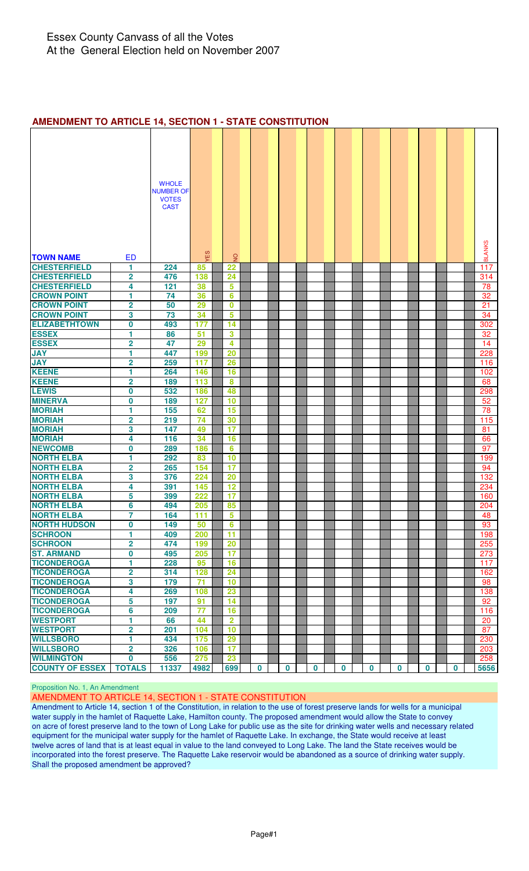#### **AMENDMENT TO ARTICLE 14, SECTION 1 - STATE CONSTITUTION**

|                                            |                              | <b>WHOLE</b>                     |                 |                 |          |             |          |          |          |          |   |   |               |
|--------------------------------------------|------------------------------|----------------------------------|-----------------|-----------------|----------|-------------|----------|----------|----------|----------|---|---|---------------|
|                                            |                              | <b>NUMBER OF</b><br><b>VOTES</b> |                 |                 |          |             |          |          |          |          |   |   |               |
|                                            |                              | <b>CAST</b>                      |                 |                 |          |             |          |          |          |          |   |   |               |
|                                            |                              |                                  |                 |                 |          |             |          |          |          |          |   |   |               |
|                                            |                              |                                  |                 |                 |          |             |          |          |          |          |   |   |               |
|                                            |                              |                                  | YES             |                 |          |             |          |          |          |          |   |   | <b>BLANKS</b> |
| <b>TOWN NAME</b>                           | <b>ED</b>                    |                                  |                 | $\overline{2}$  |          |             |          |          |          |          |   |   |               |
| <b>CHESTERFIELD</b><br><b>CHESTERFIELD</b> | 1<br>$\overline{\mathbf{2}}$ | 224<br>476                       | 85<br>138       | 22<br>24        |          |             |          |          |          |          |   |   | 117<br>314    |
| <b>CHESTERFIELD</b>                        | 4                            | 121                              | 38              | 5               |          |             |          |          |          |          |   |   | 78            |
| <b>CROWN POINT</b>                         | 1                            | 74                               | 36              | 6               |          |             |          |          |          |          |   |   | 32            |
| <b>CROWN POINT</b>                         | $\overline{\mathbf{2}}$      | 50                               | 29              | 0               |          |             |          |          |          |          |   |   | 21            |
| <b>CROWN POINT</b>                         | 3                            | 73                               | 34              | 5               |          |             |          |          |          |          |   |   | 34            |
| <b>ELIZABETHTOWN</b>                       | $\overline{\mathbf{0}}$      | 493                              | 177             | 14              |          |             |          |          |          |          |   |   | 302           |
| <b>ESSEX</b>                               | 1                            | 86                               | 51              | 3               |          |             |          |          |          |          |   |   | 32            |
| <b>ESSEX</b>                               | $\overline{\mathbf{2}}$      | 47                               | 29              | 4               |          |             |          |          |          |          |   |   | 14            |
| <b>JAY</b>                                 | 1                            | 447                              | 199             | 20              |          |             |          |          |          |          |   |   | 228           |
| <b>JAY</b>                                 | 2                            | 259                              | 117             | 26              |          |             |          |          |          |          |   |   | 116           |
| <b>KEENE</b>                               | 1                            | 264                              | 146             | 16              |          |             |          |          |          |          |   |   | 102           |
| <b>KEENE</b>                               | $\overline{\mathbf{2}}$      | 189                              | 113             | 8               |          |             |          |          |          |          |   |   | 68            |
| <b>LEWIS</b>                               | 0                            | 532                              | 186             | 48              |          |             |          |          |          |          |   |   | 298           |
| <b>MINERVA</b>                             | 0                            | 189                              | 127             | 10              |          |             |          |          |          |          |   |   | 52            |
| <b>MORIAH</b>                              | 1                            | 155                              | 62              | 15              |          |             |          |          |          |          |   |   | 78            |
| <b>MORIAH</b>                              | $\overline{\mathbf{2}}$      | 219                              | 74              | 30              |          |             |          |          |          |          |   |   | 115           |
| <b>MORIAH</b>                              | 3                            | 147                              | 49              | 17              |          |             |          |          |          |          |   |   | 81            |
| <b>MORIAH</b>                              | 4                            | 116                              | 34              | 16              |          |             |          |          |          |          |   |   | 66            |
| <b>NEWCOMB</b>                             | 0                            | 289                              | 186             | 6               |          |             |          |          |          |          |   |   | 97            |
| <b>NORTH ELBA</b>                          | 1                            | 292                              | 83              | 10              |          |             |          |          |          |          |   |   | 199           |
| <b>NORTH ELBA</b>                          | 2                            | 265                              | 154             | 17              |          |             |          |          |          |          |   |   | 94            |
| <b>NORTH ELBA</b>                          | 3                            | 376                              | 224             | 20              |          |             |          |          |          |          |   |   | 132           |
| <b>NORTH ELBA</b>                          | 4                            | 391                              | 145             | 12              |          |             |          |          |          |          |   |   | 234           |
| <b>NORTH ELBA</b>                          | 5                            | 399                              | 222             | 17              |          |             |          |          |          |          |   |   | 160           |
| <b>NORTH ELBA</b>                          | 6                            | 494                              | 205             | 85              |          |             |          |          |          |          |   |   | 204           |
| <b>NORTH ELBA</b>                          | 7                            | 164                              | 111             | $5\overline{)}$ |          |             |          |          |          |          |   |   | 48            |
| <b>NORTH HUDSON</b>                        | 0                            | 149                              | 50              | 6               |          |             |          |          |          |          |   |   | 93            |
| <b>SCHROON</b>                             | 1.                           | 409                              | 200             | 11              |          |             |          |          |          |          |   |   | 198           |
| <b>SCHROON</b>                             | $\overline{\mathbf{2}}$      | 474<br>495                       | 199             | 20<br>17        |          |             |          |          |          |          |   |   | 255           |
| <b>ST. ARMAND</b><br><b>TICONDEROGA</b>    | 0<br>1                       | 228                              | 205<br>95       | 16              |          |             |          |          |          |          |   |   | 273<br>117    |
| <b>TICONDEROGA</b>                         | $\overline{\mathbf{2}}$      | 314                              | 128             | 24              |          |             |          |          |          |          |   |   | 162           |
| <b>TICONDEROGA</b>                         | 3                            | 179                              | $\overline{71}$ | 10              |          |             |          |          |          |          |   |   | 98            |
| <b>TICONDEROGA</b>                         | 4                            | 269                              | 108             | 23              |          |             |          |          |          |          |   |   | 138           |
| <b>TICONDEROGA</b>                         | 5                            | 197                              | 91              | 14              |          |             |          |          |          |          |   |   | 92            |
| <b>TICONDEROGA</b>                         | 6                            | 209                              | $\overline{77}$ | 16              |          |             |          |          |          |          |   |   | 116           |
| <b>WESTPORT</b>                            | 1                            | 66                               | 44              | $\overline{2}$  |          |             |          |          |          |          |   |   | 20            |
| <b>WESTPORT</b>                            | $\overline{\mathbf{2}}$      | 201                              | 104             | 10              |          |             |          |          |          |          |   |   | 87            |
| <b>WILLSBORO</b>                           | 1                            | 434                              | 175             | 29              |          |             |          |          |          |          |   |   | 230           |
| <b>WILLSBORO</b>                           | $\overline{\mathbf{2}}$      | 326                              | 106             | 17              |          |             |          |          |          |          |   |   | 203           |
| <b>WILMINGTON</b>                          | $\bf{0}$                     | 556                              | 275             | 23              |          |             |          |          |          |          |   |   | 258           |
| <b>COUNTY OF ESSEX</b>                     | <b>TOTALS</b>                | 11337                            | 4982            | 699             | $\bf{0}$ | $\mathbf 0$ | $\bf{0}$ | $\bf{0}$ | $\bf{0}$ | $\bf{0}$ | 0 | 0 | 5656          |

#### Proposition No. 1, An Amendment

#### AMENDMENT TO ARTICLE 14, SECTION 1 - STATE CONSTITUTION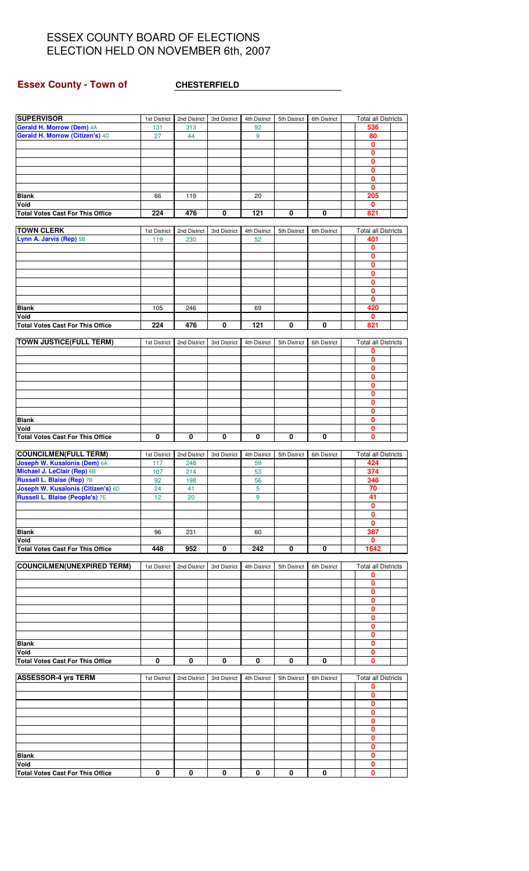# **Essex County - Town of CHESTERFIELD**

| 536<br>Gerald H. Morrow (Citizen's) 4D<br>80<br>44<br>27<br>9<br>0<br>0<br>0<br>0<br>0<br>0<br>205<br><b>Blank</b><br>119<br>20<br>66<br>Void<br>0<br>476<br>121<br>0<br>821<br>224<br>0<br>0<br><b>Total Votes Cast For This Office</b><br><b>TOWN CLERK</b><br><b>Total all Districts</b><br>2nd District<br>1st District<br>3rd District<br>4th District<br>5th District<br>6th District<br>Lynn A. Jarvis (Rep) 5B<br>401<br>119<br>230<br>52<br>0<br>$\mathbf{0}$<br>0<br>0<br>$\mathbf{0}$<br>0<br>0<br>420<br><b>Blank</b><br>105<br>246<br>69<br>Void<br>0<br>224<br>0<br>0<br><b>Total Votes Cast For This Office</b><br>476<br>121<br>0<br>821<br><b>TOWN JUSTICE(FULL TERM)</b><br><b>Total all Districts</b><br>1st District<br>2nd District<br>3rd District<br>4th District<br>5th District<br>6th District<br>0<br>0<br>0<br>0<br>0<br>0<br>0<br>$\mathbf{0}$<br><b>Blank</b><br>0<br>0<br>Void<br>$\overline{\mathbf{0}}$<br>$\overline{\mathbf{0}}$<br>$\overline{\mathbf{0}}$<br>0<br>0<br>0<br>0<br><b>Total Votes Cast For This Office</b><br><b>COUNCILMEN(FULL TERM)</b><br><b>Total all Districts</b><br>1st District<br>2nd District<br>3rd District<br>4th District<br>5th District<br>6th District<br>424<br>Joseph W. Kusalonis (Dem) 6A<br>117<br>248<br>59<br>Michael J. LeClair (Rep) 6B<br>214<br>374<br>107<br>53<br><b>Russell L. Blaise (Rep) 7B</b><br>346<br>92<br>198<br>56<br>Joseph W. Kusalonis (Citizen's) 6D<br>5<br>70<br>24<br>41<br><b>Russell L. Blaise (People's) 7E</b><br>41<br>12<br>20<br>9<br>0<br>0<br>0<br>387<br><b>Blank</b><br>96<br>231<br>60<br>Void<br>0<br><b>Total Votes Cast For This Office</b><br>0<br>448<br>952<br>0<br>242<br>0<br>1642<br><b>COUNCILMEN(UNEXPIRED TERM)</b><br><b>Total all Districts</b><br>4th District<br>6th District<br>1st District<br>2nd District<br>3rd District<br>5th District<br>0<br>0<br>0<br>0<br>0<br>0<br>0<br>0<br>0<br><b>Blank</b><br>Void<br>0<br><b>Total Votes Cast For This Office</b><br>0<br>0<br>0<br>0<br>0<br>0<br>0<br><b>ASSESSOR-4 yrs TERM</b><br><b>Total all Districts</b><br>2nd District<br>3rd District<br>4th District<br>5th District<br>6th District<br>1st District<br>0<br>0<br>0<br>0<br>0<br>0<br>0<br>0<br>0<br><b>Blank</b><br>Void<br>0<br><b>Total Votes Cast For This Office</b><br>0<br>0<br>0<br>0<br>0<br>0<br>0 | <b>SUPERVISOR</b>         | 1st District | 2nd District | 3rd District | 4th District | 5th District | 6th District | <b>Total all Districts</b> |  |
|-----------------------------------------------------------------------------------------------------------------------------------------------------------------------------------------------------------------------------------------------------------------------------------------------------------------------------------------------------------------------------------------------------------------------------------------------------------------------------------------------------------------------------------------------------------------------------------------------------------------------------------------------------------------------------------------------------------------------------------------------------------------------------------------------------------------------------------------------------------------------------------------------------------------------------------------------------------------------------------------------------------------------------------------------------------------------------------------------------------------------------------------------------------------------------------------------------------------------------------------------------------------------------------------------------------------------------------------------------------------------------------------------------------------------------------------------------------------------------------------------------------------------------------------------------------------------------------------------------------------------------------------------------------------------------------------------------------------------------------------------------------------------------------------------------------------------------------------------------------------------------------------------------------------------------------------------------------------------------------------------------------------------------------------------------------------------------------------------------------------------------------------------------------------------------------------------------------------------------------------------------------------------------------------------------------------------------------------------------------|---------------------------|--------------|--------------|--------------|--------------|--------------|--------------|----------------------------|--|
|                                                                                                                                                                                                                                                                                                                                                                                                                                                                                                                                                                                                                                                                                                                                                                                                                                                                                                                                                                                                                                                                                                                                                                                                                                                                                                                                                                                                                                                                                                                                                                                                                                                                                                                                                                                                                                                                                                                                                                                                                                                                                                                                                                                                                                                                                                                                                           | Gerald H. Morrow (Dem) 4A | 131          | 313          |              | 92           |              |              |                            |  |
|                                                                                                                                                                                                                                                                                                                                                                                                                                                                                                                                                                                                                                                                                                                                                                                                                                                                                                                                                                                                                                                                                                                                                                                                                                                                                                                                                                                                                                                                                                                                                                                                                                                                                                                                                                                                                                                                                                                                                                                                                                                                                                                                                                                                                                                                                                                                                           |                           |              |              |              |              |              |              |                            |  |
|                                                                                                                                                                                                                                                                                                                                                                                                                                                                                                                                                                                                                                                                                                                                                                                                                                                                                                                                                                                                                                                                                                                                                                                                                                                                                                                                                                                                                                                                                                                                                                                                                                                                                                                                                                                                                                                                                                                                                                                                                                                                                                                                                                                                                                                                                                                                                           |                           |              |              |              |              |              |              |                            |  |
|                                                                                                                                                                                                                                                                                                                                                                                                                                                                                                                                                                                                                                                                                                                                                                                                                                                                                                                                                                                                                                                                                                                                                                                                                                                                                                                                                                                                                                                                                                                                                                                                                                                                                                                                                                                                                                                                                                                                                                                                                                                                                                                                                                                                                                                                                                                                                           |                           |              |              |              |              |              |              |                            |  |
|                                                                                                                                                                                                                                                                                                                                                                                                                                                                                                                                                                                                                                                                                                                                                                                                                                                                                                                                                                                                                                                                                                                                                                                                                                                                                                                                                                                                                                                                                                                                                                                                                                                                                                                                                                                                                                                                                                                                                                                                                                                                                                                                                                                                                                                                                                                                                           |                           |              |              |              |              |              |              |                            |  |
|                                                                                                                                                                                                                                                                                                                                                                                                                                                                                                                                                                                                                                                                                                                                                                                                                                                                                                                                                                                                                                                                                                                                                                                                                                                                                                                                                                                                                                                                                                                                                                                                                                                                                                                                                                                                                                                                                                                                                                                                                                                                                                                                                                                                                                                                                                                                                           |                           |              |              |              |              |              |              |                            |  |
|                                                                                                                                                                                                                                                                                                                                                                                                                                                                                                                                                                                                                                                                                                                                                                                                                                                                                                                                                                                                                                                                                                                                                                                                                                                                                                                                                                                                                                                                                                                                                                                                                                                                                                                                                                                                                                                                                                                                                                                                                                                                                                                                                                                                                                                                                                                                                           |                           |              |              |              |              |              |              |                            |  |
|                                                                                                                                                                                                                                                                                                                                                                                                                                                                                                                                                                                                                                                                                                                                                                                                                                                                                                                                                                                                                                                                                                                                                                                                                                                                                                                                                                                                                                                                                                                                                                                                                                                                                                                                                                                                                                                                                                                                                                                                                                                                                                                                                                                                                                                                                                                                                           |                           |              |              |              |              |              |              |                            |  |
|                                                                                                                                                                                                                                                                                                                                                                                                                                                                                                                                                                                                                                                                                                                                                                                                                                                                                                                                                                                                                                                                                                                                                                                                                                                                                                                                                                                                                                                                                                                                                                                                                                                                                                                                                                                                                                                                                                                                                                                                                                                                                                                                                                                                                                                                                                                                                           |                           |              |              |              |              |              |              |                            |  |
|                                                                                                                                                                                                                                                                                                                                                                                                                                                                                                                                                                                                                                                                                                                                                                                                                                                                                                                                                                                                                                                                                                                                                                                                                                                                                                                                                                                                                                                                                                                                                                                                                                                                                                                                                                                                                                                                                                                                                                                                                                                                                                                                                                                                                                                                                                                                                           |                           |              |              |              |              |              |              |                            |  |
|                                                                                                                                                                                                                                                                                                                                                                                                                                                                                                                                                                                                                                                                                                                                                                                                                                                                                                                                                                                                                                                                                                                                                                                                                                                                                                                                                                                                                                                                                                                                                                                                                                                                                                                                                                                                                                                                                                                                                                                                                                                                                                                                                                                                                                                                                                                                                           |                           |              |              |              |              |              |              |                            |  |
|                                                                                                                                                                                                                                                                                                                                                                                                                                                                                                                                                                                                                                                                                                                                                                                                                                                                                                                                                                                                                                                                                                                                                                                                                                                                                                                                                                                                                                                                                                                                                                                                                                                                                                                                                                                                                                                                                                                                                                                                                                                                                                                                                                                                                                                                                                                                                           |                           |              |              |              |              |              |              |                            |  |
|                                                                                                                                                                                                                                                                                                                                                                                                                                                                                                                                                                                                                                                                                                                                                                                                                                                                                                                                                                                                                                                                                                                                                                                                                                                                                                                                                                                                                                                                                                                                                                                                                                                                                                                                                                                                                                                                                                                                                                                                                                                                                                                                                                                                                                                                                                                                                           |                           |              |              |              |              |              |              |                            |  |
|                                                                                                                                                                                                                                                                                                                                                                                                                                                                                                                                                                                                                                                                                                                                                                                                                                                                                                                                                                                                                                                                                                                                                                                                                                                                                                                                                                                                                                                                                                                                                                                                                                                                                                                                                                                                                                                                                                                                                                                                                                                                                                                                                                                                                                                                                                                                                           |                           |              |              |              |              |              |              |                            |  |
|                                                                                                                                                                                                                                                                                                                                                                                                                                                                                                                                                                                                                                                                                                                                                                                                                                                                                                                                                                                                                                                                                                                                                                                                                                                                                                                                                                                                                                                                                                                                                                                                                                                                                                                                                                                                                                                                                                                                                                                                                                                                                                                                                                                                                                                                                                                                                           |                           |              |              |              |              |              |              |                            |  |
|                                                                                                                                                                                                                                                                                                                                                                                                                                                                                                                                                                                                                                                                                                                                                                                                                                                                                                                                                                                                                                                                                                                                                                                                                                                                                                                                                                                                                                                                                                                                                                                                                                                                                                                                                                                                                                                                                                                                                                                                                                                                                                                                                                                                                                                                                                                                                           |                           |              |              |              |              |              |              |                            |  |
|                                                                                                                                                                                                                                                                                                                                                                                                                                                                                                                                                                                                                                                                                                                                                                                                                                                                                                                                                                                                                                                                                                                                                                                                                                                                                                                                                                                                                                                                                                                                                                                                                                                                                                                                                                                                                                                                                                                                                                                                                                                                                                                                                                                                                                                                                                                                                           |                           |              |              |              |              |              |              |                            |  |
|                                                                                                                                                                                                                                                                                                                                                                                                                                                                                                                                                                                                                                                                                                                                                                                                                                                                                                                                                                                                                                                                                                                                                                                                                                                                                                                                                                                                                                                                                                                                                                                                                                                                                                                                                                                                                                                                                                                                                                                                                                                                                                                                                                                                                                                                                                                                                           |                           |              |              |              |              |              |              |                            |  |
|                                                                                                                                                                                                                                                                                                                                                                                                                                                                                                                                                                                                                                                                                                                                                                                                                                                                                                                                                                                                                                                                                                                                                                                                                                                                                                                                                                                                                                                                                                                                                                                                                                                                                                                                                                                                                                                                                                                                                                                                                                                                                                                                                                                                                                                                                                                                                           |                           |              |              |              |              |              |              |                            |  |
|                                                                                                                                                                                                                                                                                                                                                                                                                                                                                                                                                                                                                                                                                                                                                                                                                                                                                                                                                                                                                                                                                                                                                                                                                                                                                                                                                                                                                                                                                                                                                                                                                                                                                                                                                                                                                                                                                                                                                                                                                                                                                                                                                                                                                                                                                                                                                           |                           |              |              |              |              |              |              |                            |  |
|                                                                                                                                                                                                                                                                                                                                                                                                                                                                                                                                                                                                                                                                                                                                                                                                                                                                                                                                                                                                                                                                                                                                                                                                                                                                                                                                                                                                                                                                                                                                                                                                                                                                                                                                                                                                                                                                                                                                                                                                                                                                                                                                                                                                                                                                                                                                                           |                           |              |              |              |              |              |              |                            |  |
|                                                                                                                                                                                                                                                                                                                                                                                                                                                                                                                                                                                                                                                                                                                                                                                                                                                                                                                                                                                                                                                                                                                                                                                                                                                                                                                                                                                                                                                                                                                                                                                                                                                                                                                                                                                                                                                                                                                                                                                                                                                                                                                                                                                                                                                                                                                                                           |                           |              |              |              |              |              |              |                            |  |
|                                                                                                                                                                                                                                                                                                                                                                                                                                                                                                                                                                                                                                                                                                                                                                                                                                                                                                                                                                                                                                                                                                                                                                                                                                                                                                                                                                                                                                                                                                                                                                                                                                                                                                                                                                                                                                                                                                                                                                                                                                                                                                                                                                                                                                                                                                                                                           |                           |              |              |              |              |              |              |                            |  |
|                                                                                                                                                                                                                                                                                                                                                                                                                                                                                                                                                                                                                                                                                                                                                                                                                                                                                                                                                                                                                                                                                                                                                                                                                                                                                                                                                                                                                                                                                                                                                                                                                                                                                                                                                                                                                                                                                                                                                                                                                                                                                                                                                                                                                                                                                                                                                           |                           |              |              |              |              |              |              |                            |  |
|                                                                                                                                                                                                                                                                                                                                                                                                                                                                                                                                                                                                                                                                                                                                                                                                                                                                                                                                                                                                                                                                                                                                                                                                                                                                                                                                                                                                                                                                                                                                                                                                                                                                                                                                                                                                                                                                                                                                                                                                                                                                                                                                                                                                                                                                                                                                                           |                           |              |              |              |              |              |              |                            |  |
|                                                                                                                                                                                                                                                                                                                                                                                                                                                                                                                                                                                                                                                                                                                                                                                                                                                                                                                                                                                                                                                                                                                                                                                                                                                                                                                                                                                                                                                                                                                                                                                                                                                                                                                                                                                                                                                                                                                                                                                                                                                                                                                                                                                                                                                                                                                                                           |                           |              |              |              |              |              |              |                            |  |
|                                                                                                                                                                                                                                                                                                                                                                                                                                                                                                                                                                                                                                                                                                                                                                                                                                                                                                                                                                                                                                                                                                                                                                                                                                                                                                                                                                                                                                                                                                                                                                                                                                                                                                                                                                                                                                                                                                                                                                                                                                                                                                                                                                                                                                                                                                                                                           |                           |              |              |              |              |              |              |                            |  |
|                                                                                                                                                                                                                                                                                                                                                                                                                                                                                                                                                                                                                                                                                                                                                                                                                                                                                                                                                                                                                                                                                                                                                                                                                                                                                                                                                                                                                                                                                                                                                                                                                                                                                                                                                                                                                                                                                                                                                                                                                                                                                                                                                                                                                                                                                                                                                           |                           |              |              |              |              |              |              |                            |  |
|                                                                                                                                                                                                                                                                                                                                                                                                                                                                                                                                                                                                                                                                                                                                                                                                                                                                                                                                                                                                                                                                                                                                                                                                                                                                                                                                                                                                                                                                                                                                                                                                                                                                                                                                                                                                                                                                                                                                                                                                                                                                                                                                                                                                                                                                                                                                                           |                           |              |              |              |              |              |              |                            |  |
|                                                                                                                                                                                                                                                                                                                                                                                                                                                                                                                                                                                                                                                                                                                                                                                                                                                                                                                                                                                                                                                                                                                                                                                                                                                                                                                                                                                                                                                                                                                                                                                                                                                                                                                                                                                                                                                                                                                                                                                                                                                                                                                                                                                                                                                                                                                                                           |                           |              |              |              |              |              |              |                            |  |
|                                                                                                                                                                                                                                                                                                                                                                                                                                                                                                                                                                                                                                                                                                                                                                                                                                                                                                                                                                                                                                                                                                                                                                                                                                                                                                                                                                                                                                                                                                                                                                                                                                                                                                                                                                                                                                                                                                                                                                                                                                                                                                                                                                                                                                                                                                                                                           |                           |              |              |              |              |              |              |                            |  |
|                                                                                                                                                                                                                                                                                                                                                                                                                                                                                                                                                                                                                                                                                                                                                                                                                                                                                                                                                                                                                                                                                                                                                                                                                                                                                                                                                                                                                                                                                                                                                                                                                                                                                                                                                                                                                                                                                                                                                                                                                                                                                                                                                                                                                                                                                                                                                           |                           |              |              |              |              |              |              |                            |  |
|                                                                                                                                                                                                                                                                                                                                                                                                                                                                                                                                                                                                                                                                                                                                                                                                                                                                                                                                                                                                                                                                                                                                                                                                                                                                                                                                                                                                                                                                                                                                                                                                                                                                                                                                                                                                                                                                                                                                                                                                                                                                                                                                                                                                                                                                                                                                                           |                           |              |              |              |              |              |              |                            |  |
|                                                                                                                                                                                                                                                                                                                                                                                                                                                                                                                                                                                                                                                                                                                                                                                                                                                                                                                                                                                                                                                                                                                                                                                                                                                                                                                                                                                                                                                                                                                                                                                                                                                                                                                                                                                                                                                                                                                                                                                                                                                                                                                                                                                                                                                                                                                                                           |                           |              |              |              |              |              |              |                            |  |
|                                                                                                                                                                                                                                                                                                                                                                                                                                                                                                                                                                                                                                                                                                                                                                                                                                                                                                                                                                                                                                                                                                                                                                                                                                                                                                                                                                                                                                                                                                                                                                                                                                                                                                                                                                                                                                                                                                                                                                                                                                                                                                                                                                                                                                                                                                                                                           |                           |              |              |              |              |              |              |                            |  |
|                                                                                                                                                                                                                                                                                                                                                                                                                                                                                                                                                                                                                                                                                                                                                                                                                                                                                                                                                                                                                                                                                                                                                                                                                                                                                                                                                                                                                                                                                                                                                                                                                                                                                                                                                                                                                                                                                                                                                                                                                                                                                                                                                                                                                                                                                                                                                           |                           |              |              |              |              |              |              |                            |  |
|                                                                                                                                                                                                                                                                                                                                                                                                                                                                                                                                                                                                                                                                                                                                                                                                                                                                                                                                                                                                                                                                                                                                                                                                                                                                                                                                                                                                                                                                                                                                                                                                                                                                                                                                                                                                                                                                                                                                                                                                                                                                                                                                                                                                                                                                                                                                                           |                           |              |              |              |              |              |              |                            |  |
|                                                                                                                                                                                                                                                                                                                                                                                                                                                                                                                                                                                                                                                                                                                                                                                                                                                                                                                                                                                                                                                                                                                                                                                                                                                                                                                                                                                                                                                                                                                                                                                                                                                                                                                                                                                                                                                                                                                                                                                                                                                                                                                                                                                                                                                                                                                                                           |                           |              |              |              |              |              |              |                            |  |
|                                                                                                                                                                                                                                                                                                                                                                                                                                                                                                                                                                                                                                                                                                                                                                                                                                                                                                                                                                                                                                                                                                                                                                                                                                                                                                                                                                                                                                                                                                                                                                                                                                                                                                                                                                                                                                                                                                                                                                                                                                                                                                                                                                                                                                                                                                                                                           |                           |              |              |              |              |              |              |                            |  |
|                                                                                                                                                                                                                                                                                                                                                                                                                                                                                                                                                                                                                                                                                                                                                                                                                                                                                                                                                                                                                                                                                                                                                                                                                                                                                                                                                                                                                                                                                                                                                                                                                                                                                                                                                                                                                                                                                                                                                                                                                                                                                                                                                                                                                                                                                                                                                           |                           |              |              |              |              |              |              |                            |  |
|                                                                                                                                                                                                                                                                                                                                                                                                                                                                                                                                                                                                                                                                                                                                                                                                                                                                                                                                                                                                                                                                                                                                                                                                                                                                                                                                                                                                                                                                                                                                                                                                                                                                                                                                                                                                                                                                                                                                                                                                                                                                                                                                                                                                                                                                                                                                                           |                           |              |              |              |              |              |              |                            |  |
|                                                                                                                                                                                                                                                                                                                                                                                                                                                                                                                                                                                                                                                                                                                                                                                                                                                                                                                                                                                                                                                                                                                                                                                                                                                                                                                                                                                                                                                                                                                                                                                                                                                                                                                                                                                                                                                                                                                                                                                                                                                                                                                                                                                                                                                                                                                                                           |                           |              |              |              |              |              |              |                            |  |
|                                                                                                                                                                                                                                                                                                                                                                                                                                                                                                                                                                                                                                                                                                                                                                                                                                                                                                                                                                                                                                                                                                                                                                                                                                                                                                                                                                                                                                                                                                                                                                                                                                                                                                                                                                                                                                                                                                                                                                                                                                                                                                                                                                                                                                                                                                                                                           |                           |              |              |              |              |              |              |                            |  |
|                                                                                                                                                                                                                                                                                                                                                                                                                                                                                                                                                                                                                                                                                                                                                                                                                                                                                                                                                                                                                                                                                                                                                                                                                                                                                                                                                                                                                                                                                                                                                                                                                                                                                                                                                                                                                                                                                                                                                                                                                                                                                                                                                                                                                                                                                                                                                           |                           |              |              |              |              |              |              |                            |  |
|                                                                                                                                                                                                                                                                                                                                                                                                                                                                                                                                                                                                                                                                                                                                                                                                                                                                                                                                                                                                                                                                                                                                                                                                                                                                                                                                                                                                                                                                                                                                                                                                                                                                                                                                                                                                                                                                                                                                                                                                                                                                                                                                                                                                                                                                                                                                                           |                           |              |              |              |              |              |              |                            |  |
|                                                                                                                                                                                                                                                                                                                                                                                                                                                                                                                                                                                                                                                                                                                                                                                                                                                                                                                                                                                                                                                                                                                                                                                                                                                                                                                                                                                                                                                                                                                                                                                                                                                                                                                                                                                                                                                                                                                                                                                                                                                                                                                                                                                                                                                                                                                                                           |                           |              |              |              |              |              |              |                            |  |
|                                                                                                                                                                                                                                                                                                                                                                                                                                                                                                                                                                                                                                                                                                                                                                                                                                                                                                                                                                                                                                                                                                                                                                                                                                                                                                                                                                                                                                                                                                                                                                                                                                                                                                                                                                                                                                                                                                                                                                                                                                                                                                                                                                                                                                                                                                                                                           |                           |              |              |              |              |              |              |                            |  |
|                                                                                                                                                                                                                                                                                                                                                                                                                                                                                                                                                                                                                                                                                                                                                                                                                                                                                                                                                                                                                                                                                                                                                                                                                                                                                                                                                                                                                                                                                                                                                                                                                                                                                                                                                                                                                                                                                                                                                                                                                                                                                                                                                                                                                                                                                                                                                           |                           |              |              |              |              |              |              |                            |  |
|                                                                                                                                                                                                                                                                                                                                                                                                                                                                                                                                                                                                                                                                                                                                                                                                                                                                                                                                                                                                                                                                                                                                                                                                                                                                                                                                                                                                                                                                                                                                                                                                                                                                                                                                                                                                                                                                                                                                                                                                                                                                                                                                                                                                                                                                                                                                                           |                           |              |              |              |              |              |              |                            |  |
|                                                                                                                                                                                                                                                                                                                                                                                                                                                                                                                                                                                                                                                                                                                                                                                                                                                                                                                                                                                                                                                                                                                                                                                                                                                                                                                                                                                                                                                                                                                                                                                                                                                                                                                                                                                                                                                                                                                                                                                                                                                                                                                                                                                                                                                                                                                                                           |                           |              |              |              |              |              |              |                            |  |
|                                                                                                                                                                                                                                                                                                                                                                                                                                                                                                                                                                                                                                                                                                                                                                                                                                                                                                                                                                                                                                                                                                                                                                                                                                                                                                                                                                                                                                                                                                                                                                                                                                                                                                                                                                                                                                                                                                                                                                                                                                                                                                                                                                                                                                                                                                                                                           |                           |              |              |              |              |              |              |                            |  |
|                                                                                                                                                                                                                                                                                                                                                                                                                                                                                                                                                                                                                                                                                                                                                                                                                                                                                                                                                                                                                                                                                                                                                                                                                                                                                                                                                                                                                                                                                                                                                                                                                                                                                                                                                                                                                                                                                                                                                                                                                                                                                                                                                                                                                                                                                                                                                           |                           |              |              |              |              |              |              |                            |  |
|                                                                                                                                                                                                                                                                                                                                                                                                                                                                                                                                                                                                                                                                                                                                                                                                                                                                                                                                                                                                                                                                                                                                                                                                                                                                                                                                                                                                                                                                                                                                                                                                                                                                                                                                                                                                                                                                                                                                                                                                                                                                                                                                                                                                                                                                                                                                                           |                           |              |              |              |              |              |              |                            |  |
|                                                                                                                                                                                                                                                                                                                                                                                                                                                                                                                                                                                                                                                                                                                                                                                                                                                                                                                                                                                                                                                                                                                                                                                                                                                                                                                                                                                                                                                                                                                                                                                                                                                                                                                                                                                                                                                                                                                                                                                                                                                                                                                                                                                                                                                                                                                                                           |                           |              |              |              |              |              |              |                            |  |
|                                                                                                                                                                                                                                                                                                                                                                                                                                                                                                                                                                                                                                                                                                                                                                                                                                                                                                                                                                                                                                                                                                                                                                                                                                                                                                                                                                                                                                                                                                                                                                                                                                                                                                                                                                                                                                                                                                                                                                                                                                                                                                                                                                                                                                                                                                                                                           |                           |              |              |              |              |              |              |                            |  |
|                                                                                                                                                                                                                                                                                                                                                                                                                                                                                                                                                                                                                                                                                                                                                                                                                                                                                                                                                                                                                                                                                                                                                                                                                                                                                                                                                                                                                                                                                                                                                                                                                                                                                                                                                                                                                                                                                                                                                                                                                                                                                                                                                                                                                                                                                                                                                           |                           |              |              |              |              |              |              |                            |  |
|                                                                                                                                                                                                                                                                                                                                                                                                                                                                                                                                                                                                                                                                                                                                                                                                                                                                                                                                                                                                                                                                                                                                                                                                                                                                                                                                                                                                                                                                                                                                                                                                                                                                                                                                                                                                                                                                                                                                                                                                                                                                                                                                                                                                                                                                                                                                                           |                           |              |              |              |              |              |              |                            |  |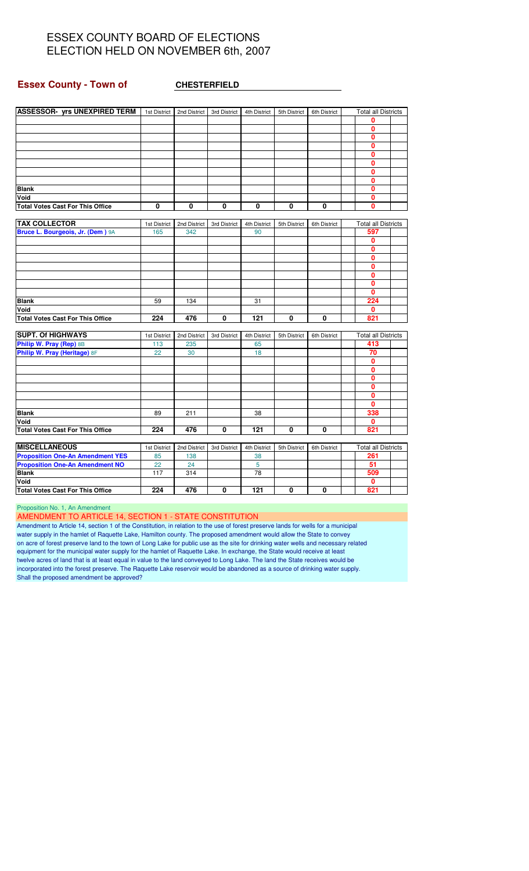#### **Essex County - Town of CHESTERFIELD**

| <b>ASSESSOR- vrs UNEXPIRED TERM</b>     | 1st District | 2nd District | 3rd District | 4th District | 5th District | 6th District | <b>Total all Districts</b> |  |
|-----------------------------------------|--------------|--------------|--------------|--------------|--------------|--------------|----------------------------|--|
|                                         |              |              |              |              |              |              | 0                          |  |
|                                         |              |              |              |              |              |              | 0                          |  |
|                                         |              |              |              |              |              |              | 0                          |  |
|                                         |              |              |              |              |              |              | O                          |  |
|                                         |              |              |              |              |              |              | 0                          |  |
|                                         |              |              |              |              |              |              | $\mathbf{0}$               |  |
|                                         |              |              |              |              |              |              | 0                          |  |
|                                         |              |              |              |              |              |              | 0                          |  |
| <b>Blank</b>                            |              |              |              |              |              |              | 0                          |  |
| Void                                    |              |              |              |              |              |              | 0                          |  |
| <b>Total Votes Cast For This Office</b> | 0            | 0            | 0            | 0            | $\mathbf 0$  | 0            | 0                          |  |
|                                         |              |              |              |              |              |              |                            |  |
| <b>TAX COLLECTOR</b>                    | 1st District | 2nd District | 3rd District | 4th District | 5th District | 6th District | <b>Total all Districts</b> |  |
| Bruce L. Bourgeois, Jr. (Dem) 9A        | 165          | 342          |              | 90           |              |              | 597                        |  |
|                                         |              |              |              |              |              |              | 0                          |  |
|                                         |              |              |              |              |              |              | 0                          |  |
|                                         |              |              |              |              |              |              | $\mathbf{0}$               |  |
|                                         |              |              |              |              |              |              | 0                          |  |
|                                         |              |              |              |              |              |              | $\mathbf{0}$               |  |
|                                         |              |              |              |              |              |              | $\mathbf{0}$               |  |
|                                         |              |              |              |              |              |              | 0                          |  |
| <b>Blank</b>                            | 59           | 134          |              | 31           |              |              | 224                        |  |
| Void                                    |              |              |              |              |              |              | 0                          |  |
| <b>Total Votes Cast For This Office</b> | 224          | 476          | 0            | 121          | $\mathbf{0}$ | 0            | 821                        |  |
|                                         |              |              |              |              |              |              |                            |  |
| <b>SUPT. Of HIGHWAYS</b>                | 1st District | 2nd District | 3rd District | 4th District | 5th District | 6th District | <b>Total all Districts</b> |  |
| Philip W. Pray (Rep) 8B                 | 113          | 235          |              | 65           |              |              | 413                        |  |
| Philip W. Pray (Heritage) 8F            | 22           | 30           |              | 18           |              |              | 70                         |  |
|                                         |              |              |              |              |              |              | 0                          |  |
|                                         |              |              |              |              |              |              | $\mathbf{0}$               |  |
|                                         |              |              |              |              |              |              | 0                          |  |
|                                         |              |              |              |              |              |              | 0                          |  |
|                                         |              |              |              |              |              |              | 0                          |  |
|                                         |              |              |              |              |              |              | 0                          |  |
| <b>Blank</b>                            | 89           | 211          |              | 38           |              |              | 338                        |  |
| Void                                    |              |              |              |              |              |              | 0                          |  |
| <b>Total Votes Cast For This Office</b> | 224          | 476          | 0            | 121          | 0            | 0            | 821                        |  |
|                                         |              |              |              |              |              |              |                            |  |
| <b>MISCELLANEOUS</b>                    | 1st District | 2nd District | 3rd District | 4th District | 5th District | 6th District | <b>Total all Districts</b> |  |
| <b>Proposition One-An Amendment YES</b> | 85           | 138          |              | 38           |              |              | 261                        |  |
| <b>Proposition One-An Amendment NO</b>  | 22           | 24           |              | 5            |              |              | 51                         |  |
| <b>Blank</b>                            | 117          | 314          |              | 78           |              |              | 509                        |  |
| Void                                    |              |              |              |              |              |              | 0                          |  |
| <b>Total Votes Cast For This Office</b> | 224          | 476          | 0            | 121          | 0            | 0            | 821                        |  |

Proposition No. 1, An Amendment

AMENDMENT TO ARTICLE 14, SECTION 1 - STATE CONSTITUTION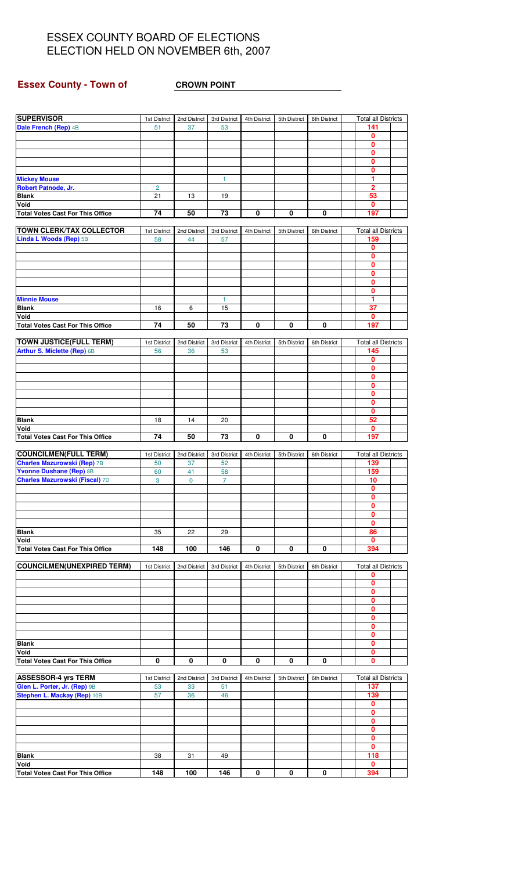# **Essex County - Town of CROWN POINT**

| <b>SUPERVISOR</b>                                             | 1st District   | 2nd District | 3rd District    | 4th District | 5th District | 6th District | <b>Total all Districts</b> |  |
|---------------------------------------------------------------|----------------|--------------|-----------------|--------------|--------------|--------------|----------------------------|--|
| Dale French (Rep) 4B                                          | 51             | 37           | 53              |              |              |              | 141                        |  |
|                                                               |                |              |                 |              |              |              | 0                          |  |
|                                                               |                |              |                 |              |              |              | 0                          |  |
|                                                               |                |              |                 |              |              |              | 0                          |  |
|                                                               |                |              |                 |              |              |              | 0                          |  |
|                                                               |                |              |                 |              |              |              | 0<br>1                     |  |
| <b>Mickey Mouse</b><br>Robert Patnode, Jr.                    | $\overline{c}$ |              | 1               |              |              |              | 2                          |  |
| <b>Blank</b>                                                  | 21             | 13           | 19              |              |              |              | 53                         |  |
| Void                                                          |                |              |                 |              |              |              | 0                          |  |
| <b>Total Votes Cast For This Office</b>                       | 74             | 50           | 73              | 0            | 0            | 0            | 197                        |  |
|                                                               |                |              |                 |              |              |              |                            |  |
| <b>TOWN CLERK/TAX COLLECTOR</b>                               | 1st District   | 2nd District | 3rd District    | 4th District | 5th District | 6th District | <b>Total all Districts</b> |  |
| <b>Linda L Woods (Rep) 5B</b>                                 | 58             | 44           | 57              |              |              |              | 159                        |  |
|                                                               |                |              |                 |              |              |              | 0                          |  |
|                                                               |                |              |                 |              |              |              | 0<br>0                     |  |
|                                                               |                |              |                 |              |              |              | 0                          |  |
|                                                               |                |              |                 |              |              |              | 0                          |  |
|                                                               |                |              |                 |              |              |              | 0                          |  |
| <b>Minnie Mouse</b>                                           |                |              | 1               |              |              |              | 1                          |  |
| <b>Blank</b>                                                  | 16             | 6            | 15              |              |              |              | 37                         |  |
| Void                                                          |                |              |                 |              |              |              | 0                          |  |
| <b>Total Votes Cast For This Office</b>                       | 74             | 50           | 73              | 0            | 0            | 0            | 197                        |  |
| <b>TOWN JUSTICE(FULL TERM)</b>                                | 1st District   | 2nd District | 3rd District    | 4th District | 5th District | 6th District | <b>Total all Districts</b> |  |
| Arthur S. Miclette (Rep) 6B                                   | 56             | 36           | 53              |              |              |              | 145                        |  |
|                                                               |                |              |                 |              |              |              | 0                          |  |
|                                                               |                |              |                 |              |              |              | 0                          |  |
|                                                               |                |              |                 |              |              |              | 0                          |  |
|                                                               |                |              |                 |              |              |              | 0                          |  |
|                                                               |                |              |                 |              |              |              | 0                          |  |
|                                                               |                |              |                 |              |              |              | 0<br>0                     |  |
| <b>Blank</b>                                                  | 18             | 14           | 20              |              |              |              | 52                         |  |
| Void                                                          |                |              |                 |              |              |              | 0                          |  |
| <b>Total Votes Cast For This Office</b>                       | 74             | 50           | $\overline{73}$ | 0            | 0            | 0            | 197                        |  |
|                                                               |                |              |                 |              |              |              |                            |  |
| <b>COUNCILMEN(FULL TERM)</b>                                  | 1st District   | 2nd District | 3rd District    | 4th District | 5th District | 6th District | <b>Total all Districts</b> |  |
| <b>Charles Mazurowski (Rep) 7B</b><br>Yvonne Dushane (Rep) 8B | 50             | 37<br>41     | 52              |              |              |              | 139<br>159                 |  |
| <b>Charles Mazurowski (Fiscal) 7D</b>                         | 60<br>3        | $\mathbf 0$  | 58<br>7         |              |              |              | 10                         |  |
|                                                               |                |              |                 |              |              |              | 0                          |  |
|                                                               |                |              |                 |              |              |              | 0                          |  |
|                                                               |                |              |                 |              |              |              | 0                          |  |
|                                                               |                |              |                 |              |              |              | 0                          |  |
|                                                               |                |              |                 |              |              |              | 0                          |  |
| <b>Blank</b>                                                  | 35             | 22           | 29              |              |              |              | 86                         |  |
| Void                                                          | 148            | 100          | 146             | 0            | 0            | 0            | 0<br>394                   |  |
| <b>Total Votes Cast For This Office</b>                       |                |              |                 |              |              |              |                            |  |
| <b>COUNCILMEN(UNEXPIRED TERM)</b>                             | 1st District   | 2nd District | 3rd District    | 4th District | 5th District | 6th District | <b>Total all Districts</b> |  |
|                                                               |                |              |                 |              |              |              | 0                          |  |
|                                                               |                |              |                 |              |              |              | 0                          |  |
|                                                               |                |              |                 |              |              |              | 0                          |  |
|                                                               |                |              |                 |              |              |              | 0<br>0                     |  |
|                                                               |                |              |                 |              |              |              | 0                          |  |
|                                                               |                |              |                 |              |              |              | 0                          |  |
|                                                               |                |              |                 |              |              |              | 0                          |  |
| <b>Blank</b>                                                  |                |              |                 |              |              |              | 0                          |  |
| Void                                                          |                |              |                 |              |              |              | 0                          |  |
| <b>Total Votes Cast For This Office</b>                       | 0              | 0            | 0               | 0            | 0            | 0            | 0                          |  |
| <b>ASSESSOR-4 yrs TERM</b>                                    | 1st District   | 2nd District | 3rd District    | 4th District | 5th District | 6th District | <b>Total all Districts</b> |  |
| Glen L. Porter, Jr. (Rep) 9B                                  | 53             | 33           | 51              |              |              |              | 137                        |  |
| Stephen L. Mackay (Rep) 10B                                   | 57             | 36           | 46              |              |              |              | 139                        |  |
|                                                               |                |              |                 |              |              |              | 0                          |  |
|                                                               |                |              |                 |              |              |              | 0                          |  |
|                                                               |                |              |                 |              |              |              | 0                          |  |
|                                                               |                |              |                 |              |              |              | 0                          |  |
|                                                               |                |              |                 |              |              |              | 0<br>$\mathbf{0}$          |  |
| <b>Blank</b>                                                  | 38             | 31           | 49              |              |              |              | 118                        |  |
| Void                                                          |                |              |                 |              |              |              | 0                          |  |
| <b>Total Votes Cast For This Office</b>                       | 148            | 100          | 146             | 0            | $\mathbf{0}$ | 0            | 394                        |  |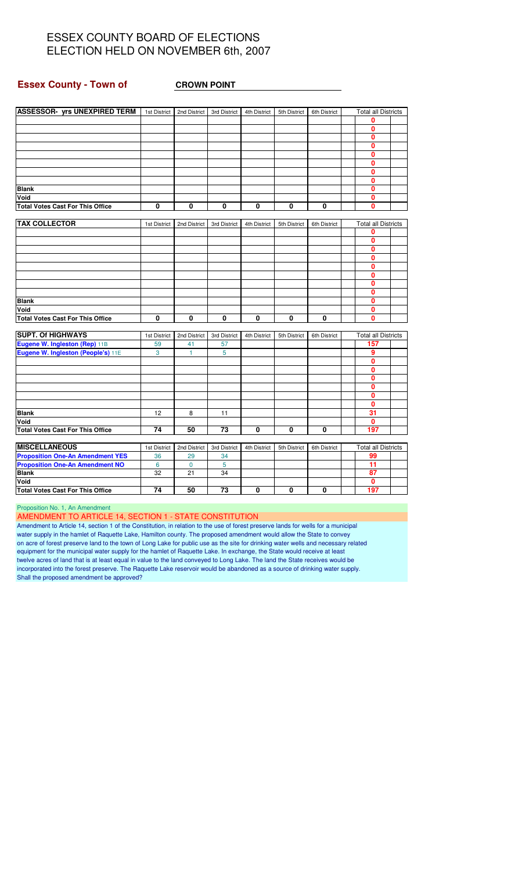#### **Essex County - Town of CROWN POINT**

| <b>ASSESSOR- yrs UNEXPIRED TERM</b>     | 1st District | 2nd District | 3rd District | 4th District | 5th District | 6th District | <b>Total all Districts</b> |  |
|-----------------------------------------|--------------|--------------|--------------|--------------|--------------|--------------|----------------------------|--|
|                                         |              |              |              |              |              |              | 0                          |  |
|                                         |              |              |              |              |              |              | 0                          |  |
|                                         |              |              |              |              |              |              | 0                          |  |
|                                         |              |              |              |              |              |              | 0                          |  |
|                                         |              |              |              |              |              |              | 0                          |  |
|                                         |              |              |              |              |              |              | 0                          |  |
|                                         |              |              |              |              |              |              | 0                          |  |
|                                         |              |              |              |              |              |              | $\mathbf{0}$               |  |
| <b>Blank</b>                            |              |              |              |              |              |              | 0                          |  |
| Void                                    |              |              |              |              |              |              | 0                          |  |
| <b>Total Votes Cast For This Office</b> | 0            | 0            | 0            | 0            | 0            | 0            | 0                          |  |
|                                         |              |              |              |              |              |              |                            |  |
| <b>TAX COLLECTOR</b>                    | 1st District | 2nd District | 3rd District | 4th District | 5th District | 6th District | <b>Total all Districts</b> |  |
|                                         |              |              |              |              |              |              | 0                          |  |
|                                         |              |              |              |              |              |              | 0                          |  |
|                                         |              |              |              |              |              |              | 0                          |  |
|                                         |              |              |              |              |              |              | $\mathbf{0}$               |  |
|                                         |              |              |              |              |              |              | 0                          |  |
|                                         |              |              |              |              |              |              | 0                          |  |
|                                         |              |              |              |              |              |              | 0                          |  |
|                                         |              |              |              |              |              |              | $\mathbf{0}$               |  |
| <b>Blank</b>                            |              |              |              |              |              |              | 0                          |  |
| Void                                    |              |              |              |              |              |              | $\mathbf{0}$               |  |
| <b>Total Votes Cast For This Office</b> | 0            | 0            | 0            | 0            | 0            | 0            | 0                          |  |
|                                         |              |              |              |              |              |              |                            |  |
| <b>SUPT. Of HIGHWAYS</b>                | 1st District | 2nd District | 3rd District | 4th District | 5th District | 6th District | <b>Total all Districts</b> |  |
| Eugene W. Ingleston (Rep) 11B           | 59           | 41           | 57           |              |              |              | 157                        |  |
| Eugene W. Ingleston (People's) 11E      | 3            | 1            | 5            |              |              |              | 9                          |  |
|                                         |              |              |              |              |              |              | 0                          |  |
|                                         |              |              |              |              |              |              | 0                          |  |
|                                         |              |              |              |              |              |              | $\mathbf{0}$               |  |
|                                         |              |              |              |              |              |              | 0                          |  |
|                                         |              |              |              |              |              |              | 0                          |  |
|                                         |              |              |              |              |              |              | $\mathbf{0}$               |  |
| <b>Blank</b>                            | 12           | 8            | 11           |              |              |              | 31                         |  |
| Void                                    |              |              |              |              |              |              | 0                          |  |
| <b>Total Votes Cast For This Office</b> | 74           | 50           | 73           | 0            | $\mathbf 0$  | 0            | 197                        |  |
|                                         |              |              |              |              |              |              |                            |  |
| <b>MISCELLANEOUS</b>                    | 1st District | 2nd District | 3rd District | 4th District | 5th District | 6th District | <b>Total all Districts</b> |  |
| <b>Proposition One-An Amendment YES</b> | 36           | 29           | 34           |              |              |              | 99                         |  |
| <b>Proposition One-An Amendment NO</b>  | 6            | $\mathbf 0$  | 5            |              |              |              | 11                         |  |
| <b>Blank</b>                            | 32           | 21           | 34           |              |              |              | 87                         |  |
| Void                                    |              |              |              |              |              |              | $\mathbf{0}$               |  |
| <b>Total Votes Cast For This Office</b> | 74           | 50           | 73           | $\Omega$     | $\Omega$     | $\Omega$     | 197                        |  |

Proposition No. 1, An Amendment

AMENDMENT TO ARTICLE 14, SECTION 1 - STATE CONSTITUTION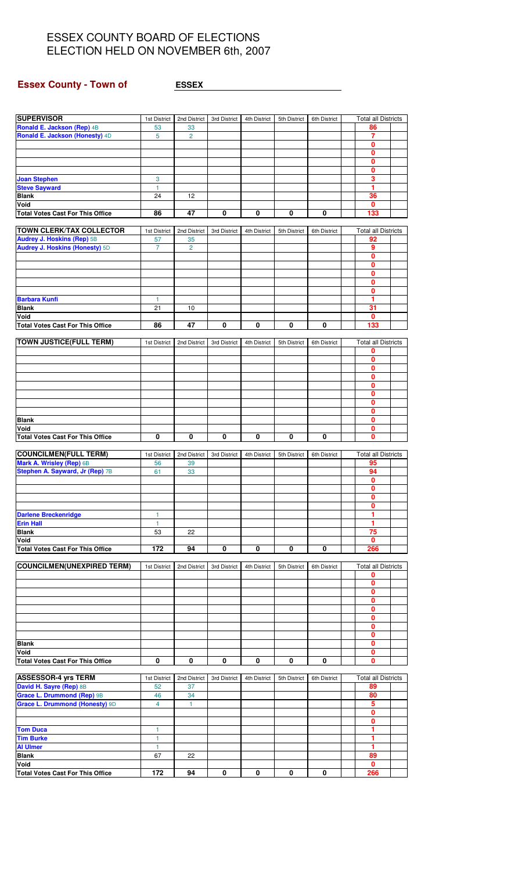## **Essex County - Town of <b>ESSEX**

| <b>SUPERVISOR</b>                       | 1st District      | 2nd District   | 3rd District | 4th District | 5th District | 6th District | <b>Total all Districts</b> |  |
|-----------------------------------------|-------------------|----------------|--------------|--------------|--------------|--------------|----------------------------|--|
| Ronald E. Jackson (Rep) 4B              | 53                | 33             |              |              |              |              | 86                         |  |
| Ronald E. Jackson (Honesty) 4D          | $\sqrt{5}$        | $\overline{c}$ |              |              |              |              | 7                          |  |
|                                         |                   |                |              |              |              |              | $\bf{0}$                   |  |
|                                         |                   |                |              |              |              |              | $\mathbf{0}$               |  |
|                                         |                   |                |              |              |              |              | 0                          |  |
|                                         |                   |                |              |              |              |              | $\bf{0}$<br>3              |  |
| <b>Joan Stephen</b>                     | 3<br>$\mathbf{1}$ |                |              |              |              |              | 1                          |  |
| <b>Steve Sayward</b><br><b>Blank</b>    | 24                | 12             |              |              |              |              | 36                         |  |
| Void                                    |                   |                |              |              |              |              | 0                          |  |
| <b>Total Votes Cast For This Office</b> | 86                | 47             | 0            | 0            | 0            | 0            | 133                        |  |
|                                         |                   |                |              |              |              |              |                            |  |
| <b>TOWN CLERK/TAX COLLECTOR</b>         | 1st District      | 2nd District   | 3rd District | 4th District | 5th District | 6th District | <b>Total all Districts</b> |  |
| Audrey J. Hoskins (Rep) 5B              | 57                | 35             |              |              |              |              | 92                         |  |
| <b>Audrey J. Hoskins (Honesty) 5D</b>   | $\overline{7}$    | $\overline{2}$ |              |              |              |              | 9                          |  |
|                                         |                   |                |              |              |              |              | $\mathbf 0$                |  |
|                                         |                   |                |              |              |              |              | 0                          |  |
|                                         |                   |                |              |              |              |              | 0                          |  |
|                                         |                   |                |              |              |              |              | $\bf{0}$                   |  |
|                                         |                   |                |              |              |              |              | 0                          |  |
| <b>Barbara Kunfi</b>                    | 1                 |                |              |              |              |              | 1                          |  |
| <b>Blank</b>                            | 21                | 10             |              |              |              |              | 31                         |  |
| Void                                    |                   |                |              |              |              |              | 0                          |  |
| <b>Total Votes Cast For This Office</b> | 86                | 47             | 0            | 0            | 0            | 0            | 133                        |  |
|                                         |                   |                |              |              |              |              |                            |  |
| <b>TOWN JUSTICE(FULL TERM)</b>          | 1st District      | 2nd District   | 3rd District | 4th District | 5th District | 6th District | <b>Total all Districts</b> |  |
|                                         |                   |                |              |              |              |              | 0                          |  |
|                                         |                   |                |              |              |              |              | 0                          |  |
|                                         |                   |                |              |              |              |              | $\mathbf{0}$               |  |
|                                         |                   |                |              |              |              |              | $\mathbf 0$                |  |
|                                         |                   |                |              |              |              |              | 0                          |  |
|                                         |                   |                |              |              |              |              | 0                          |  |
|                                         |                   |                |              |              |              |              | $\mathbf{0}$               |  |
|                                         |                   |                |              |              |              |              | 0<br>$\mathbf 0$           |  |
| <b>Blank</b><br>Void                    |                   |                |              |              |              |              | $\mathbf{0}$               |  |
| <b>Total Votes Cast For This Office</b> | 0                 | 0              | 0            | 0            | 0            | 0            | 0                          |  |
|                                         |                   |                |              |              |              |              |                            |  |
| <b>COUNCILMEN(FULL TERM)</b>            | 1st District      | 2nd District   | 3rd District | 4th District | 5th District | 6th District | <b>Total all Districts</b> |  |
| Mark A. Wrisley (Rep) 6B                | 56                | 39             |              |              |              |              | 95                         |  |
| Stephen A. Sayward, Jr (Rep) 7B         | 61                | 33             |              |              |              |              | 94                         |  |
|                                         |                   |                |              |              |              |              | 0                          |  |
|                                         |                   |                |              |              |              |              | 0                          |  |
|                                         |                   |                |              |              |              |              | 0                          |  |
|                                         |                   |                |              |              |              |              | 0                          |  |
| <b>Darlene Breckenridge</b>             | 1                 |                |              |              |              |              | 1                          |  |
| <b>Erin Hall</b>                        | 1                 |                |              |              |              |              | 1                          |  |
| <b>Blank</b>                            | 53                | 22             |              |              |              |              | 75                         |  |
| Void                                    |                   |                |              |              |              |              | 0                          |  |
| <b>Total Votes Cast For This Office</b> | 172               | 94             | 0            | 0            | 0            | 0            | 266                        |  |
|                                         |                   |                |              |              |              |              |                            |  |
| <b>COUNCILMEN(UNEXPIRED TERM)</b>       | 1st District      | 2nd District   | 3rd District | 4th District | 5th District | 6th District | <b>Total all Districts</b> |  |
|                                         |                   |                |              |              |              |              | 0                          |  |
|                                         |                   |                |              |              |              |              | 0                          |  |
|                                         |                   |                |              |              |              |              | 0                          |  |
|                                         |                   |                |              |              |              |              | $\bf{0}$                   |  |
|                                         |                   |                |              |              |              |              | 0                          |  |
|                                         |                   |                |              |              |              |              | 0                          |  |
|                                         |                   |                |              |              |              |              | $\mathbf 0$                |  |
|                                         |                   |                |              |              |              |              | 0                          |  |
| <b>Blank</b><br>Void                    |                   |                |              |              |              |              | 0<br>0                     |  |
| <b>Total Votes Cast For This Office</b> | 0                 | 0              | 0            | $\mathbf 0$  | 0            | 0            | $\mathbf 0$                |  |
|                                         |                   |                |              |              |              |              |                            |  |
| <b>ASSESSOR-4 yrs TERM</b>              | 1st District      | 2nd District   | 3rd District | 4th District | 5th District | 6th District | <b>Total all Districts</b> |  |
| David H. Sayre (Rep) 8B                 | 52                | 37             |              |              |              |              | 89                         |  |
| Grace L. Drummond (Rep) 9B              | 46                | 34             |              |              |              |              | 80                         |  |
| Grace L. Drummond (Honesty) 9D          | $\overline{4}$    | 1              |              |              |              |              | 5                          |  |
|                                         |                   |                |              |              |              |              | 0                          |  |
|                                         |                   |                |              |              |              |              | 0                          |  |
| <b>Tom Duca</b>                         | 1                 |                |              |              |              |              | 1                          |  |
| <b>Tim Burke</b>                        | 1                 |                |              |              |              |              | 1                          |  |
| <b>Al Ulmer</b>                         | 1                 |                |              |              |              |              | 1                          |  |
| <b>Blank</b>                            | 67                | 22             |              |              |              |              | 89                         |  |
| Void                                    |                   |                |              |              |              |              | 0                          |  |
| <b>Total Votes Cast For This Office</b> | 172               | 94             | 0            | 0            | 0            | 0            | 266                        |  |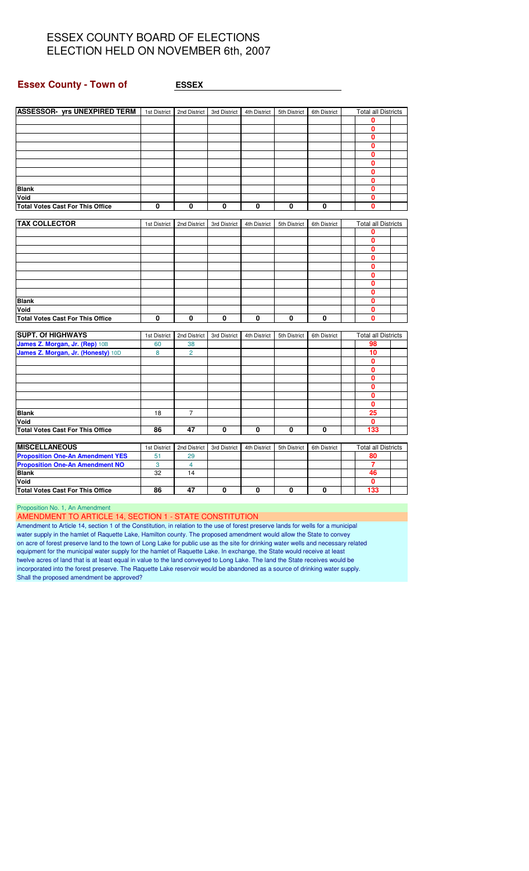#### **Essex County - Town of ESSEX**

| <b>ASSESSOR- yrs UNEXPIRED TERM</b> 1st District |              | 2nd District   | 3rd District | 4th District | 5th District | 6th District | <b>Total all Districts</b> |  |
|--------------------------------------------------|--------------|----------------|--------------|--------------|--------------|--------------|----------------------------|--|
|                                                  |              |                |              |              |              |              | 0                          |  |
|                                                  |              |                |              |              |              |              | 0                          |  |
|                                                  |              |                |              |              |              |              | 0                          |  |
|                                                  |              |                |              |              |              |              | 0                          |  |
|                                                  |              |                |              |              |              |              | 0                          |  |
|                                                  |              |                |              |              |              |              | 0                          |  |
|                                                  |              |                |              |              |              |              | 0                          |  |
|                                                  |              |                |              |              |              |              | 0                          |  |
| <b>Blank</b>                                     |              |                |              |              |              |              | 0                          |  |
| Void                                             |              |                |              |              |              |              | 0                          |  |
| <b>Total Votes Cast For This Office</b>          | 0            | 0              | 0            | 0            | 0            | 0            | 0                          |  |
|                                                  |              |                |              |              |              |              |                            |  |
| <b>TAX COLLECTOR</b>                             | 1st District | 2nd District   | 3rd District | 4th District | 5th District | 6th District | <b>Total all Districts</b> |  |
|                                                  |              |                |              |              |              |              | 0                          |  |
|                                                  |              |                |              |              |              |              | 0                          |  |
|                                                  |              |                |              |              |              |              | 0                          |  |
|                                                  |              |                |              |              |              |              | 0                          |  |
|                                                  |              |                |              |              |              |              | 0                          |  |
|                                                  |              |                |              |              |              |              | 0                          |  |
|                                                  |              |                |              |              |              |              | 0                          |  |
|                                                  |              |                |              |              |              |              | 0                          |  |
| <b>Blank</b>                                     |              |                |              |              |              |              | $\mathbf{0}$               |  |
| Void                                             |              |                |              |              |              |              | 0                          |  |
| <b>Total Votes Cast For This Office</b>          | 0            | 0              | 0            | 0            | 0            | 0            | 0                          |  |
|                                                  |              |                |              |              |              |              |                            |  |
| <b>SUPT. Of HIGHWAYS</b>                         | 1st District | 2nd District   | 3rd District | 4th District | 5th District | 6th District | <b>Total all Districts</b> |  |
| James Z. Morgan, Jr. (Rep) 10B                   | 60           | 38             |              |              |              |              | 98                         |  |
| James Z. Morgan, Jr. (Honesty) 10D               | 8            | $\overline{2}$ |              |              |              |              | 10                         |  |
|                                                  |              |                |              |              |              |              | 0                          |  |
|                                                  |              |                |              |              |              |              | 0                          |  |
|                                                  |              |                |              |              |              |              | 0                          |  |
|                                                  |              |                |              |              |              |              | 0                          |  |
|                                                  |              |                |              |              |              |              | O                          |  |
|                                                  |              |                |              |              |              |              | 0                          |  |
| <b>Blank</b>                                     | 18           | $\overline{7}$ |              |              |              |              | 25                         |  |
| Void                                             |              |                |              |              |              |              | 0                          |  |
| <b>Total Votes Cast For This Office</b>          | 86           | 47             | 0            | 0            | 0            | 0            | 133                        |  |
|                                                  |              |                |              |              |              |              |                            |  |
| <b>MISCELLANEOUS</b>                             | 1st District | 2nd District   | 3rd District | 4th District | 5th District | 6th District | <b>Total all Districts</b> |  |
| <b>Proposition One-An Amendment YES</b>          | 51           | 29             |              |              |              |              | 80                         |  |
| <b>Proposition One-An Amendment NO</b>           | 3            | 4              |              |              |              |              | 7                          |  |
| <b>Blank</b>                                     | 32           | 14             |              |              |              |              | 46                         |  |
| Void                                             |              |                |              |              |              |              | 0                          |  |
| <b>Total Votes Cast For This Office</b>          | 86           | 47             | 0            | 0            | 0            | 0            | 133                        |  |
|                                                  |              |                |              |              |              |              |                            |  |

Proposition No. 1, An Amendment

AMENDMENT TO ARTICLE 14, SECTION 1 - STATE CONSTITUTION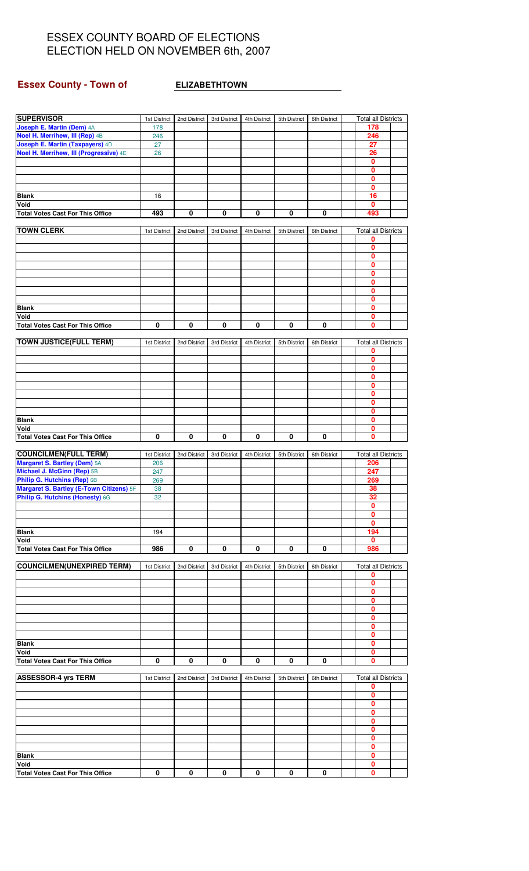# **Essex County - Town of ELIZABETHTOWN**

| <b>SUPERVISOR</b>                        | 1st District            | 2nd District | 3rd District | 4th District | 5th District | 6th District            | <b>Total all Districts</b>      |
|------------------------------------------|-------------------------|--------------|--------------|--------------|--------------|-------------------------|---------------------------------|
| Joseph E. Martin (Dem) 4A                | 178                     |              |              |              |              |                         | 178                             |
| Noel H. Merrihew, III (Rep) 4B           | 246                     |              |              |              |              |                         | 246                             |
| Joseph E. Martin (Taxpayers) 4D          | 27                      |              |              |              |              |                         | 27                              |
| Noel H. Merrihew, III (Progressive) 4E   | 26                      |              |              |              |              |                         | 26                              |
|                                          |                         |              |              |              |              |                         | 0                               |
|                                          |                         |              |              |              |              |                         | 0                               |
|                                          |                         |              |              |              |              |                         | $\mathbf{0}$                    |
|                                          |                         |              |              |              |              |                         | 0                               |
| <b>Blank</b>                             | 16                      |              |              |              |              |                         | 16                              |
| Void                                     |                         |              |              |              |              |                         | $\mathbf{0}$                    |
| <b>Total Votes Cast For This Office</b>  | 493                     | 0            | $\pmb{0}$    | $\pmb{0}$    | 0            | 0                       | 493                             |
|                                          |                         |              |              |              |              |                         |                                 |
| <b>TOWN CLERK</b>                        | 1st District            | 2nd District | 3rd District | 4th District | 5th District | 6th District            | <b>Total all Districts</b>      |
|                                          |                         |              |              |              |              |                         | 0<br>0                          |
|                                          |                         |              |              |              |              |                         | $\mathbf{0}$                    |
|                                          |                         |              |              |              |              |                         | 0                               |
|                                          |                         |              |              |              |              |                         | $\mathbf 0$                     |
|                                          |                         |              |              |              |              |                         | $\mathbf{0}$                    |
|                                          |                         |              |              |              |              |                         | 0                               |
|                                          |                         |              |              |              |              |                         | $\mathbf{0}$                    |
| <b>Blank</b>                             |                         |              |              |              |              |                         | $\mathbf{0}$                    |
| Void                                     |                         |              |              |              |              |                         | 0                               |
| <b>Total Votes Cast For This Office</b>  | 0                       | 0            | 0            | $\pmb{0}$    | 0            | 0                       | $\mathbf 0$                     |
|                                          |                         |              |              |              |              |                         |                                 |
| <b>TOWN JUSTICE(FULL TERM)</b>           | 1st District            | 2nd District | 3rd District | 4th District | 5th District | 6th District            | <b>Total all Districts</b>      |
|                                          |                         |              |              |              |              |                         | 0                               |
|                                          |                         |              |              |              |              |                         | 0                               |
|                                          |                         |              |              |              |              |                         | 0                               |
|                                          |                         |              |              |              |              |                         | $\mathbf 0$                     |
|                                          |                         |              |              |              |              |                         | 0                               |
|                                          |                         |              |              |              |              |                         | 0                               |
|                                          |                         |              |              |              |              |                         | $\mathbf{0}$<br>$\mathbf{0}$    |
| <b>Blank</b>                             |                         |              |              |              |              |                         | 0                               |
| Void                                     |                         |              |              |              |              |                         | $\mathbf 0$                     |
| <b>Total Votes Cast For This Office</b>  | $\overline{\mathbf{0}}$ | 0            | 0            | $\pmb{0}$    | 0            | $\overline{\mathbf{0}}$ | $\mathbf{0}$                    |
|                                          |                         |              |              |              |              |                         |                                 |
| <b>COUNCILMEN(FULL TERM)</b>             | 1st District            | 2nd District | 3rd District | 4th District | 5th District | 6th District            | <b>Total all Districts</b>      |
| Margaret S. Bartley (Dem) 5A             | 206                     |              |              |              |              |                         | 206                             |
| Michael J. McGinn (Rep) 5B               | 247                     |              |              |              |              |                         | 247                             |
| Philip G. Hutchins (Rep) 6B              | 269                     |              |              |              |              |                         | 269                             |
| Margaret S. Bartley (E-Town Citizens) 5F | 38                      |              |              |              |              |                         | 38                              |
| Philip G. Hutchins (Honesty) 6G          | 32                      |              |              |              |              |                         | 32                              |
|                                          |                         |              |              |              |              |                         | 0                               |
|                                          |                         |              |              |              |              |                         | 0                               |
|                                          |                         |              |              |              |              |                         | 0                               |
| <b>Blank</b>                             | 194                     |              |              |              |              |                         | 194                             |
| Void                                     |                         |              |              |              |              |                         | 0                               |
| <b>Total Votes Cast For This Office</b>  | 986                     | 0            | 0            | 0            | 0            | 0                       | 986                             |
| <b>COUNCILMEN(UNEXPIRED TERM)</b>        | 1st District            | 2nd District | 3rd District |              |              |                         |                                 |
|                                          |                         |              |              |              |              |                         |                                 |
|                                          |                         |              |              | 4th District | 5th District | 6th District            | <b>Total all Districts</b><br>0 |
|                                          |                         |              |              |              |              |                         | 0                               |
|                                          |                         |              |              |              |              |                         | 0                               |
|                                          |                         |              |              |              |              |                         | 0                               |
|                                          |                         |              |              |              |              |                         | 0                               |
|                                          |                         |              |              |              |              |                         | 0                               |
|                                          |                         |              |              |              |              |                         | 0                               |
|                                          |                         |              |              |              |              |                         | 0                               |
| <b>Blank</b>                             |                         |              |              |              |              |                         | 0                               |
| Void                                     |                         |              |              |              |              |                         | 0                               |
| <b>Total Votes Cast For This Office</b>  | 0                       | 0            | 0            | 0            | 0            | 0                       | $\bf{0}$                        |
|                                          |                         |              |              |              |              |                         |                                 |
| <b>ASSESSOR-4 yrs TERM</b>               | 1st District            | 2nd District | 3rd District | 4th District | 5th District | 6th District            | <b>Total all Districts</b>      |
|                                          |                         |              |              |              |              |                         | 0                               |
|                                          |                         |              |              |              |              |                         | 0                               |
|                                          |                         |              |              |              |              |                         | 0<br>$\mathbf{0}$               |
|                                          |                         |              |              |              |              |                         | 0                               |
|                                          |                         |              |              |              |              |                         | 0                               |
|                                          |                         |              |              |              |              |                         | $\bf{0}$                        |
|                                          |                         |              |              |              |              |                         | 0                               |
| <b>Blank</b>                             |                         |              |              |              |              |                         | 0                               |
| Void                                     | 0                       |              | 0            |              | 0            | 0                       | 0                               |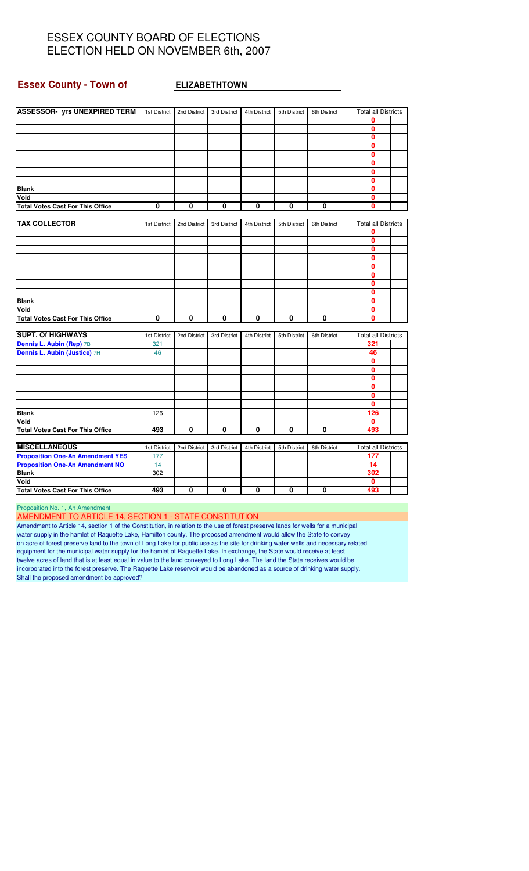#### **Essex County - Town of ELIZABETHTOWN**

| <b>ASSESSOR- yrs UNEXPIRED TERM</b>     | 1st District | 2nd District | 3rd District | 4th District | 5th District | 6th District | <b>Total all Districts</b> |  |
|-----------------------------------------|--------------|--------------|--------------|--------------|--------------|--------------|----------------------------|--|
|                                         |              |              |              |              |              |              | 0                          |  |
|                                         |              |              |              |              |              |              | 0                          |  |
|                                         |              |              |              |              |              |              | $\mathbf{0}$               |  |
|                                         |              |              |              |              |              |              | $\mathbf 0$                |  |
|                                         |              |              |              |              |              |              | $\mathbf{0}$               |  |
|                                         |              |              |              |              |              |              | $\Omega$                   |  |
|                                         |              |              |              |              |              |              | $\mathbf 0$                |  |
|                                         |              |              |              |              |              |              | 0                          |  |
| <b>Blank</b>                            |              |              |              |              |              |              | $\mathbf{0}$               |  |
| Void                                    |              |              |              |              |              |              | 0                          |  |
| <b>Total Votes Cast For This Office</b> | 0            | $\mathbf 0$  | 0            | $\mathbf{0}$ | 0            | 0            | $\mathbf{0}$               |  |
|                                         |              |              |              |              |              |              |                            |  |
| <b>TAX COLLECTOR</b>                    | 1st District | 2nd District | 3rd District | 4th District | 5th District | 6th District | <b>Total all Districts</b> |  |
|                                         |              |              |              |              |              |              | 0                          |  |
|                                         |              |              |              |              |              |              | $\mathbf 0$                |  |
|                                         |              |              |              |              |              |              | $\mathbf{0}$               |  |
|                                         |              |              |              |              |              |              | $\mathbf{0}$               |  |
|                                         |              |              |              |              |              |              | 0                          |  |
|                                         |              |              |              |              |              |              | 0                          |  |
|                                         |              |              |              |              |              |              | $\mathbf{0}$               |  |
|                                         |              |              |              |              |              |              | 0                          |  |
| <b>Blank</b>                            |              |              |              |              |              |              | $\mathbf{0}$               |  |
| Void                                    |              |              |              |              |              |              | $\mathbf 0$                |  |
| <b>Total Votes Cast For This Office</b> | 0            | $\mathbf 0$  | 0            | $\mathbf{0}$ | $\mathbf{0}$ | 0            | $\mathbf{0}$               |  |
|                                         |              |              |              |              |              |              |                            |  |
| <b>SUPT. Of HIGHWAYS</b>                | 1st District | 2nd District | 3rd District | 4th District | 5th District | 6th District | <b>Total all Districts</b> |  |
| Dennis L. Aubin (Rep) 7B                | 321          |              |              |              |              |              | 321                        |  |
| Dennis L. Aubin (Justice) 7H            | 46           |              |              |              |              |              | 46                         |  |
|                                         |              |              |              |              |              |              | 0                          |  |
|                                         |              |              |              |              |              |              | $\mathbf{0}$               |  |
|                                         |              |              |              |              |              |              | $\mathbf{0}$               |  |
|                                         |              |              |              |              |              |              | 0                          |  |
|                                         |              |              |              |              |              |              | $\mathbf{0}$               |  |
|                                         |              |              |              |              |              |              | $\mathbf 0$                |  |
| <b>Blank</b>                            | 126          |              |              |              |              |              | 126                        |  |
| Void                                    |              |              |              |              |              |              | $\mathbf{0}$               |  |
| <b>Total Votes Cast For This Office</b> | 493          | 0            | 0            | 0            | 0            | 0            | 493                        |  |
|                                         |              |              |              |              |              |              |                            |  |
| <b>MISCELLANEOUS</b>                    | 1st District | 2nd District | 3rd District | 4th District | 5th District | 6th District | <b>Total all Districts</b> |  |
| <b>Proposition One-An Amendment YES</b> | 177          |              |              |              |              |              | 177                        |  |
| <b>Proposition One-An Amendment NO</b>  | 14           |              |              |              |              |              | 14                         |  |
| <b>Blank</b>                            | 302          |              |              |              |              |              | 302                        |  |
| Void                                    |              |              |              |              |              |              | 0                          |  |
| <b>Total Votes Cast For This Office</b> | 493          | $\mathbf 0$  | 0            | 0            | 0            | 0            | 493                        |  |

Proposition No. 1, An Amendment

AMENDMENT TO ARTICLE 14, SECTION 1 - STATE CONSTITUTION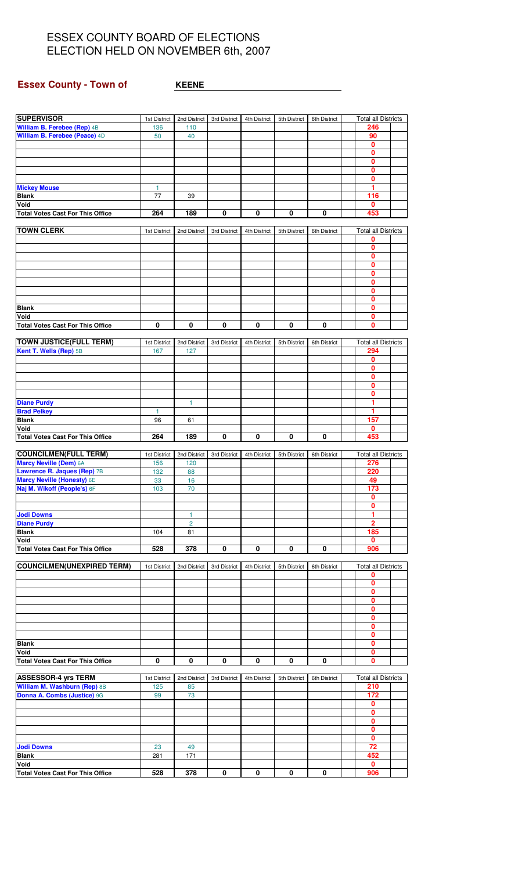## **Essex County - Town of <b>KEENE**

| <b>SUPERVISOR</b>                       | 1st District | 2nd District     | 3rd District | 4th District | 5th District | 6th District            | <b>Total all Districts</b> |  |
|-----------------------------------------|--------------|------------------|--------------|--------------|--------------|-------------------------|----------------------------|--|
| William B. Ferebee (Rep) 4B             | 136          | 110              |              |              |              |                         | 246                        |  |
| William B. Ferebee (Peace) 4D           | 50           | 40               |              |              |              |                         | 90                         |  |
|                                         |              |                  |              |              |              |                         | 0                          |  |
|                                         |              |                  |              |              |              |                         | 0                          |  |
|                                         |              |                  |              |              |              |                         | $\mathbf{0}$               |  |
|                                         |              |                  |              |              |              |                         | 0                          |  |
|                                         |              |                  |              |              |              |                         | 0                          |  |
| <b>Mickey Mouse</b>                     | $\mathbf{1}$ |                  |              |              |              |                         | 1                          |  |
| <b>Blank</b>                            | 77           | 39               |              |              |              |                         | 116                        |  |
| Void                                    |              |                  |              |              |              |                         | 0                          |  |
| <b>Total Votes Cast For This Office</b> | 264          | 189              | 0            | 0            | 0            | 0                       | 453                        |  |
|                                         |              |                  |              |              |              |                         |                            |  |
| <b>TOWN CLERK</b>                       | 1st District | 2nd District     | 3rd District | 4th District | 5th District | 6th District            | <b>Total all Districts</b> |  |
|                                         |              |                  |              |              |              |                         | 0                          |  |
|                                         |              |                  |              |              |              |                         | 0                          |  |
|                                         |              |                  |              |              |              |                         | $\mathbf{0}$               |  |
|                                         |              |                  |              |              |              |                         |                            |  |
|                                         |              |                  |              |              |              |                         | $\mathbf 0$                |  |
|                                         |              |                  |              |              |              |                         | 0                          |  |
|                                         |              |                  |              |              |              |                         | 0                          |  |
|                                         |              |                  |              |              |              |                         | $\mathbf{0}$               |  |
|                                         |              |                  |              |              |              |                         | 0                          |  |
| <b>Blank</b>                            |              |                  |              |              |              |                         | 0                          |  |
| Void                                    |              |                  |              |              |              |                         | $\mathbf{0}$               |  |
| <b>Total Votes Cast For This Office</b> | 0            | 0                | 0            | 0            | 0            | 0                       | 0                          |  |
|                                         |              |                  |              |              |              |                         |                            |  |
| <b>TOWN JUSTICE(FULL TERM)</b>          | 1st District | 2nd District     | 3rd District | 4th District | 5th District | 6th District            | <b>Total all Districts</b> |  |
| Kent T. Wells (Rep) 5B                  | 167          | 127              |              |              |              |                         | 294                        |  |
|                                         |              |                  |              |              |              |                         | 0                          |  |
|                                         |              |                  |              |              |              |                         | $\mathbf{0}$               |  |
|                                         |              |                  |              |              |              |                         | 0                          |  |
|                                         |              |                  |              |              |              |                         | 0                          |  |
|                                         |              |                  |              |              |              |                         | $\mathbf{0}$               |  |
| <b>Diane Purdy</b>                      |              | 1                |              |              |              |                         | 1                          |  |
|                                         |              |                  |              |              |              |                         | 1                          |  |
| <b>Brad Pelkey</b>                      | 1            |                  |              |              |              |                         |                            |  |
| <b>Blank</b>                            | 96           | 61               |              |              |              |                         | 157                        |  |
| Void                                    |              |                  |              |              |              |                         | 0                          |  |
| <b>Total Votes Cast For This Office</b> | 264          | 189              | 0            | 0            | 0            | 0                       | 453                        |  |
|                                         |              |                  |              |              |              |                         |                            |  |
| <b>COUNCILMEN(FULL TERM)</b>            | 1st District | 2nd District     | 3rd District | 4th District | 5th District | 6th District            | <b>Total all Districts</b> |  |
| <b>Marcy Neville (Dem) 6A</b>           | 156          | 120              |              |              |              |                         | 276                        |  |
| Lawrence R. Jaques (Rep) 7B             | 132          | 88               |              |              |              |                         | 220                        |  |
| <b>Marcy Neville (Honesty) 6E</b>       | 33           | 16               |              |              |              |                         | 49                         |  |
| Naj M. Wikoff (People's) 6F             | 103          | 70               |              |              |              |                         | 173                        |  |
|                                         |              |                  |              |              |              |                         | $\mathbf{0}$               |  |
|                                         |              |                  |              |              |              |                         | 0                          |  |
| <b>Jodi Downs</b>                       |              | 1                |              |              |              |                         | 1                          |  |
| <b>Diane Purdy</b>                      |              | $\overline{2}$   |              |              |              |                         | $\overline{2}$             |  |
| <b>Blank</b>                            | 104          | 81               |              |              |              |                         | 185                        |  |
| Void                                    |              |                  |              |              |              |                         | $\mathbf{0}$               |  |
| <b>Total Votes Cast For This Office</b> | 528          | 378              | 0            | 0            | 0            | 0                       | 906                        |  |
|                                         |              |                  |              |              |              |                         |                            |  |
|                                         |              |                  |              |              |              |                         |                            |  |
| <b>COUNCILMEN(UNEXPIRED TERM)</b>       | 1st District | 2nd District     | 3rd District | 4th District | 5th District | 6th District            | <b>Total all Districts</b> |  |
|                                         |              |                  |              |              |              |                         | 0                          |  |
|                                         |              |                  |              |              |              |                         | 0                          |  |
|                                         |              |                  |              |              |              |                         | $\bf{0}$                   |  |
|                                         |              |                  |              |              |              |                         | $\mathbf 0$                |  |
|                                         |              |                  |              |              |              |                         | 0                          |  |
|                                         |              |                  |              |              |              |                         | $\mathbf 0$                |  |
|                                         |              |                  |              |              |              |                         | $\mathbf 0$                |  |
|                                         |              |                  |              |              |              |                         | 0                          |  |
| <b>Blank</b>                            |              |                  |              |              |              |                         | 0                          |  |
| Void                                    |              |                  |              |              |              |                         | 0                          |  |
| <b>Total Votes Cast For This Office</b> | 0            | 0                | 0            | 0            | 0            | 0                       | 0                          |  |
|                                         |              |                  |              |              |              |                         |                            |  |
| <b>ASSESSOR-4 yrs TERM</b>              | 1st District | 2nd District     | 3rd District | 4th District | 5th District | 6th District            | <b>Total all Districts</b> |  |
| William M. Washburn (Rep) 8B            | 125          | 85               |              |              |              |                         | 210                        |  |
| Donna A. Combs (Justice) 9G             | 99           | 73               |              |              |              |                         | 172                        |  |
|                                         |              |                  |              |              |              |                         | 0                          |  |
|                                         |              |                  |              |              |              |                         | 0                          |  |
|                                         |              |                  |              |              |              |                         | $\mathbf 0$                |  |
|                                         |              |                  |              |              |              |                         |                            |  |
|                                         |              |                  |              |              |              |                         | 0                          |  |
|                                         |              |                  |              |              |              |                         | $\mathbf{0}$               |  |
| <b>Jodi Downs</b>                       | 23           | 49               |              |              |              |                         | 72                         |  |
| <b>Blank</b>                            | 281          | 171              |              |              |              |                         | 452                        |  |
| Void                                    |              |                  |              |              |              |                         | 0                          |  |
| <b>Total Votes Cast For This Office</b> | 528          | $\overline{378}$ | 0            | 0            | 0            | $\overline{\mathbf{0}}$ | 906                        |  |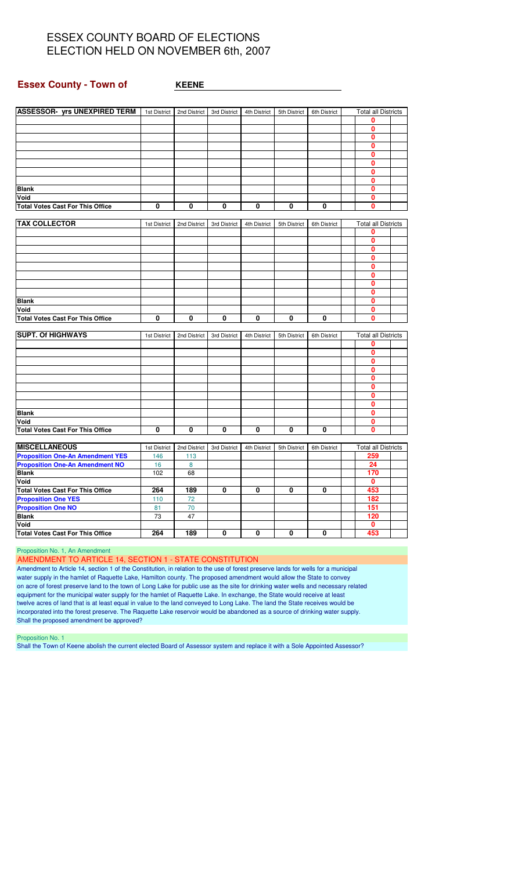#### **Essex County - Town of**  $\qquad$  **<b>KEENE**

| <b>ASSESSOR- yrs UNEXPIRED TERM</b>             | 1st District | 2nd District | 3rd District | 4th District | 5th District | 6th District | <b>Total all Districts</b> |  |
|-------------------------------------------------|--------------|--------------|--------------|--------------|--------------|--------------|----------------------------|--|
|                                                 |              |              |              |              |              |              | 0                          |  |
|                                                 |              |              |              |              |              |              | 0                          |  |
|                                                 |              |              |              |              |              |              | 0                          |  |
|                                                 |              |              |              |              |              |              | $\mathbf{0}$               |  |
|                                                 |              |              |              |              |              |              | 0                          |  |
|                                                 |              |              |              |              |              |              | 0                          |  |
|                                                 |              |              |              |              |              |              | 0                          |  |
|                                                 |              |              |              |              |              |              | 0                          |  |
| <b>Blank</b>                                    |              |              |              |              |              |              | $\mathbf{0}$               |  |
| Void                                            |              |              |              |              |              |              | 0                          |  |
| <b>Total Votes Cast For This Office</b>         | 0            | 0            | 0            | 0            | 0            | 0            | 0                          |  |
|                                                 |              |              |              |              |              |              |                            |  |
| <b>TAX COLLECTOR</b>                            |              |              |              |              |              |              | <b>Total all Districts</b> |  |
|                                                 | 1st District | 2nd District | 3rd District | 4th District | 5th District | 6th District |                            |  |
|                                                 |              |              |              |              |              |              | 0                          |  |
|                                                 |              |              |              |              |              |              | $\mathbf{0}$               |  |
|                                                 |              |              |              |              |              |              | 0                          |  |
|                                                 |              |              |              |              |              |              | 0                          |  |
|                                                 |              |              |              |              |              |              | 0                          |  |
|                                                 |              |              |              |              |              |              | 0                          |  |
|                                                 |              |              |              |              |              |              | 0                          |  |
|                                                 |              |              |              |              |              |              | $\mathbf{0}$               |  |
| <b>Blank</b>                                    |              |              |              |              |              |              | $\mathbf{0}$               |  |
| Void                                            |              |              |              |              |              |              | 0                          |  |
| <b>Total Votes Cast For This Office</b>         | 0            | 0            | 0            | 0            | 0            | 0            | $\mathbf{0}$               |  |
| <b>SUPT. Of HIGHWAYS</b>                        | 1st District | 2nd District | 3rd District | 4th District | 5th District | 6th District | <b>Total all Districts</b> |  |
|                                                 |              |              |              |              |              |              | 0                          |  |
|                                                 |              |              |              |              |              |              | $\bf{0}$                   |  |
|                                                 |              |              |              |              |              |              | 0                          |  |
|                                                 |              |              |              |              |              |              | $\mathbf{0}$               |  |
|                                                 |              |              |              |              |              |              |                            |  |
|                                                 |              |              |              |              |              |              | 0                          |  |
|                                                 |              |              |              |              |              |              | 0                          |  |
|                                                 |              |              |              |              |              |              | $\mathbf{0}$               |  |
|                                                 |              |              |              |              |              |              | 0                          |  |
| <b>Blank</b>                                    |              |              |              |              |              |              | 0                          |  |
| Void                                            |              |              |              |              |              |              | 0                          |  |
| <b>Total Votes Cast For This Office</b>         | 0            | 0            | $\mathbf{0}$ | 0            | 0            | 0            | $\mathbf{0}$               |  |
| <b>MISCELLANEOUS</b>                            | 1st District | 2nd District | 3rd District | 4th District | 5th District | 6th District | <b>Total all Districts</b> |  |
| <b>Proposition One-An Amendment YES</b>         | 146          | 113          |              |              |              |              | 259                        |  |
| <b>Proposition One-An Amendment NO</b>          | 16           | 8            |              |              |              |              | 24                         |  |
| <b>Blank</b>                                    | 102          | 68           |              |              |              |              | 170                        |  |
| Void                                            |              |              |              |              |              |              | 0                          |  |
| <b>Total Votes Cast For This Office</b>         | 264          | 189          | 0            | 0            | 0            | 0            | 453                        |  |
|                                                 |              |              |              |              |              |              |                            |  |
| <b>Proposition One YES</b>                      | 110          | 72           |              |              |              |              | 182                        |  |
| <b>Proposition One NO</b>                       | 81           | 70           |              |              |              |              | 151                        |  |
| <b>Blank</b>                                    | 73           | 47           |              |              |              |              | 120                        |  |
|                                                 |              |              |              |              |              |              |                            |  |
| Void<br><b>Total Votes Cast For This Office</b> | 264          | 189          | 0            | 0            | 0            | 0            | $\mathbf{0}$<br>453        |  |

Proposition No. 1, An Amendment

#### AMENDMENT TO ARTICLE 14, SECTION 1 - STATE CONSTITUTION

Amendment to Article 14, section 1 of the Constitution, in relation to the use of forest preserve lands for wells for a municipal water supply in the hamlet of Raquette Lake, Hamilton county. The proposed amendment would allow the State to convey on acre of forest preserve land to the town of Long Lake for public use as the site for drinking water wells and necessary related equipment for the municipal water supply for the hamlet of Raquette Lake. In exchange, the State would receive at least twelve acres of land that is at least equal in value to the land conveyed to Long Lake. The land the State receives would be incorporated into the forest preserve. The Raquette Lake reservoir would be abandoned as a source of drinking water supply. Shall the proposed amendment be approved?

Proposition No. 1

Shall the Town of Keene abolish the current elected Board of Assessor system and replace it with a Sole Appointed Assessor?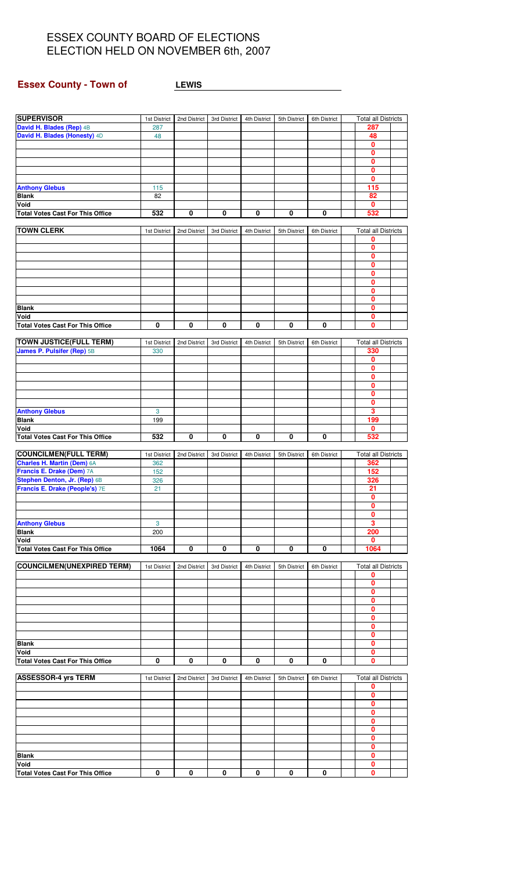# **Essex County - Town of LEWIS**

<u> 1980 - Johann Barbara, martxa a</u>

| <b>SUPERVISOR</b>                       | 1st District | 2nd District | 3rd District | 4th District | 5th District | 6th District | <b>Total all Districts</b> |  |
|-----------------------------------------|--------------|--------------|--------------|--------------|--------------|--------------|----------------------------|--|
| David H. Blades (Rep) 4B                | 287          |              |              |              |              |              | 287                        |  |
| David H. Blades (Honesty) 4D            | 48           |              |              |              |              |              | 48                         |  |
|                                         |              |              |              |              |              |              | 0                          |  |
|                                         |              |              |              |              |              |              | 0                          |  |
|                                         |              |              |              |              |              |              |                            |  |
|                                         |              |              |              |              |              |              | 0                          |  |
|                                         |              |              |              |              |              |              | 0                          |  |
|                                         |              |              |              |              |              |              | 0                          |  |
| <b>Anthony Glebus</b>                   | 115          |              |              |              |              |              | 115                        |  |
| <b>Blank</b>                            | 82           |              |              |              |              |              | 82                         |  |
| Void                                    |              |              |              |              |              |              | 0                          |  |
| <b>Total Votes Cast For This Office</b> | 532          | 0            | 0            | 0            | 0            | 0            | 532                        |  |
|                                         |              |              |              |              |              |              |                            |  |
| <b>TOWN CLERK</b>                       | 1st District | 2nd District | 3rd District | 4th District | 5th District | 6th District | <b>Total all Districts</b> |  |
|                                         |              |              |              |              |              |              |                            |  |
|                                         |              |              |              |              |              |              | 0                          |  |
|                                         |              |              |              |              |              |              | 0                          |  |
|                                         |              |              |              |              |              |              | 0                          |  |
|                                         |              |              |              |              |              |              | 0                          |  |
|                                         |              |              |              |              |              |              | 0                          |  |
|                                         |              |              |              |              |              |              | 0                          |  |
|                                         |              |              |              |              |              |              | $\mathbf{0}$               |  |
|                                         |              |              |              |              |              |              | 0                          |  |
| <b>Blank</b>                            |              |              |              |              |              |              | 0                          |  |
|                                         |              |              |              |              |              |              |                            |  |
| Void                                    |              |              |              |              |              |              | 0                          |  |
| <b>Total Votes Cast For This Office</b> | $\pmb{0}$    | 0            | 0            | 0            | 0            | 0            | 0                          |  |
|                                         |              |              |              |              |              |              |                            |  |
| <b>TOWN JUSTICE(FULL TERM)</b>          | 1st District | 2nd District | 3rd District | 4th District | 5th District | 6th District | <b>Total all Districts</b> |  |
| James P. Pulsifer (Rep) 5B              | 330          |              |              |              |              |              | 330                        |  |
|                                         |              |              |              |              |              |              | 0                          |  |
|                                         |              |              |              |              |              |              | 0                          |  |
|                                         |              |              |              |              |              |              | 0                          |  |
|                                         |              |              |              |              |              |              | 0                          |  |
|                                         |              |              |              |              |              |              | 0                          |  |
|                                         |              |              |              |              |              |              |                            |  |
|                                         |              |              |              |              |              |              | 0                          |  |
| <b>Anthony Glebus</b>                   | $\mathbf{3}$ |              |              |              |              |              | 3                          |  |
| <b>Blank</b>                            | 199          |              |              |              |              |              | 199                        |  |
| Void                                    |              |              |              |              |              |              | 0                          |  |
| <b>Total Votes Cast For This Office</b> | 532          | $\bf{0}$     | 0            | 0            | 0            | 0            | 532                        |  |
|                                         |              |              |              |              |              |              |                            |  |
| <b>COUNCILMEN(FULL TERM)</b>            | 1st District | 2nd District | 3rd District | 4th District | 5th District | 6th District | <b>Total all Districts</b> |  |
| <b>Charles H. Martin (Dem) 6A</b>       | 362          |              |              |              |              |              | 362                        |  |
| Francis E. Drake (Dem) 7A               | 152          |              |              |              |              |              | 152                        |  |
| Stephen Denton, Jr. (Rep) 6B            | 326          |              |              |              |              |              | 326                        |  |
|                                         |              |              |              |              |              |              |                            |  |
| Francis E. Drake (People's) 7E          | 21           |              |              |              |              |              | 21                         |  |
|                                         |              |              |              |              |              |              | $\Omega$                   |  |
|                                         |              |              |              |              |              |              | 0                          |  |
|                                         |              |              |              |              |              |              | 0                          |  |
| <b>Anthony Glebus</b>                   | 3            |              |              |              |              |              | 3                          |  |
| <b>Blank</b>                            | 200          |              |              |              |              |              | 200                        |  |
| Void                                    |              |              |              |              |              |              | 0                          |  |
| <b>Total Votes Cast For This Office</b> | 1064         | 0            | 0            | 0            | 0            | 0            | 1064                       |  |
|                                         |              |              |              |              |              |              |                            |  |
| <b>COUNCILMEN(UNEXPIRED TERM)</b>       | 1st District | 2nd District | 3rd District | 4th District | 5th District | 6th District | <b>Total all Districts</b> |  |
|                                         |              |              |              |              |              |              | 0                          |  |
|                                         |              |              |              |              |              |              | 0                          |  |
|                                         |              |              |              |              |              |              |                            |  |
|                                         |              |              |              |              |              |              | 0                          |  |
|                                         |              |              |              |              |              |              | 0                          |  |
|                                         |              |              |              |              |              |              | 0                          |  |
|                                         |              |              |              |              |              |              | 0                          |  |
|                                         |              |              |              |              |              |              | 0                          |  |
|                                         |              |              |              |              |              |              | 0                          |  |
| <b>Blank</b>                            |              |              |              |              |              |              | 0                          |  |
| Void                                    |              |              |              |              |              |              | 0                          |  |
| <b>Total Votes Cast For This Office</b> | 0            | 0            | 0            | 0            | 0            | 0            | 0                          |  |
|                                         |              |              |              |              |              |              |                            |  |
| <b>ASSESSOR-4 yrs TERM</b>              |              |              |              |              |              |              | <b>Total all Districts</b> |  |
|                                         | 1st District | 2nd District | 3rd District | 4th District | 5th District | 6th District |                            |  |
|                                         |              |              |              |              |              |              | 0                          |  |
|                                         |              |              |              |              |              |              | 0                          |  |
|                                         |              |              |              |              |              |              | 0                          |  |
|                                         |              |              |              |              |              |              | 0                          |  |
|                                         |              |              |              |              |              |              | 0                          |  |
|                                         |              |              |              |              |              |              | 0                          |  |
|                                         |              |              |              |              |              |              | 0                          |  |
|                                         |              |              |              |              |              |              | 0                          |  |
| <b>Blank</b>                            |              |              |              |              |              |              | 0                          |  |
|                                         |              |              |              |              |              |              | 0                          |  |
| Void                                    |              |              |              |              |              |              |                            |  |
| <b>Total Votes Cast For This Office</b> | 0            | 0            | 0            | 0            | 0            | 0            | 0                          |  |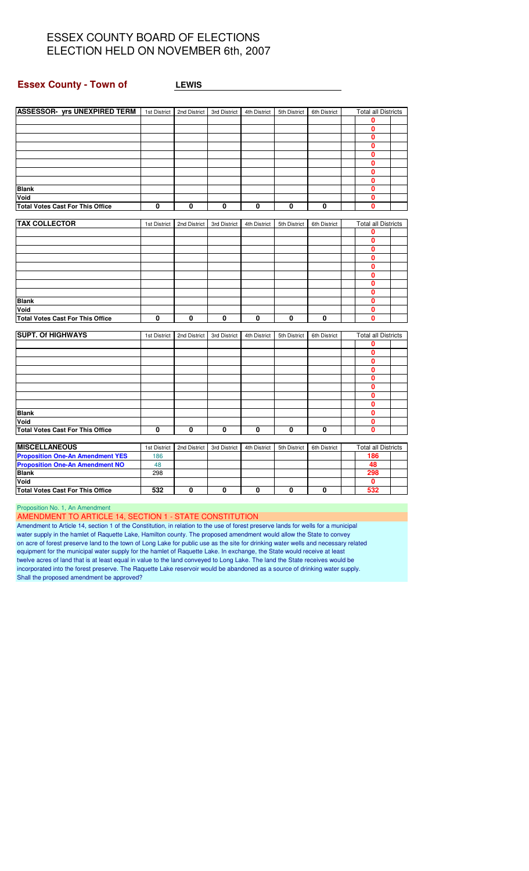#### **Essex County - Town of LEWIS**

| <b>ASSESSOR- yrs UNEXPIRED TERM</b><br><b>Total all Districts</b><br>1st District<br>2nd District<br>3rd District<br>4th District<br>5th District<br>6th District<br>0<br>0<br>$\mathbf{0}$<br>0<br>$\mathbf{0}$<br>0<br>0<br>0<br>0<br><b>Blank</b><br>Void<br>0<br>0<br>$\mathbf{0}$<br><b>Total Votes Cast For This Office</b><br>0<br>0<br>0<br>$\mathbf 0$<br>0<br><b>TAX COLLECTOR</b><br><b>Total all Districts</b><br>2nd District<br>6th District<br>1st District<br>3rd District<br>4th District<br>5th District<br>0<br>0<br>0<br>0<br>0<br>0<br>0<br>0<br>$\mathbf{0}$<br><b>Blank</b><br>Void<br>0<br>0<br>0<br>0<br>0<br>0<br>0<br><b>Total Votes Cast For This Office</b><br>0<br><b>SUPT. Of HIGHWAYS</b><br><b>Total all Districts</b><br>2nd District<br>3rd District<br>4th District<br>5th District<br>6th District<br>1st District<br>0<br>0<br>0<br>0<br>0<br>0<br>0<br>0<br><b>Blank</b><br>0<br>Void<br>0<br>0<br>$\mathbf 0$<br>$\mathbf{0}$<br>0<br>0<br>0<br>0<br><b>Total Votes Cast For This Office</b><br><b>MISCELLANEOUS</b><br><b>Total all Districts</b><br>1st District<br>2nd District<br>3rd District<br>4th District<br>5th District<br>6th District<br><b>Proposition One-An Amendment YES</b><br>186<br>186<br><b>Proposition One-An Amendment NO</b><br>48<br>48<br><b>Blank</b><br>298<br>298<br>Void<br>0<br>532<br>532<br>0<br>0<br>$\mathbf{0}$<br>0<br>0<br><b>Total Votes Cast For This Office</b> |  |  |  |  |  |
|---------------------------------------------------------------------------------------------------------------------------------------------------------------------------------------------------------------------------------------------------------------------------------------------------------------------------------------------------------------------------------------------------------------------------------------------------------------------------------------------------------------------------------------------------------------------------------------------------------------------------------------------------------------------------------------------------------------------------------------------------------------------------------------------------------------------------------------------------------------------------------------------------------------------------------------------------------------------------------------------------------------------------------------------------------------------------------------------------------------------------------------------------------------------------------------------------------------------------------------------------------------------------------------------------------------------------------------------------------------------------------------------------------------------------------------------------|--|--|--|--|--|
|                                                                                                                                                                                                                                                                                                                                                                                                                                                                                                                                                                                                                                                                                                                                                                                                                                                                                                                                                                                                                                                                                                                                                                                                                                                                                                                                                                                                                                                   |  |  |  |  |  |
|                                                                                                                                                                                                                                                                                                                                                                                                                                                                                                                                                                                                                                                                                                                                                                                                                                                                                                                                                                                                                                                                                                                                                                                                                                                                                                                                                                                                                                                   |  |  |  |  |  |
|                                                                                                                                                                                                                                                                                                                                                                                                                                                                                                                                                                                                                                                                                                                                                                                                                                                                                                                                                                                                                                                                                                                                                                                                                                                                                                                                                                                                                                                   |  |  |  |  |  |
|                                                                                                                                                                                                                                                                                                                                                                                                                                                                                                                                                                                                                                                                                                                                                                                                                                                                                                                                                                                                                                                                                                                                                                                                                                                                                                                                                                                                                                                   |  |  |  |  |  |
|                                                                                                                                                                                                                                                                                                                                                                                                                                                                                                                                                                                                                                                                                                                                                                                                                                                                                                                                                                                                                                                                                                                                                                                                                                                                                                                                                                                                                                                   |  |  |  |  |  |
|                                                                                                                                                                                                                                                                                                                                                                                                                                                                                                                                                                                                                                                                                                                                                                                                                                                                                                                                                                                                                                                                                                                                                                                                                                                                                                                                                                                                                                                   |  |  |  |  |  |
|                                                                                                                                                                                                                                                                                                                                                                                                                                                                                                                                                                                                                                                                                                                                                                                                                                                                                                                                                                                                                                                                                                                                                                                                                                                                                                                                                                                                                                                   |  |  |  |  |  |
|                                                                                                                                                                                                                                                                                                                                                                                                                                                                                                                                                                                                                                                                                                                                                                                                                                                                                                                                                                                                                                                                                                                                                                                                                                                                                                                                                                                                                                                   |  |  |  |  |  |
|                                                                                                                                                                                                                                                                                                                                                                                                                                                                                                                                                                                                                                                                                                                                                                                                                                                                                                                                                                                                                                                                                                                                                                                                                                                                                                                                                                                                                                                   |  |  |  |  |  |
|                                                                                                                                                                                                                                                                                                                                                                                                                                                                                                                                                                                                                                                                                                                                                                                                                                                                                                                                                                                                                                                                                                                                                                                                                                                                                                                                                                                                                                                   |  |  |  |  |  |
|                                                                                                                                                                                                                                                                                                                                                                                                                                                                                                                                                                                                                                                                                                                                                                                                                                                                                                                                                                                                                                                                                                                                                                                                                                                                                                                                                                                                                                                   |  |  |  |  |  |
|                                                                                                                                                                                                                                                                                                                                                                                                                                                                                                                                                                                                                                                                                                                                                                                                                                                                                                                                                                                                                                                                                                                                                                                                                                                                                                                                                                                                                                                   |  |  |  |  |  |
|                                                                                                                                                                                                                                                                                                                                                                                                                                                                                                                                                                                                                                                                                                                                                                                                                                                                                                                                                                                                                                                                                                                                                                                                                                                                                                                                                                                                                                                   |  |  |  |  |  |
|                                                                                                                                                                                                                                                                                                                                                                                                                                                                                                                                                                                                                                                                                                                                                                                                                                                                                                                                                                                                                                                                                                                                                                                                                                                                                                                                                                                                                                                   |  |  |  |  |  |
|                                                                                                                                                                                                                                                                                                                                                                                                                                                                                                                                                                                                                                                                                                                                                                                                                                                                                                                                                                                                                                                                                                                                                                                                                                                                                                                                                                                                                                                   |  |  |  |  |  |
|                                                                                                                                                                                                                                                                                                                                                                                                                                                                                                                                                                                                                                                                                                                                                                                                                                                                                                                                                                                                                                                                                                                                                                                                                                                                                                                                                                                                                                                   |  |  |  |  |  |
|                                                                                                                                                                                                                                                                                                                                                                                                                                                                                                                                                                                                                                                                                                                                                                                                                                                                                                                                                                                                                                                                                                                                                                                                                                                                                                                                                                                                                                                   |  |  |  |  |  |
|                                                                                                                                                                                                                                                                                                                                                                                                                                                                                                                                                                                                                                                                                                                                                                                                                                                                                                                                                                                                                                                                                                                                                                                                                                                                                                                                                                                                                                                   |  |  |  |  |  |
|                                                                                                                                                                                                                                                                                                                                                                                                                                                                                                                                                                                                                                                                                                                                                                                                                                                                                                                                                                                                                                                                                                                                                                                                                                                                                                                                                                                                                                                   |  |  |  |  |  |
|                                                                                                                                                                                                                                                                                                                                                                                                                                                                                                                                                                                                                                                                                                                                                                                                                                                                                                                                                                                                                                                                                                                                                                                                                                                                                                                                                                                                                                                   |  |  |  |  |  |
|                                                                                                                                                                                                                                                                                                                                                                                                                                                                                                                                                                                                                                                                                                                                                                                                                                                                                                                                                                                                                                                                                                                                                                                                                                                                                                                                                                                                                                                   |  |  |  |  |  |
|                                                                                                                                                                                                                                                                                                                                                                                                                                                                                                                                                                                                                                                                                                                                                                                                                                                                                                                                                                                                                                                                                                                                                                                                                                                                                                                                                                                                                                                   |  |  |  |  |  |
|                                                                                                                                                                                                                                                                                                                                                                                                                                                                                                                                                                                                                                                                                                                                                                                                                                                                                                                                                                                                                                                                                                                                                                                                                                                                                                                                                                                                                                                   |  |  |  |  |  |
|                                                                                                                                                                                                                                                                                                                                                                                                                                                                                                                                                                                                                                                                                                                                                                                                                                                                                                                                                                                                                                                                                                                                                                                                                                                                                                                                                                                                                                                   |  |  |  |  |  |
|                                                                                                                                                                                                                                                                                                                                                                                                                                                                                                                                                                                                                                                                                                                                                                                                                                                                                                                                                                                                                                                                                                                                                                                                                                                                                                                                                                                                                                                   |  |  |  |  |  |
|                                                                                                                                                                                                                                                                                                                                                                                                                                                                                                                                                                                                                                                                                                                                                                                                                                                                                                                                                                                                                                                                                                                                                                                                                                                                                                                                                                                                                                                   |  |  |  |  |  |
|                                                                                                                                                                                                                                                                                                                                                                                                                                                                                                                                                                                                                                                                                                                                                                                                                                                                                                                                                                                                                                                                                                                                                                                                                                                                                                                                                                                                                                                   |  |  |  |  |  |
|                                                                                                                                                                                                                                                                                                                                                                                                                                                                                                                                                                                                                                                                                                                                                                                                                                                                                                                                                                                                                                                                                                                                                                                                                                                                                                                                                                                                                                                   |  |  |  |  |  |
|                                                                                                                                                                                                                                                                                                                                                                                                                                                                                                                                                                                                                                                                                                                                                                                                                                                                                                                                                                                                                                                                                                                                                                                                                                                                                                                                                                                                                                                   |  |  |  |  |  |
|                                                                                                                                                                                                                                                                                                                                                                                                                                                                                                                                                                                                                                                                                                                                                                                                                                                                                                                                                                                                                                                                                                                                                                                                                                                                                                                                                                                                                                                   |  |  |  |  |  |
|                                                                                                                                                                                                                                                                                                                                                                                                                                                                                                                                                                                                                                                                                                                                                                                                                                                                                                                                                                                                                                                                                                                                                                                                                                                                                                                                                                                                                                                   |  |  |  |  |  |
|                                                                                                                                                                                                                                                                                                                                                                                                                                                                                                                                                                                                                                                                                                                                                                                                                                                                                                                                                                                                                                                                                                                                                                                                                                                                                                                                                                                                                                                   |  |  |  |  |  |
|                                                                                                                                                                                                                                                                                                                                                                                                                                                                                                                                                                                                                                                                                                                                                                                                                                                                                                                                                                                                                                                                                                                                                                                                                                                                                                                                                                                                                                                   |  |  |  |  |  |
|                                                                                                                                                                                                                                                                                                                                                                                                                                                                                                                                                                                                                                                                                                                                                                                                                                                                                                                                                                                                                                                                                                                                                                                                                                                                                                                                                                                                                                                   |  |  |  |  |  |
|                                                                                                                                                                                                                                                                                                                                                                                                                                                                                                                                                                                                                                                                                                                                                                                                                                                                                                                                                                                                                                                                                                                                                                                                                                                                                                                                                                                                                                                   |  |  |  |  |  |
|                                                                                                                                                                                                                                                                                                                                                                                                                                                                                                                                                                                                                                                                                                                                                                                                                                                                                                                                                                                                                                                                                                                                                                                                                                                                                                                                                                                                                                                   |  |  |  |  |  |
|                                                                                                                                                                                                                                                                                                                                                                                                                                                                                                                                                                                                                                                                                                                                                                                                                                                                                                                                                                                                                                                                                                                                                                                                                                                                                                                                                                                                                                                   |  |  |  |  |  |
|                                                                                                                                                                                                                                                                                                                                                                                                                                                                                                                                                                                                                                                                                                                                                                                                                                                                                                                                                                                                                                                                                                                                                                                                                                                                                                                                                                                                                                                   |  |  |  |  |  |
|                                                                                                                                                                                                                                                                                                                                                                                                                                                                                                                                                                                                                                                                                                                                                                                                                                                                                                                                                                                                                                                                                                                                                                                                                                                                                                                                                                                                                                                   |  |  |  |  |  |
|                                                                                                                                                                                                                                                                                                                                                                                                                                                                                                                                                                                                                                                                                                                                                                                                                                                                                                                                                                                                                                                                                                                                                                                                                                                                                                                                                                                                                                                   |  |  |  |  |  |
|                                                                                                                                                                                                                                                                                                                                                                                                                                                                                                                                                                                                                                                                                                                                                                                                                                                                                                                                                                                                                                                                                                                                                                                                                                                                                                                                                                                                                                                   |  |  |  |  |  |
|                                                                                                                                                                                                                                                                                                                                                                                                                                                                                                                                                                                                                                                                                                                                                                                                                                                                                                                                                                                                                                                                                                                                                                                                                                                                                                                                                                                                                                                   |  |  |  |  |  |
|                                                                                                                                                                                                                                                                                                                                                                                                                                                                                                                                                                                                                                                                                                                                                                                                                                                                                                                                                                                                                                                                                                                                                                                                                                                                                                                                                                                                                                                   |  |  |  |  |  |
|                                                                                                                                                                                                                                                                                                                                                                                                                                                                                                                                                                                                                                                                                                                                                                                                                                                                                                                                                                                                                                                                                                                                                                                                                                                                                                                                                                                                                                                   |  |  |  |  |  |
|                                                                                                                                                                                                                                                                                                                                                                                                                                                                                                                                                                                                                                                                                                                                                                                                                                                                                                                                                                                                                                                                                                                                                                                                                                                                                                                                                                                                                                                   |  |  |  |  |  |

Proposition No. 1, An Amendment

AMENDMENT TO ARTICLE 14, SECTION 1 - STATE CONSTITUTION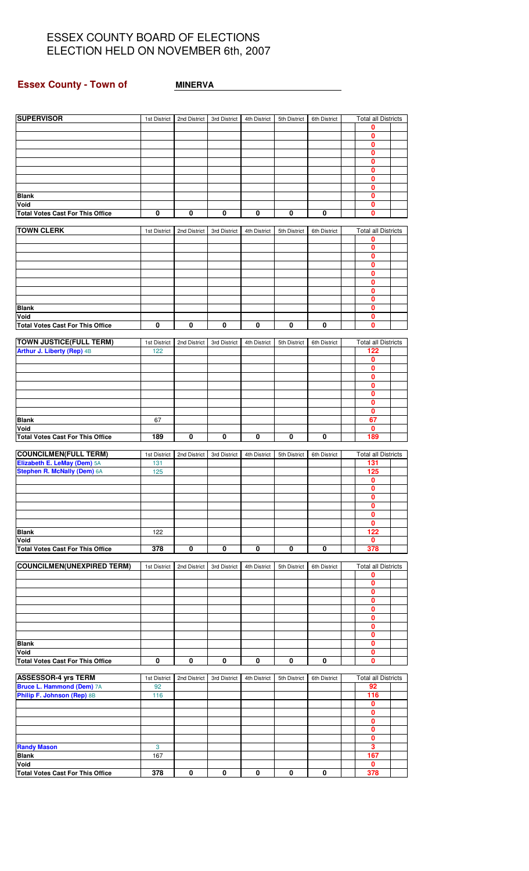## **Essex County - Town of <b>MINERVA**

| <b>SUPERVISOR</b>                       | 1st District | 2nd District | 3rd District | 4th District | 5th District | 6th District | <b>Total all Districts</b>  |  |
|-----------------------------------------|--------------|--------------|--------------|--------------|--------------|--------------|-----------------------------|--|
|                                         |              |              |              |              |              |              | 0                           |  |
|                                         |              |              |              |              |              |              | $\mathbf 0$<br>0            |  |
|                                         |              |              |              |              |              |              | $\mathbf 0$                 |  |
|                                         |              |              |              |              |              |              | $\bf{0}$                    |  |
|                                         |              |              |              |              |              |              | 0                           |  |
|                                         |              |              |              |              |              |              | 0<br>$\mathbf{0}$           |  |
| <b>Blank</b>                            |              |              |              |              |              |              | $\mathbf 0$                 |  |
| Void                                    |              |              |              |              |              |              | 0                           |  |
| <b>Total Votes Cast For This Office</b> | 0            | $\bf{0}$     | 0            | $\pmb{0}$    | 0            | $\pmb{0}$    | $\mathbf{0}$                |  |
| <b>TOWN CLERK</b>                       | 1st District | 2nd District | 3rd District | 4th District | 5th District | 6th District | <b>Total all Districts</b>  |  |
|                                         |              |              |              |              |              |              | 0                           |  |
|                                         |              |              |              |              |              |              | $\mathbf 0$                 |  |
|                                         |              |              |              |              |              |              | $\mathbf 0$                 |  |
|                                         |              |              |              |              |              |              | 0<br>0                      |  |
|                                         |              |              |              |              |              |              | 0                           |  |
|                                         |              |              |              |              |              |              | 0                           |  |
|                                         |              |              |              |              |              |              | 0                           |  |
| <b>Blank</b><br>Void                    |              |              |              |              |              |              | 0<br>0                      |  |
| <b>Total Votes Cast For This Office</b> | 0            | $\bf{0}$     | 0            | 0            | 0            | $\mathbf 0$  | $\bf{0}$                    |  |
|                                         |              |              |              |              |              |              |                             |  |
| <b>TOWN JUSTICE(FULL TERM)</b>          | 1st District | 2nd District | 3rd District | 4th District | 5th District | 6th District | <b>Total all Districts</b>  |  |
| Arthur J. Liberty (Rep) 4B              | 122          |              |              |              |              |              | 122<br>0                    |  |
|                                         |              |              |              |              |              |              | $\mathbf 0$                 |  |
|                                         |              |              |              |              |              |              | 0                           |  |
|                                         |              |              |              |              |              |              | 0                           |  |
|                                         |              |              |              |              |              |              | 0<br>0                      |  |
|                                         |              |              |              |              |              |              | $\mathbf 0$                 |  |
| <b>Blank</b>                            | 67           |              |              |              |              |              | 67                          |  |
| Void                                    | 189          | 0            | 0            | 0            | 0            | $\bf{0}$     | 0<br>189                    |  |
| <b>Total Votes Cast For This Office</b> |              |              |              |              |              |              |                             |  |
| <b>COUNCILMEN(FULL TERM)</b>            | 1st District | 2nd District | 3rd District | 4th District | 5th District | 6th District | <b>Total all Districts</b>  |  |
| Elizabeth E. LeMay (Dem) 5A             | 131          |              |              |              |              |              | 131                         |  |
| Stephen R. McNally (Dem) 6A             | 125          |              |              |              |              |              | 125<br>0                    |  |
|                                         |              |              |              |              |              |              | $\mathbf{0}$                |  |
|                                         |              |              |              |              |              |              | $\mathbf 0$                 |  |
|                                         |              |              |              |              |              |              | 0                           |  |
|                                         |              |              |              |              |              |              | $\bf{0}$<br>$\mathbf 0$     |  |
| <b>Blank</b>                            | 122          |              |              |              |              |              | 122                         |  |
| Void                                    |              |              |              |              |              |              | $\mathbf{0}$                |  |
| <b>Total Votes Cast For This Office</b> | 378          | 0            | 0            | 0            | 0            | 0            | 378                         |  |
| <b>COUNCILMEN(UNEXPIRED TERM)</b>       | 1st District | 2nd District | 3rd District | 4th District | 5th District | 6th District | <b>Total all Districts</b>  |  |
|                                         |              |              |              |              |              |              | 0                           |  |
|                                         |              |              |              |              |              |              | 0                           |  |
|                                         |              |              |              |              |              |              | $\mathbf{0}$<br>$\mathbf 0$ |  |
|                                         |              |              |              |              |              |              | 0                           |  |
|                                         |              |              |              |              |              |              | $\mathbf{0}$                |  |
|                                         |              |              |              |              |              |              | $\mathbf 0$<br>0            |  |
| <b>Blank</b>                            |              |              |              |              |              |              | 0                           |  |
| Void                                    |              |              |              |              |              |              | 0                           |  |
| <b>Total Votes Cast For This Office</b> | 0            | 0            | 0            | 0            | 0            | 0            | 0                           |  |
| <b>ASSESSOR-4 yrs TERM</b>              | 1st District | 2nd District | 3rd District | 4th District | 5th District | 6th District | <b>Total all Districts</b>  |  |
| Bruce L. Hammond (Dem) 7A               | 92           |              |              |              |              |              | 92                          |  |
| Philip F. Johnson (Rep) 8B              | 116          |              |              |              |              |              | 116                         |  |
|                                         |              |              |              |              |              |              | 0                           |  |
|                                         |              |              |              |              |              |              | $\mathbf 0$<br>$\pmb{0}$    |  |
|                                         |              |              |              |              |              |              | 0                           |  |
|                                         |              |              |              |              |              |              | $\mathbf 0$                 |  |
| <b>Randy Mason</b>                      | 3            |              |              |              |              |              | 3                           |  |
| <b>Blank</b><br>Void                    | 167          |              |              |              |              |              | 167<br>0                    |  |
| <b>Total Votes Cast For This Office</b> | 378          | 0            | 0            | 0            | $\mathbf 0$  | 0            | 378                         |  |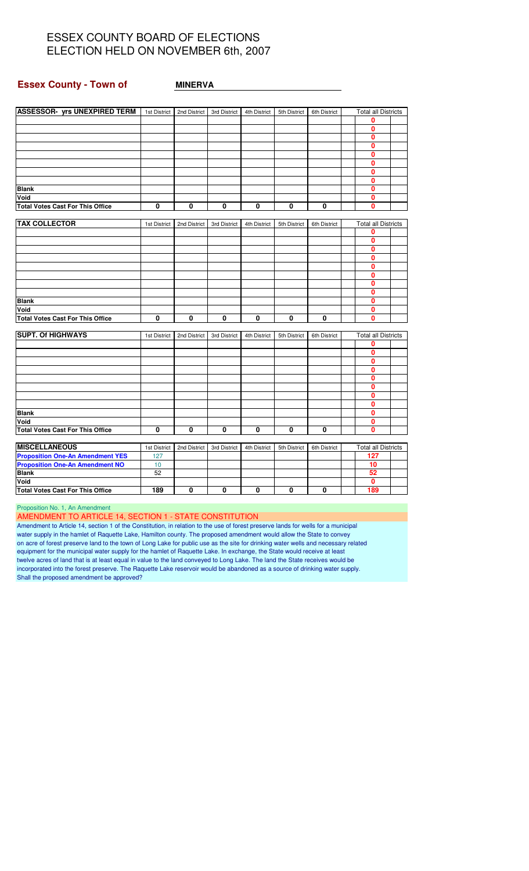#### **Essex County - Town of MINERVA**

| ASSESSOR- yrs UNEXPIRED TERM   1st District   2nd District |                 |              | 3rd District | 4th District | 5th District | 6th District | <b>Total all Districts</b> |  |
|------------------------------------------------------------|-----------------|--------------|--------------|--------------|--------------|--------------|----------------------------|--|
|                                                            |                 |              |              |              |              |              | 0                          |  |
|                                                            |                 |              |              |              |              |              | 0                          |  |
|                                                            |                 |              |              |              |              |              | 0                          |  |
|                                                            |                 |              |              |              |              |              | 0                          |  |
|                                                            |                 |              |              |              |              |              | 0                          |  |
|                                                            |                 |              |              |              |              |              | 0                          |  |
|                                                            |                 |              |              |              |              |              | 0                          |  |
|                                                            |                 |              |              |              |              |              | $\mathbf{0}$               |  |
| <b>Blank</b>                                               |                 |              |              |              |              |              | 0                          |  |
| Void                                                       |                 |              |              |              |              |              | 0                          |  |
| <b>Total Votes Cast For This Office</b>                    | 0               | 0            | 0            | 0            | 0            | 0            | 0                          |  |
|                                                            |                 |              |              |              |              |              |                            |  |
| <b>TAX COLLECTOR</b>                                       | 1st District    | 2nd District | 3rd District | 4th District | 5th District | 6th District | <b>Total all Districts</b> |  |
|                                                            |                 |              |              |              |              |              | 0                          |  |
|                                                            |                 |              |              |              |              |              | 0                          |  |
|                                                            |                 |              |              |              |              |              | $\mathbf{0}$               |  |
|                                                            |                 |              |              |              |              |              | $\mathbf{0}$               |  |
|                                                            |                 |              |              |              |              |              | 0                          |  |
|                                                            |                 |              |              |              |              |              | $\mathbf{0}$               |  |
|                                                            |                 |              |              |              |              |              | 0                          |  |
|                                                            |                 |              |              |              |              |              | 0                          |  |
| <b>Blank</b>                                               |                 |              |              |              |              |              | 0                          |  |
| Void                                                       |                 |              |              |              |              |              | 0                          |  |
| <b>Total Votes Cast For This Office</b>                    | $\mathbf 0$     | 0            | 0            | 0            | $\mathbf{0}$ | $\mathbf{0}$ | 0                          |  |
|                                                            |                 |              |              |              |              |              |                            |  |
| <b>SUPT. Of HIGHWAYS</b>                                   | 1st District    | 2nd District | 3rd District | 4th District | 5th District | 6th District | <b>Total all Districts</b> |  |
|                                                            |                 |              |              |              |              |              | 0                          |  |
|                                                            |                 |              |              |              |              |              | $\mathbf{0}$               |  |
|                                                            |                 |              |              |              |              |              | 0                          |  |
|                                                            |                 |              |              |              |              |              | 0                          |  |
|                                                            |                 |              |              |              |              |              | 0                          |  |
|                                                            |                 |              |              |              |              |              | 0                          |  |
|                                                            |                 |              |              |              |              |              | 0                          |  |
|                                                            |                 |              |              |              |              |              | 0                          |  |
| <b>Blank</b>                                               |                 |              |              |              |              |              | 0                          |  |
| Void                                                       |                 |              |              |              |              |              | 0                          |  |
| <b>Total Votes Cast For This Office</b>                    | 0               | 0            | 0            | 0            | 0            | 0            | $\mathbf{0}$               |  |
|                                                            |                 |              |              |              |              |              |                            |  |
| <b>MISCELLANEOUS</b>                                       | 1st District    | 2nd District | 3rd District | 4th District | 5th District | 6th District | <b>Total all Districts</b> |  |
| <b>Proposition One-An Amendment YES</b>                    | 127             |              |              |              |              |              | 127                        |  |
| <b>Proposition One-An Amendment NO</b>                     | 10 <sup>1</sup> |              |              |              |              |              | 10                         |  |
| <b>Blank</b>                                               | 52              |              |              |              |              |              | 52                         |  |
| Void                                                       |                 |              |              |              |              |              | 0                          |  |
| <b>Total Votes Cast For This Office</b>                    | 189             | 0            | 0            | 0            | 0            | 0            | 189                        |  |
|                                                            |                 |              |              |              |              |              |                            |  |

Proposition No. 1, An Amendment

AMENDMENT TO ARTICLE 14, SECTION 1 - STATE CONSTITUTION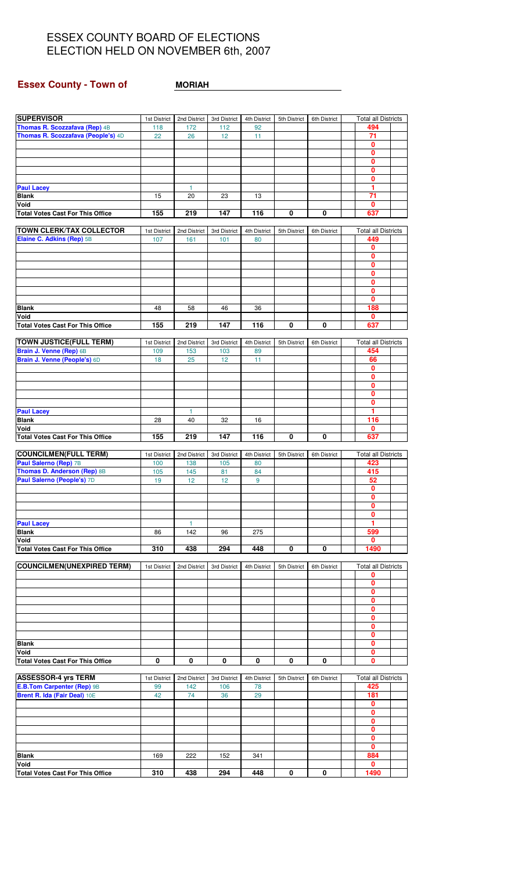## **Essex County - Town of <b>MORIAH**

| <b>SUPERVISOR</b>                                       | 1st District        | 2nd District        | 3rd District        | 4th District       | 5th District | 6th District | <b>Total all Districts</b>        |  |
|---------------------------------------------------------|---------------------|---------------------|---------------------|--------------------|--------------|--------------|-----------------------------------|--|
| <b>Thomas R. Scozzafava (Rep) 4B</b>                    | 118                 | 172                 | 112                 | 92                 |              |              | 494                               |  |
| Thomas R. Scozzafava (People's) 4D                      | 22                  | 26                  | 12                  | 11                 |              |              | 71                                |  |
|                                                         |                     |                     |                     |                    |              |              | $\mathbf{0}$<br>0                 |  |
|                                                         |                     |                     |                     |                    |              |              | $\pmb{0}$                         |  |
|                                                         |                     |                     |                     |                    |              |              | 0                                 |  |
|                                                         |                     |                     |                     |                    |              |              | 0                                 |  |
| <b>Paul Lacey</b>                                       |                     | $\mathbf{1}$        |                     |                    |              |              | 1                                 |  |
| <b>Blank</b><br>Void                                    | 15                  | 20                  | 23                  | 13                 |              |              | 71                                |  |
| <b>Total Votes Cast For This Office</b>                 | 155                 | 219                 | 147                 | 116                | 0            | 0            | 0<br>637                          |  |
|                                                         |                     |                     |                     |                    |              |              |                                   |  |
| <b>TOWN CLERK/TAX COLLECTOR</b>                         | 1st District        | 2nd District        | 3rd District        | 4th District       | 5th District | 6th District | <b>Total all Districts</b>        |  |
| Elaine C. Adkins (Rep) 5B                               | 107                 | 161                 | 101                 | 80                 |              |              | 449                               |  |
|                                                         |                     |                     |                     |                    |              |              | 0<br>0                            |  |
|                                                         |                     |                     |                     |                    |              |              | 0                                 |  |
|                                                         |                     |                     |                     |                    |              |              | 0                                 |  |
|                                                         |                     |                     |                     |                    |              |              | $\mathbf 0$                       |  |
|                                                         |                     |                     |                     |                    |              |              | 0                                 |  |
|                                                         | 48                  |                     |                     |                    |              |              | 0<br>188                          |  |
| <b>Blank</b><br>Void                                    |                     | 58                  | 46                  | 36                 |              |              | 0                                 |  |
| <b>Total Votes Cast For This Office</b>                 | 155                 | 219                 | 147                 | 116                | 0            | 0            | 637                               |  |
|                                                         |                     |                     |                     |                    |              |              |                                   |  |
| <b>TOWN JUSTICE(FULL TERM)</b>                          | 1st District        | 2nd District        | 3rd District        | 4th District       | 5th District | 6th District | <b>Total all Districts</b>        |  |
| Brain J. Venne (Rep) 6B<br>Brain J. Venne (People's) 6D | 109                 | 153<br>25           | 103                 | 89                 |              |              | 454                               |  |
|                                                         | 18                  |                     | 12                  | 11                 |              |              | 66<br>$\overline{\mathbf{0}}$     |  |
|                                                         |                     |                     |                     |                    |              |              | 0                                 |  |
|                                                         |                     |                     |                     |                    |              |              | 0                                 |  |
|                                                         |                     |                     |                     |                    |              |              | 0                                 |  |
|                                                         |                     |                     |                     |                    |              |              | 0<br>1                            |  |
| <b>Paul Lacey</b><br><b>Blank</b>                       | 28                  | 1<br>40             | 32                  | 16                 |              |              | 116                               |  |
| Void                                                    |                     |                     |                     |                    |              |              | 0                                 |  |
| <b>Total Votes Cast For This Office</b>                 | 155                 | 219                 | 147                 | 116                | 0            | $\mathbf{0}$ | 637                               |  |
|                                                         |                     |                     |                     |                    |              |              |                                   |  |
| <b>COUNCILMEN(FULL TERM)</b><br>Paul Salerno (Rep) 7B   | 1st District<br>100 | 2nd District<br>138 | 3rd District<br>105 | 4th District<br>80 | 5th District | 6th District | <b>Total all Districts</b><br>423 |  |
| <b>Thomas D. Anderson (Rep) 8B</b>                      | 105                 | 145                 | 81                  | 84                 |              |              | 415                               |  |
| Paul Salerno (People's) 7D                              | 19                  | 12                  | 12                  | 9                  |              |              | 52                                |  |
|                                                         |                     |                     |                     |                    |              |              | 0                                 |  |
|                                                         |                     |                     |                     |                    |              |              | $\mathbf{0}$                      |  |
|                                                         |                     |                     |                     |                    |              |              | 0<br>0                            |  |
| <b>Paul Lacey</b>                                       |                     | 1                   |                     |                    |              |              | 1                                 |  |
| <b>Blank</b>                                            | 86                  | 142                 | 96                  | 275                |              |              | 599                               |  |
| Void                                                    |                     |                     |                     |                    |              |              | 0                                 |  |
| <b>Total Votes Cast For This Office</b>                 | 310                 | 438                 | 294                 | 448                | 0            | 0            | 1490                              |  |
| <b>COUNCILMEN(UNEXPIRED TERM)</b>                       | 1st District        | 2nd District        | 3rd District        | 4th District       | 5th District | 6th District | <b>Total all Districts</b>        |  |
|                                                         |                     |                     |                     |                    |              |              | 0                                 |  |
|                                                         |                     |                     |                     |                    |              |              | 0                                 |  |
|                                                         |                     |                     |                     |                    |              |              | $\mathbf{0}$                      |  |
|                                                         |                     |                     |                     |                    |              |              | 0<br>0                            |  |
|                                                         |                     |                     |                     |                    |              |              | 0                                 |  |
|                                                         |                     |                     |                     |                    |              |              | $\mathbf{0}$                      |  |
|                                                         |                     |                     |                     |                    |              |              | 0                                 |  |
| <b>Blank</b>                                            |                     |                     |                     |                    |              |              | 0                                 |  |
| Void                                                    | 0                   | 0                   | 0                   | 0                  | 0            | 0            | $\overline{\mathbf{0}}$<br>0      |  |
| <b>Total Votes Cast For This Office</b>                 |                     |                     |                     |                    |              |              |                                   |  |
| <b>ASSESSOR-4 yrs TERM</b>                              | 1st District        | 2nd District        | 3rd District        | 4th District       | 5th District | 6th District | <b>Total all Districts</b>        |  |
| <b>E.B.Tom Carpenter (Rep) 9B</b>                       | 99                  | 142                 | 106                 | 78                 |              |              | 425                               |  |
| Brent R. Ida (Fair Deal) 10E                            | 42                  | 74                  | 36                  | 29                 |              |              | 181                               |  |
|                                                         |                     |                     |                     |                    |              |              | 0<br>0                            |  |
|                                                         |                     |                     |                     |                    |              |              | 0                                 |  |
|                                                         |                     |                     |                     |                    |              |              | 0                                 |  |
|                                                         |                     |                     |                     |                    |              |              | 0                                 |  |
|                                                         |                     |                     |                     |                    |              |              |                                   |  |
|                                                         |                     |                     |                     |                    |              |              | 0                                 |  |
| <b>Blank</b><br>Void                                    | 169                 | 222                 | 152                 | 341                |              |              | 884<br>0                          |  |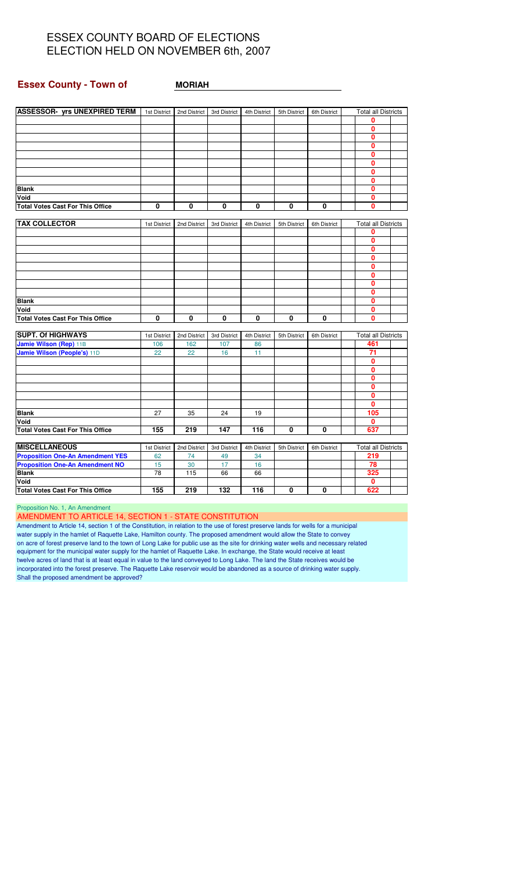#### **Essex County - Town of MORIAH**

| <b>ASSESSOR- yrs UNEXPIRED TERM</b>     | 1st District | 2nd District | 3rd District | 4th District | 5th District | 6th District | <b>Total all Districts</b> |  |
|-----------------------------------------|--------------|--------------|--------------|--------------|--------------|--------------|----------------------------|--|
|                                         |              |              |              |              |              |              | 0                          |  |
|                                         |              |              |              |              |              |              | 0                          |  |
|                                         |              |              |              |              |              |              | 0                          |  |
|                                         |              |              |              |              |              |              | 0                          |  |
|                                         |              |              |              |              |              |              | 0                          |  |
|                                         |              |              |              |              |              |              | 0                          |  |
|                                         |              |              |              |              |              |              | $\mathbf{0}$               |  |
|                                         |              |              |              |              |              |              | 0                          |  |
| <b>Blank</b>                            |              |              |              |              |              |              | 0                          |  |
| Void                                    |              |              |              |              |              |              | 0                          |  |
| <b>Total Votes Cast For This Office</b> | 0            | 0            | 0            | 0            | 0            | 0            | O                          |  |
|                                         |              |              |              |              |              |              |                            |  |
| <b>TAX COLLECTOR</b>                    | 1st District | 2nd District | 3rd District | 4th District | 5th District | 6th District | <b>Total all Districts</b> |  |
|                                         |              |              |              |              |              |              | 0                          |  |
|                                         |              |              |              |              |              |              | $\mathbf{0}$               |  |
|                                         |              |              |              |              |              |              | 0                          |  |
|                                         |              |              |              |              |              |              | 0                          |  |
|                                         |              |              |              |              |              |              | 0                          |  |
|                                         |              |              |              |              |              |              | 0                          |  |
|                                         |              |              |              |              |              |              | 0                          |  |
|                                         |              |              |              |              |              |              | 0                          |  |
| <b>Blank</b>                            |              |              |              |              |              |              | 0                          |  |
| Void                                    |              |              |              |              |              |              | 0                          |  |
| <b>Total Votes Cast For This Office</b> | 0            | $\bf{0}$     | 0            | 0            | 0            | 0            | 0                          |  |
|                                         |              |              |              |              |              |              |                            |  |
| <b>SUPT. Of HIGHWAYS</b>                | 1st District | 2nd District | 3rd District | 4th District | 5th District | 6th District | <b>Total all Districts</b> |  |
| Jamie Wilson (Rep) 11B                  | 106          | 162          | 107          | 86           |              |              | 461                        |  |
| Jamie Wilson (People's) 11D             | 22           | 22           | 16           | 11           |              |              | 71                         |  |
|                                         |              |              |              |              |              |              | 0                          |  |
|                                         |              |              |              |              |              |              | 0                          |  |
|                                         |              |              |              |              |              |              | 0                          |  |
|                                         |              |              |              |              |              |              | 0                          |  |
|                                         |              |              |              |              |              |              | 0                          |  |
|                                         |              |              |              |              |              |              | 0                          |  |
| <b>Blank</b>                            | 27           | 35           | 24           | 19           |              |              | 105                        |  |
| Void                                    |              |              |              |              |              |              | 0                          |  |
| <b>Total Votes Cast For This Office</b> | 155          | 219          | 147          | 116          | 0            | 0            | 637                        |  |
| <b>MISCELLANEOUS</b>                    | 1st District | 2nd District | 3rd District | 4th District | 5th District | 6th District | <b>Total all Districts</b> |  |
| <b>Proposition One-An Amendment YES</b> | 62           | 74           | 49           | 34           |              |              | 219                        |  |
| <b>Proposition One-An Amendment NO</b>  | 15           | 30           | 17           | 16           |              |              | 78                         |  |
| <b>Blank</b>                            | 78           | 115          | 66           | 66           |              |              | 325                        |  |
| Void                                    |              |              |              |              |              |              | 0                          |  |
| <b>Total Votes Cast For This Office</b> | 155          | 219          | 132          | 116          | 0            | 0            | 622                        |  |

Proposition No. 1, An Amendment

AMENDMENT TO ARTICLE 14, SECTION 1 - STATE CONSTITUTION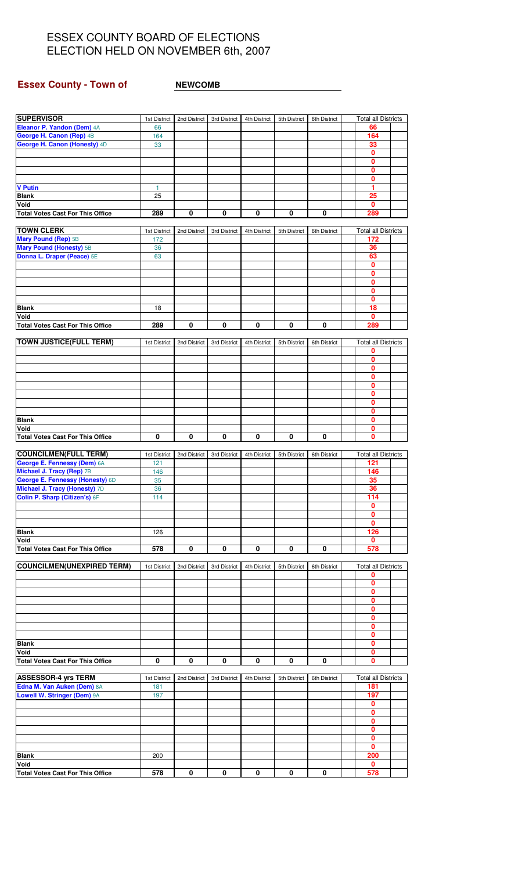## **Essex County - Town of <b>WEWCOMB**

| <b>SUPERVISOR</b>                                        | 1st District | 2nd District | 3rd District            | 4th District | 5th District | 6th District | <b>Total all Districts</b>        |  |
|----------------------------------------------------------|--------------|--------------|-------------------------|--------------|--------------|--------------|-----------------------------------|--|
| Eleanor P. Yandon (Dem) 4A                               | 66           |              |                         |              |              |              | 66                                |  |
| George H. Canon (Rep) 4B                                 | 164          |              |                         |              |              |              | 164                               |  |
| George H. Canon (Honesty) 4D                             | 33           |              |                         |              |              |              | 33<br>$\mathbf{0}$                |  |
|                                                          |              |              |                         |              |              |              | $\mathbf{0}$                      |  |
|                                                          |              |              |                         |              |              |              | 0                                 |  |
|                                                          |              |              |                         |              |              |              | 0                                 |  |
| <b>V</b> Putin                                           | $\mathbf{1}$ |              |                         |              |              |              | 1                                 |  |
| <b>Blank</b>                                             | 25           |              |                         |              |              |              | 25                                |  |
| Void                                                     |              |              |                         |              |              |              | 0                                 |  |
| <b>Total Votes Cast For This Office</b>                  | 289          | 0            | $\mathbf 0$             | 0            | 0            | 0            | 289                               |  |
|                                                          |              |              |                         |              |              |              |                                   |  |
| <b>TOWN CLERK</b>                                        | 1st District | 2nd District | 3rd District            | 4th District | 5th District | 6th District | <b>Total all Districts</b><br>172 |  |
| Mary Pound (Rep) 5B<br><b>Mary Pound (Honesty) 5B</b>    | 172<br>36    |              |                         |              |              |              | 36                                |  |
| Donna L. Draper (Peace) 5E                               | 63           |              |                         |              |              |              | 63                                |  |
|                                                          |              |              |                         |              |              |              | 0                                 |  |
|                                                          |              |              |                         |              |              |              | 0                                 |  |
|                                                          |              |              |                         |              |              |              | $\mathbf{0}$                      |  |
|                                                          |              |              |                         |              |              |              | $\mathbf{0}$                      |  |
|                                                          |              |              |                         |              |              |              | 0                                 |  |
| <b>Blank</b>                                             | 18           |              |                         |              |              |              | $\overline{18}$                   |  |
| Void<br><b>Total Votes Cast For This Office</b>          | 289          | 0            | $\pmb{0}$               | 0            | 0            | 0            | $\mathbf{0}$<br>289               |  |
|                                                          |              |              |                         |              |              |              |                                   |  |
| <b>TOWN JUSTICE(FULL TERM)</b>                           | 1st District | 2nd District | 3rd District            | 4th District | 5th District | 6th District | <b>Total all Districts</b>        |  |
|                                                          |              |              |                         |              |              |              | 0                                 |  |
|                                                          |              |              |                         |              |              |              | $\bf{0}$                          |  |
|                                                          |              |              |                         |              |              |              | $\mathbf{0}$                      |  |
|                                                          |              |              |                         |              |              |              | 0                                 |  |
|                                                          |              |              |                         |              |              |              | $\mathbf{0}$                      |  |
|                                                          |              |              |                         |              |              |              | $\mathbf{0}$<br>0                 |  |
|                                                          |              |              |                         |              |              |              | $\mathbf{0}$                      |  |
| <b>Blank</b>                                             |              |              |                         |              |              |              | 0                                 |  |
| Void                                                     |              |              |                         |              |              |              | 0                                 |  |
| <b>Total Votes Cast For This Office</b>                  | 0            | 0            | $\overline{\mathbf{0}}$ | 0            | 0            | 0            | $\mathbf{0}$                      |  |
|                                                          |              |              |                         |              |              |              |                                   |  |
| <b>COUNCILMEN(FULL TERM)</b>                             | 1st District | 2nd District | 3rd District            | 4th District | 5th District | 6th District | <b>Total all Districts</b>        |  |
| George E. Fennessy (Dem) 6A<br>Michael J. Tracy (Rep) 7B | 121<br>146   |              |                         |              |              |              | 121<br>146                        |  |
| George E. Fennessy (Honesty) 6D                          | 35           |              |                         |              |              |              | 35                                |  |
| Michael J. Tracy (Honesty) 7D                            | 36           |              |                         |              |              |              | 36                                |  |
| Colin P. Sharp (Citizen's) 6F                            | 114          |              |                         |              |              |              | 114                               |  |
|                                                          |              |              |                         |              |              |              | 0                                 |  |
|                                                          |              |              |                         |              |              |              | 0                                 |  |
|                                                          |              |              |                         |              |              |              | 0                                 |  |
| <b>Blank</b>                                             | 126          |              |                         |              |              |              | 126                               |  |
| Void<br><b>Total Votes Cast For This Office</b>          | 578          | 0            | 0                       | 0            | 0            | 0            | 0<br>578                          |  |
|                                                          |              |              |                         |              |              |              |                                   |  |
| <b>COUNCILMEN(UNEXPIRED TERM)</b>                        | 1st District | 2nd District | 3rd District            | 4th District | 5th District | 6th District | <b>Total all Districts</b>        |  |
|                                                          |              |              |                         |              |              |              | 0                                 |  |
|                                                          |              |              |                         |              |              |              | 0                                 |  |
|                                                          |              |              |                         |              |              |              | $\mathbf{0}$                      |  |
|                                                          |              |              |                         |              |              |              | 0<br>0                            |  |
|                                                          |              |              |                         |              |              |              | $\mathbf{0}$                      |  |
|                                                          |              |              |                         |              |              |              | 0                                 |  |
|                                                          |              |              |                         |              |              |              | 0                                 |  |
| <b>Blank</b>                                             |              |              |                         |              |              |              | $\mathbf{0}$                      |  |
| Void                                                     |              |              |                         |              |              |              | 0                                 |  |
| <b>Total Votes Cast For This Office</b>                  | 0            | 0            | 0                       | 0            | 0            | 0            | 0                                 |  |
| <b>ASSESSOR-4 yrs TERM</b>                               | 1st District | 2nd District | 3rd District            | 4th District | 5th District | 6th District | <b>Total all Districts</b>        |  |
| Edna M. Van Auken (Dem) 8A                               | 181          |              |                         |              |              |              | 181                               |  |
| Lowell W. Stringer (Dem) 9A                              | 197          |              |                         |              |              |              | 197                               |  |
|                                                          |              |              |                         |              |              |              | 0                                 |  |
|                                                          |              |              |                         |              |              |              | 0                                 |  |
|                                                          |              |              |                         |              |              |              | $\mathbf{0}$                      |  |
|                                                          |              |              |                         |              |              |              | 0                                 |  |
|                                                          |              |              |                         |              |              |              | 0                                 |  |
| <b>Blank</b>                                             |              |              |                         |              |              |              | $\mathbf{0}$<br>200               |  |
| Void                                                     | 200          |              |                         |              |              |              | 0                                 |  |
| <b>Total Votes Cast For This Office</b>                  | 578          | 0            | 0                       | 0            | 0            | 0            | 578                               |  |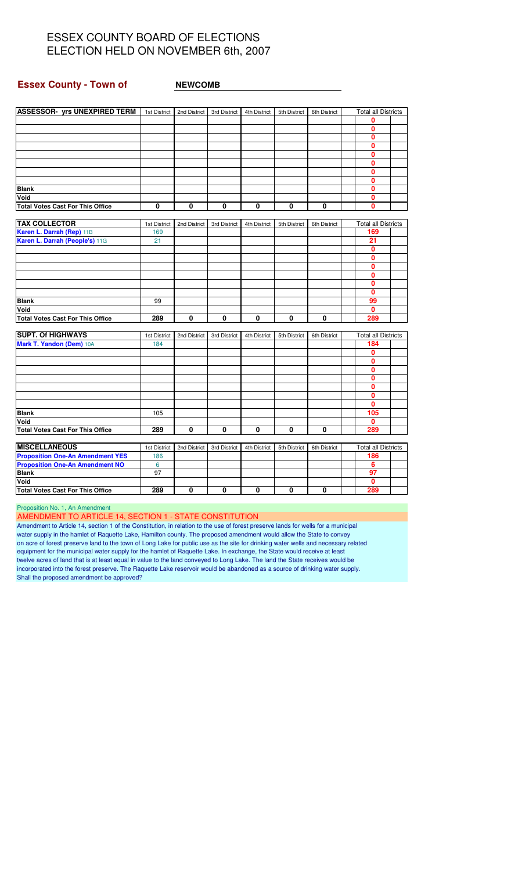#### **Essex County - Town of NEWCOMB**

| ASSESSOR- yrs UNEXPIRED TERM   1st District   2nd District   3rd District |              |              |              | 4th District | 5th District | 6th District | <b>Total all Districts</b> |  |
|---------------------------------------------------------------------------|--------------|--------------|--------------|--------------|--------------|--------------|----------------------------|--|
|                                                                           |              |              |              |              |              |              | 0                          |  |
|                                                                           |              |              |              |              |              |              | 0                          |  |
|                                                                           |              |              |              |              |              |              | 0                          |  |
|                                                                           |              |              |              |              |              |              | 0                          |  |
|                                                                           |              |              |              |              |              |              | 0                          |  |
|                                                                           |              |              |              |              |              |              | 0                          |  |
|                                                                           |              |              |              |              |              |              | 0                          |  |
|                                                                           |              |              |              |              |              |              | 0                          |  |
| <b>Blank</b>                                                              |              |              |              |              |              |              | 0                          |  |
| Void                                                                      |              |              |              |              |              |              | 0                          |  |
| <b>Total Votes Cast For This Office</b>                                   | 0            | 0            | 0            | 0            | 0            | 0            | 0                          |  |
| <b>TAX COLLECTOR</b>                                                      | 1st District | 2nd District | 3rd District | 4th District | 5th District | 6th District | <b>Total all Districts</b> |  |
| Karen L. Darrah (Rep) 11B                                                 | 169          |              |              |              |              |              | 169                        |  |
| Karen L. Darrah (People's) 11G                                            | 21           |              |              |              |              |              | 21                         |  |
|                                                                           |              |              |              |              |              |              | $\mathbf{0}$               |  |
|                                                                           |              |              |              |              |              |              | $\mathbf{0}$               |  |
|                                                                           |              |              |              |              |              |              | 0                          |  |
|                                                                           |              |              |              |              |              |              | 0                          |  |
|                                                                           |              |              |              |              |              |              | 0                          |  |
|                                                                           |              |              |              |              |              |              | 0                          |  |
| <b>Blank</b>                                                              | 99           |              |              |              |              |              | 99                         |  |
| Void                                                                      |              |              |              |              |              |              | $\mathbf{0}$               |  |
| <b>Total Votes Cast For This Office</b>                                   | 289          | 0            | 0            | 0            | 0            | 0            | 289                        |  |
|                                                                           |              |              |              |              |              |              |                            |  |
| <b>SUPT. Of HIGHWAYS</b>                                                  | 1st District | 2nd District | 3rd District | 4th District | 5th District | 6th District | <b>Total all Districts</b> |  |
| Mark T. Yandon (Dem) 10A                                                  | 184          |              |              |              |              |              | 184                        |  |
|                                                                           |              |              |              |              |              |              | 0                          |  |
|                                                                           |              |              |              |              |              |              | 0                          |  |
|                                                                           |              |              |              |              |              |              | 0                          |  |
|                                                                           |              |              |              |              |              |              | 0                          |  |
|                                                                           |              |              |              |              |              |              | 0                          |  |
|                                                                           |              |              |              |              |              |              | 0                          |  |
|                                                                           |              |              |              |              |              |              | $\mathbf{0}$               |  |
| Blank                                                                     | 105          |              |              |              |              |              | 105                        |  |
| Void                                                                      |              |              |              |              |              |              | 0                          |  |
| <b>Total Votes Cast For This Office</b>                                   | 289          | $\mathbf 0$  | 0            | $\mathbf{0}$ | 0            | 0            | 289                        |  |
| <b>MISCELLANEOUS</b>                                                      | 1st District | 2nd District | 3rd District | 4th District | 5th District | 6th District | <b>Total all Districts</b> |  |
| <b>Proposition One-An Amendment YES</b>                                   | 186          |              |              |              |              |              | 186                        |  |
| <b>Proposition One-An Amendment NO</b>                                    | 6            |              |              |              |              |              | 6                          |  |
|                                                                           |              |              |              |              |              |              |                            |  |

|  | Proposition No. 1, An Amendment |
|--|---------------------------------|

AMENDMENT TO ARTICLE 14, SECTION 1 - STATE CONSTITUTION

Amendment to Article 14, section 1 of the Constitution, in relation to the use of forest preserve lands for wells for a municipal water supply in the hamlet of Raquette Lake, Hamilton county. The proposed amendment would allow the State to convey on acre of forest preserve land to the town of Long Lake for public use as the site for drinking water wells and necessary related equipment for the municipal water supply for the hamlet of Raquette Lake. In exchange, the State would receive at least twelve acres of land that is at least equal in value to the land conveyed to Long Lake. The land the State receives would be incorporated into the forest preserve. The Raquette Lake reservoir would be abandoned as a source of drinking water supply. Shall the proposed amendment be approved?

**Blank** 97 **97 Void 0**

**Total Votes Cast For This Office 289 0 0 0 0 0 289**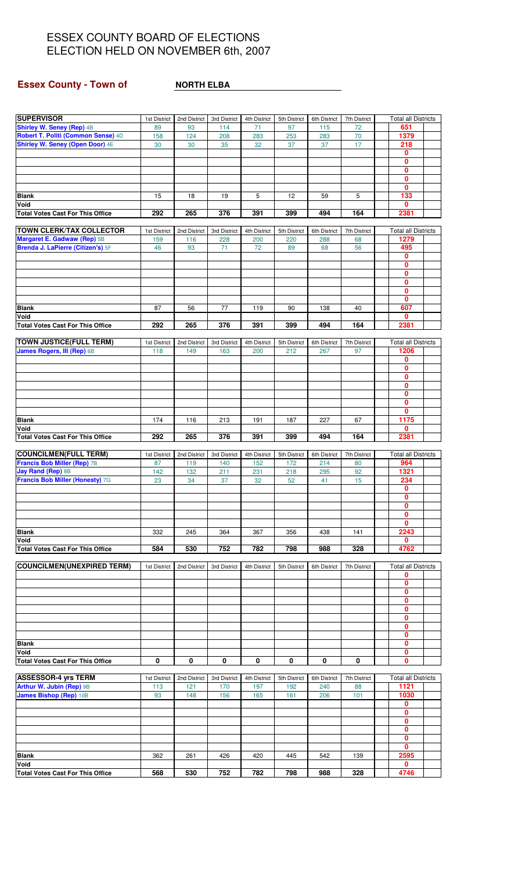## **Essex County - Town of** <br>**NORTH ELBA**

| <b>SUPERVISOR</b>                                                      | 1st District        | 2nd District        | 3rd District        | 4th District        | 5th District        | 6th District        | 7th District       | <b>Total all Districts</b>         |  |
|------------------------------------------------------------------------|---------------------|---------------------|---------------------|---------------------|---------------------|---------------------|--------------------|------------------------------------|--|
| <b>Shirley W. Seney (Rep) 4B</b><br>Robert T. Politi (Common Sense) 4D | 89<br>158           | 93<br>124           | 114<br>208          | 71<br>283           | 97<br>253           | 115<br>283          | 72<br>70           | 651<br>1379                        |  |
| Shirley W. Seney (Open Door) 4E                                        | 30                  | 30                  | 35                  | 32                  | 37                  | 37                  | 17                 | 218                                |  |
|                                                                        |                     |                     |                     |                     |                     |                     |                    | $\mathbf 0$<br>$\mathbf{0}$        |  |
|                                                                        |                     |                     |                     |                     |                     |                     |                    | 0                                  |  |
|                                                                        |                     |                     |                     |                     |                     |                     |                    | $\mathbf{0}$                       |  |
|                                                                        |                     |                     |                     |                     |                     |                     |                    | $\mathbf 0$<br>133                 |  |
| <b>Blank</b><br>Void                                                   | 15                  | 18                  | 19                  | 5                   | 12                  | 59                  | 5                  | $\mathbf{0}$                       |  |
| <b>Total Votes Cast For This Office</b>                                | 292                 | 265                 | 376                 | 391                 | 399                 | 494                 | 164                | 2381                               |  |
| <b>TOWN CLERK/TAX COLLECTOR</b>                                        | 1st District        | 2nd District        | 3rd District        | 4th District        | 5th District        | 6th District        | 7th District       | <b>Total all Districts</b>         |  |
| Margaret E. Gadwaw (Rep) 5B                                            | 159                 | 116                 | 228                 | 200                 | 220                 | 288                 | 68                 | 1279                               |  |
| Brenda J. LaPierre (Citizen's) 5F                                      | 46                  | 93                  | 71                  | 72                  | 89                  | 68                  | 56                 | 495                                |  |
|                                                                        |                     |                     |                     |                     |                     |                     |                    | $\mathbf{0}$<br>0                  |  |
|                                                                        |                     |                     |                     |                     |                     |                     |                    | $\mathbf 0$                        |  |
|                                                                        |                     |                     |                     |                     |                     |                     |                    | $\mathbf 0$                        |  |
|                                                                        |                     |                     |                     |                     |                     |                     |                    | $\mathbf 0$<br>$\mathbf 0$         |  |
| <b>Blank</b>                                                           | 87                  | 56                  | 77                  | 119                 | 90                  | 138                 | 40                 | 607                                |  |
| Void                                                                   |                     |                     |                     |                     |                     |                     |                    | $\mathbf{0}$                       |  |
| <b>Total Votes Cast For This Office</b>                                | 292                 | 265                 | 376                 | 391                 | 399                 | 494                 | 164                | 2381                               |  |
| <b>TOWN JUSTICE(FULL TERM)</b>                                         | 1st District        | 2nd District        | 3rd District        | 4th District        | 5th District        | 6th District        | 7th District       | <b>Total all Districts</b>         |  |
| James Rogers, III (Rep) 6B                                             | 118                 | 149                 | 163                 | 200                 | 212                 | 267                 | 97                 | 1206                               |  |
|                                                                        |                     |                     |                     |                     |                     |                     |                    | 0<br>$\mathbf 0$                   |  |
|                                                                        |                     |                     |                     |                     |                     |                     |                    | $\mathbf{0}$                       |  |
|                                                                        |                     |                     |                     |                     |                     |                     |                    | $\mathbf{0}$                       |  |
|                                                                        |                     |                     |                     |                     |                     |                     |                    | 0<br>$\mathbf 0$                   |  |
|                                                                        |                     |                     |                     |                     |                     |                     |                    | $\mathbf{0}$                       |  |
| <b>Blank</b>                                                           | 174                 | 116                 | 213                 | 191                 | 187                 | 227                 | 67                 | 1175                               |  |
| Void<br><b>Total Votes Cast For This Office</b>                        | 292                 | 265                 | 376                 | 391                 | 399                 | 494                 | 164                | 0<br>2381                          |  |
|                                                                        |                     |                     |                     |                     |                     |                     |                    |                                    |  |
| <b>COUNCILMEN(FULL TERM)</b><br><b>Francis Bob Miller (Rep) 7B</b>     | 1st District<br>87  | 2nd District<br>119 | 3rd District<br>140 | 4th District<br>152 | 5th District<br>172 | 6th District<br>214 | 7th District<br>80 | <b>Total all Districts</b><br>964  |  |
| <b>Jay Rand (Rep) 8B</b>                                               | 142                 | 132                 | 211                 | 231                 | 218                 | 295                 | 92                 | 1321                               |  |
| Francis Bob Miller (Honesty) 7G                                        | 23                  | 34                  | 37                  | 32                  | 52                  | 41                  | 15                 | 234                                |  |
|                                                                        |                     |                     |                     |                     |                     |                     |                    | $\mathbf{0}$<br>$\mathbf 0$        |  |
|                                                                        |                     |                     |                     |                     |                     |                     |                    | 0                                  |  |
|                                                                        |                     |                     |                     |                     |                     |                     |                    | $\mathbf{0}$                       |  |
| <b>Blank</b>                                                           | 332                 | 245                 | 364                 | 367                 | 356                 | 438                 | 141                | 0<br>2243                          |  |
| Void                                                                   |                     |                     |                     |                     |                     |                     |                    | 0                                  |  |
| <b>Total Votes Cast For This Office</b>                                | 584                 | 530                 | 752                 | 782                 | 798                 | 988                 | 328                | 4762                               |  |
| <b>COUNCILMEN(UNEXPIRED TERM)</b>                                      | 1st District        | 2nd District        | 3rd District        | 4th District        | 5th District        | 6th District        | 7th District       | <b>Total all Districts</b>         |  |
|                                                                        |                     |                     |                     |                     |                     |                     |                    | 0                                  |  |
|                                                                        |                     |                     |                     |                     |                     |                     |                    |                                    |  |
|                                                                        |                     |                     |                     |                     |                     |                     |                    | $\mathbf{0}$                       |  |
|                                                                        |                     |                     |                     |                     |                     |                     |                    | $\mathbf{0}$<br>0                  |  |
|                                                                        |                     |                     |                     |                     |                     |                     |                    | $\mathbf{0}$                       |  |
|                                                                        |                     |                     |                     |                     |                     |                     |                    | $\mathbf{0}$<br>0                  |  |
|                                                                        |                     |                     |                     |                     |                     |                     |                    | $\bf{0}$                           |  |
| <b>Blank</b>                                                           |                     |                     |                     |                     |                     |                     |                    | 0                                  |  |
| Void<br><b>Total Votes Cast For This Office</b>                        | 0                   | 0                   | 0                   | 0                   | 0                   | 0                   | 0                  | 0<br>$\bf{0}$                      |  |
|                                                                        |                     |                     |                     |                     |                     |                     |                    |                                    |  |
| <b>ASSESSOR-4 yrs TERM</b>                                             | 1st District<br>113 | 2nd District<br>121 | 3rd District<br>170 | 4th District<br>197 | 5th District<br>192 | 6th District<br>240 | 7th District<br>88 | <b>Total all Districts</b><br>1121 |  |
| Arthur W. Jubin (Rep) 9B<br><b>James Bishop (Rep) 10B</b>              | 93                  | 148                 | 156                 | 165                 | 161                 | 206                 | 101                | 1030                               |  |
|                                                                        |                     |                     |                     |                     |                     |                     |                    | 0                                  |  |
|                                                                        |                     |                     |                     |                     |                     |                     |                    | $\mathbf{0}$                       |  |
|                                                                        |                     |                     |                     |                     |                     |                     |                    | 0<br>$\mathbf 0$                   |  |
|                                                                        |                     |                     |                     |                     |                     |                     |                    | 0                                  |  |
| <b>Blank</b>                                                           | 362                 | 261                 | 426                 | 420                 | 445                 | 542                 | 139                | 0<br>2595                          |  |
| Void<br><b>Total Votes Cast For This Office</b>                        | 568                 | 530                 | 752                 | 782                 | 798                 | 988                 | 328                | 0<br>4746                          |  |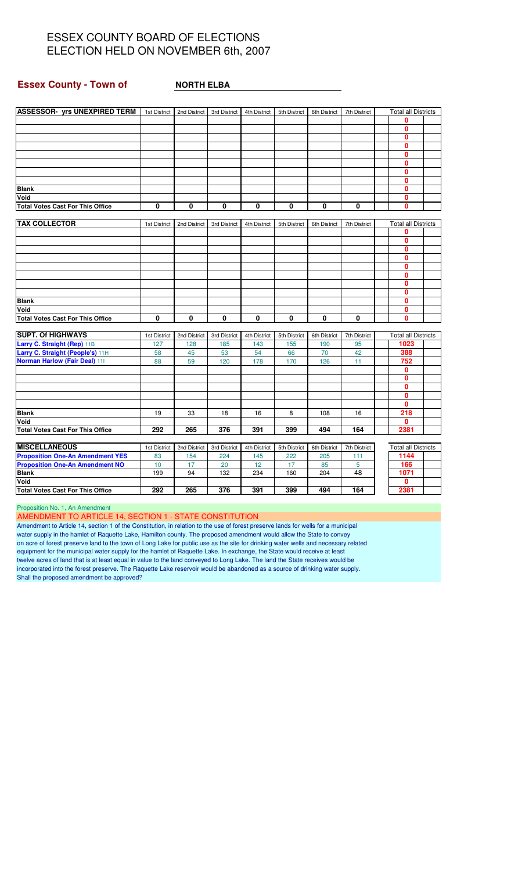#### **Essex County - Town of MORTH ELBA**

| <b>ASSESSOR- yrs UNEXPIRED TERM</b>     |              | 1st District   2nd District   3rd District |              | 4th District | 5th District | 6th District | 7th District |              | <b>Total all Districts</b> |  |
|-----------------------------------------|--------------|--------------------------------------------|--------------|--------------|--------------|--------------|--------------|--------------|----------------------------|--|
|                                         |              |                                            |              |              |              |              |              | $\bf{0}$     |                            |  |
|                                         |              |                                            |              |              |              |              |              | $\bf{0}$     |                            |  |
|                                         |              |                                            |              |              |              |              |              |              | $\mathbf{0}$               |  |
|                                         |              |                                            |              |              |              |              |              | $\mathbf{0}$ |                            |  |
|                                         |              |                                            |              |              |              |              |              |              | $\mathbf{0}$               |  |
|                                         |              |                                            |              |              |              |              |              | $\mathbf{0}$ |                            |  |
|                                         |              |                                            |              |              |              |              |              | $\mathbf{0}$ |                            |  |
|                                         |              |                                            |              |              |              |              |              |              | $\Omega$                   |  |
| <b>Blank</b>                            |              |                                            |              |              |              |              |              | $\Omega$     |                            |  |
| Void                                    |              |                                            |              |              |              |              |              |              | $\mathbf{0}$               |  |
| <b>Total Votes Cast For This Office</b> | 0            | 0                                          | 0            | 0            | 0            | 0            | 0            | $\mathbf{0}$ |                            |  |
|                                         |              |                                            |              |              |              |              |              |              |                            |  |
| <b>TAX COLLECTOR</b>                    | 1st District | 2nd District                               | 3rd District | 4th District | 5th District | 6th District | 7th District |              | <b>Total all Districts</b> |  |
|                                         |              |                                            |              |              |              |              |              | 0            |                            |  |
|                                         |              |                                            |              |              |              |              |              |              | $\mathbf{0}$               |  |
|                                         |              |                                            |              |              |              |              |              | $\mathbf{0}$ |                            |  |
|                                         |              |                                            |              |              |              |              |              | $\mathbf{0}$ |                            |  |
|                                         |              |                                            |              |              |              |              |              | $\mathbf{0}$ |                            |  |
|                                         |              |                                            |              |              |              |              |              |              | $\mathbf{0}$               |  |
|                                         |              |                                            |              |              |              |              |              | $\mathbf{0}$ |                            |  |
|                                         |              |                                            |              |              |              |              |              |              | $\mathbf{0}$               |  |
| <b>Blank</b>                            |              |                                            |              |              |              |              |              | $\mathbf{0}$ |                            |  |
| Void                                    |              |                                            |              |              |              |              |              |              | $\mathbf{0}$               |  |
| <b>Total Votes Cast For This Office</b> | $\mathbf{0}$ | $\bf{0}$                                   | $\mathbf{0}$ | $\mathbf{0}$ | $\mathbf{0}$ | 0            | 0            | $\mathbf{0}$ |                            |  |
|                                         |              |                                            |              |              |              |              |              |              |                            |  |
| <b>SUPT. Of HIGHWAYS</b>                | 1st District | 2nd District                               | 3rd District | 4th District | 5th District | 6th District | 7th District |              | <b>Total all Districts</b> |  |
| Larry C. Straight (Rep) 11B             | 127          | 128                                        | 185          | 143          | 155          | 190          | 95           |              | 1023                       |  |
| Larry C. Straight (People's) 11H        | 58           | 45                                         | 53           | 54           | 66           | 70           | 42           |              | 388                        |  |
| <b>Norman Harlow (Fair Deal) 111</b>    | 88           | 59                                         | 120          | 178          | 170          | 126          | 11           |              | 752                        |  |
|                                         |              |                                            |              |              |              |              |              |              | $\mathbf{0}$               |  |
|                                         |              |                                            |              |              |              |              |              | $\mathbf{0}$ |                            |  |
|                                         |              |                                            |              |              |              |              |              | $\mathbf{0}$ |                            |  |
|                                         |              |                                            |              |              |              |              |              |              | $\Omega$                   |  |
|                                         |              |                                            |              |              |              |              |              |              | $\Omega$                   |  |
| <b>Blank</b>                            | 19           | 33                                         | 18           | 16           | 8            | 108          | 16           |              | 218                        |  |
| Void                                    |              |                                            |              |              |              |              |              |              | $\mathbf{0}$               |  |
| <b>Total Votes Cast For This Office</b> | 292          | 265                                        | 376          | 391          | 399          | 494          | 164          | 2381         |                            |  |
|                                         |              |                                            |              |              |              |              |              |              |                            |  |
| <b>MISCELLANEOUS</b>                    | 1st District | 2nd District                               | 3rd District | 4th District | 5th District | 6th District | 7th District |              | <b>Total all Districts</b> |  |
| <b>Proposition One-An Amendment YES</b> | 83           | 154                                        | 224          | 145          | 222          | 205          | 111          |              | 1144                       |  |
| <b>Proposition One-An Amendment NO</b>  | 10           | 17                                         | 20           | 12           | 17           | 85           | 5            |              | 166                        |  |
| <b>Blank</b>                            | 199          | 94                                         | 132          | 234          | 160          | 204          | 48           | 1071         |                            |  |

Proposition No. 1, An Amendment

AMENDMENT TO ARTICLE 14, SECTION 1 - STATE CONSTITUTION

Amendment to Article 14, section 1 of the Constitution, in relation to the use of forest preserve lands for wells for a municipal water supply in the hamlet of Raquette Lake, Hamilton county. The proposed amendment would allow the State to convey on acre of forest preserve land to the town of Long Lake for public use as the site for drinking water wells and necessary related equipment for the municipal water supply for the hamlet of Raquette Lake. In exchange, the State would receive at least twelve acres of land that is at least equal in value to the land conveyed to Long Lake. The land the State receives would be incorporated into the forest preserve. The Raquette Lake reservoir would be abandoned as a source of drinking water supply. Shall the proposed amendment be approved?

**Void 0 Total Votes Cast For This Office 292 265 376 391 399 494 164 2381**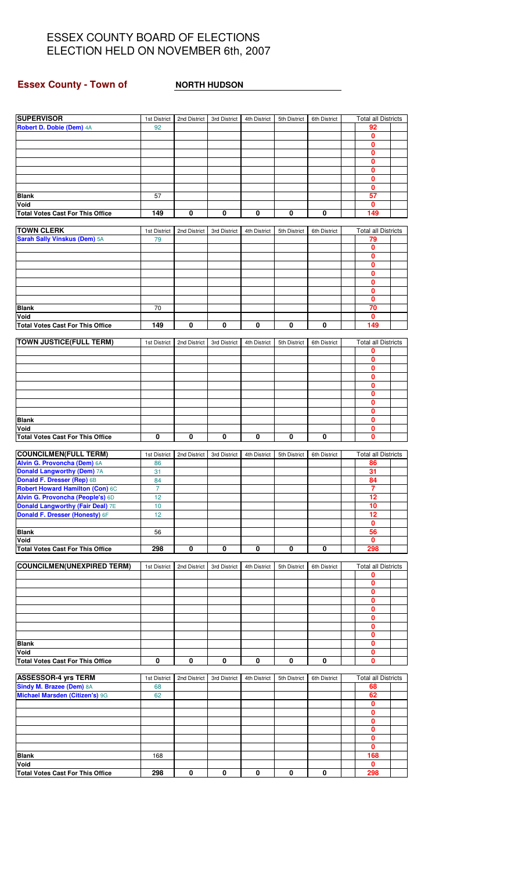## **Essex County - Town of NORTH HUDSON**

| <b>SUPERVISOR</b>                                                   | 1st District         | 2nd District | 3rd District | 4th District | 5th District | 6th District | <b>Total all Districts</b> |  |
|---------------------------------------------------------------------|----------------------|--------------|--------------|--------------|--------------|--------------|----------------------------|--|
| Robert D. Dobie (Dem) 4A                                            | 92                   |              |              |              |              |              | 92                         |  |
|                                                                     |                      |              |              |              |              |              | 0<br>$\mathbf{0}$          |  |
|                                                                     |                      |              |              |              |              |              | $\mathbf{0}$               |  |
|                                                                     |                      |              |              |              |              |              | 0                          |  |
|                                                                     |                      |              |              |              |              |              | 0                          |  |
|                                                                     |                      |              |              |              |              |              | $\mathbf{0}$<br>0          |  |
| Blank                                                               | 57                   |              |              |              |              |              | 57                         |  |
| Void                                                                |                      |              |              |              |              |              | $\mathbf{0}$               |  |
| <b>Total Votes Cast For This Office</b>                             | 149                  | 0            | 0            | 0            | 0            | $\mathbf 0$  | 149                        |  |
| <b>TOWN CLERK</b>                                                   | 1st District         | 2nd District | 3rd District | 4th District | 5th District | 6th District | <b>Total all Districts</b> |  |
| Sarah Sally Vinskus (Dem) 5A                                        | 79                   |              |              |              |              |              | 79                         |  |
|                                                                     |                      |              |              |              |              |              | 0                          |  |
|                                                                     |                      |              |              |              |              |              | $\mathbf{0}$               |  |
|                                                                     |                      |              |              |              |              |              | 0<br>$\mathbf 0$           |  |
|                                                                     |                      |              |              |              |              |              | $\mathbf{0}$               |  |
|                                                                     |                      |              |              |              |              |              | 0                          |  |
|                                                                     |                      |              |              |              |              |              | $\mathbf{0}$               |  |
| <b>Blank</b>                                                        | 70                   |              |              |              |              |              | 70                         |  |
| Void<br><b>Total Votes Cast For This Office</b>                     | 149                  | 0            | 0            | 0            | 0            | 0            | 0<br>149                   |  |
|                                                                     |                      |              |              |              |              |              |                            |  |
| <b>TOWN JUSTICE(FULL TERM)</b>                                      | 1st District         | 2nd District | 3rd District | 4th District | 5th District | 6th District | <b>Total all Districts</b> |  |
|                                                                     |                      |              |              |              |              |              | 0                          |  |
|                                                                     |                      |              |              |              |              |              | $\mathbf{0}$<br>0          |  |
|                                                                     |                      |              |              |              |              |              | $\bf{0}$                   |  |
|                                                                     |                      |              |              |              |              |              | 0                          |  |
|                                                                     |                      |              |              |              |              |              | 0                          |  |
|                                                                     |                      |              |              |              |              |              | $\bf{0}$<br>0              |  |
| <b>Blank</b>                                                        |                      |              |              |              |              |              | 0                          |  |
| Void                                                                |                      |              |              |              |              |              | $\mathbf{0}$               |  |
| <b>Total Votes Cast For This Office</b>                             | 0                    | 0            | 0            | $\pmb{0}$    | 0            | 0            | $\mathbf{0}$               |  |
| <b>COUNCILMEN(FULL TERM)</b>                                        | 1st District         | 2nd District | 3rd District | 4th District | 5th District | 6th District | <b>Total all Districts</b> |  |
| Alvin G. Provoncha (Dem) 6A                                         | 86                   |              |              |              |              |              | 86                         |  |
| <b>Donald Langworthy (Dem) 7A</b>                                   | 31                   |              |              |              |              |              | 31                         |  |
| Donald F. Dresser (Rep) 6B                                          | 84                   |              |              |              |              |              | 84                         |  |
| Robert Howard Hamilton (Con) 6C<br>Alvin G. Provoncha (People's) 6D | $\overline{7}$<br>12 |              |              |              |              |              | $\overline{7}$<br>12       |  |
| <b>Donald Langworthy (Fair Deal) 7E</b>                             | 10                   |              |              |              |              |              | 10                         |  |
| Donald F. Dresser (Honesty) 6F                                      | 12                   |              |              |              |              |              | 12                         |  |
|                                                                     |                      |              |              |              |              |              | 0                          |  |
| <b>Blank</b><br>Void                                                | 56                   |              |              |              |              |              | 56<br>$\mathbf 0$          |  |
| <b>Total Votes Cast For This Office</b>                             | 298                  | 0            | 0            | 0            | 0            | 0            | 298                        |  |
|                                                                     |                      |              |              |              |              |              |                            |  |
| <b>COUNCILMEN(UNEXPIRED TERM)</b>                                   | 1st District         | 2nd District | 3rd District | 4th District | 5th District | 6th District | <b>Total all Districts</b> |  |
|                                                                     |                      |              |              |              |              |              | 0<br>0                     |  |
|                                                                     |                      |              |              |              |              |              | 0                          |  |
|                                                                     |                      |              |              |              |              |              | 0                          |  |
|                                                                     |                      |              |              |              |              |              | $\mathbf{0}$               |  |
|                                                                     |                      |              |              |              |              |              | 0<br>0                     |  |
|                                                                     |                      |              |              |              |              |              | $\mathbf{0}$               |  |
| <b>Blank</b>                                                        |                      |              |              |              |              |              | 0                          |  |
| Void                                                                |                      |              |              |              |              |              | 0                          |  |
| <b>Total Votes Cast For This Office</b>                             | 0                    | 0            | 0            | 0            | 0            | 0            | $\mathbf{0}$               |  |
| <b>ASSESSOR-4 yrs TERM</b>                                          | 1st District         | 2nd District | 3rd District | 4th District | 5th District | 6th District | <b>Total all Districts</b> |  |
| Sindy M. Brazee (Dem) 8A                                            | 68                   |              |              |              |              |              | 68                         |  |
| Michael Marsden (Citizen's) 9G                                      | 62                   |              |              |              |              |              | 62                         |  |
|                                                                     |                      |              |              |              |              |              | 0<br>$\mathbf{0}$          |  |
|                                                                     |                      |              |              |              |              |              | 0                          |  |
|                                                                     |                      |              |              |              |              |              | $\mathbf 0$                |  |
|                                                                     |                      |              |              |              |              |              | $\mathbf{0}$               |  |
| <b>Blank</b>                                                        | 168                  |              |              |              |              |              | 0<br>168                   |  |
| Void                                                                |                      |              |              |              |              |              | $\mathbf{0}$               |  |
| <b>Total Votes Cast For This Office</b>                             | 298                  | 0            | 0            | 0            | 0            | 0            | 298                        |  |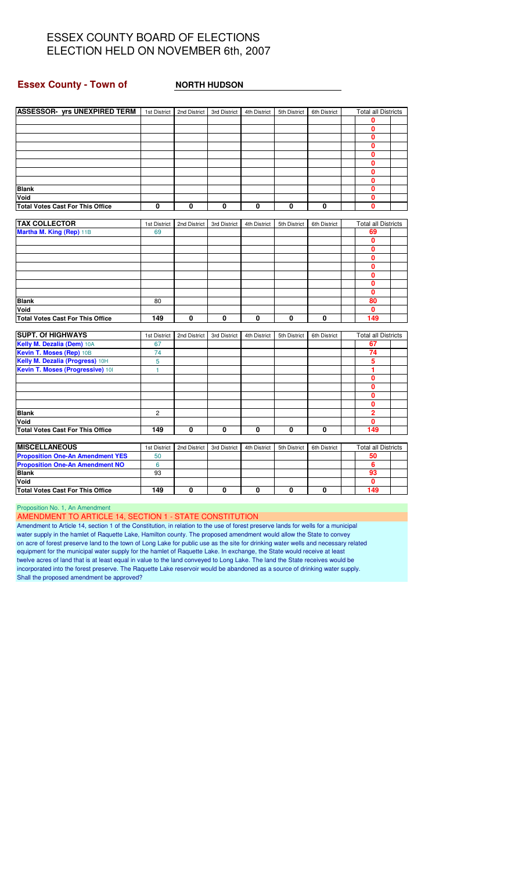#### **Essex County - Town of NORTH HUDSON**

| ASSESSOR- yrs UNEXPIRED TERM   1st District   2nd District |                |              | 3rd District | 4th District | 5th District | 6th District | <b>Total all Districts</b> |  |
|------------------------------------------------------------|----------------|--------------|--------------|--------------|--------------|--------------|----------------------------|--|
|                                                            |                |              |              |              |              |              | 0                          |  |
|                                                            |                |              |              |              |              |              | 0                          |  |
|                                                            |                |              |              |              |              |              | 0                          |  |
|                                                            |                |              |              |              |              |              | 0                          |  |
|                                                            |                |              |              |              |              |              | 0                          |  |
|                                                            |                |              |              |              |              |              | 0                          |  |
|                                                            |                |              |              |              |              |              | 0                          |  |
|                                                            |                |              |              |              |              |              | $\mathbf{0}$               |  |
| <b>Blank</b>                                               |                |              |              |              |              |              | 0                          |  |
| Void                                                       |                |              |              |              |              |              | 0                          |  |
| <b>Total Votes Cast For This Office</b>                    | 0              | 0            | 0            | 0            | 0            | 0            | 0                          |  |
|                                                            |                |              |              |              |              |              |                            |  |
| <b>TAX COLLECTOR</b>                                       | 1st District   | 2nd District | 3rd District | 4th District | 5th District | 6th District | <b>Total all Districts</b> |  |
| Martha M. King (Rep) 11B                                   | 69             |              |              |              |              |              | 69                         |  |
|                                                            |                |              |              |              |              |              | 0                          |  |
|                                                            |                |              |              |              |              |              | 0                          |  |
|                                                            |                |              |              |              |              |              | 0                          |  |
|                                                            |                |              |              |              |              |              | 0                          |  |
|                                                            |                |              |              |              |              |              | 0                          |  |
|                                                            |                |              |              |              |              |              | 0                          |  |
|                                                            |                |              |              |              |              |              | $\mathbf{0}$               |  |
| <b>Blank</b>                                               | 80             |              |              |              |              |              | 80                         |  |
| Void                                                       |                |              |              |              |              |              | 0                          |  |
| <b>Total Votes Cast For This Office</b>                    | 149            | $\bf{0}$     | 0            | $\mathbf{0}$ | $\mathbf{0}$ | 0            | 149                        |  |
|                                                            |                |              |              |              |              |              |                            |  |
| <b>SUPT. Of HIGHWAYS</b>                                   | 1st District   | 2nd District | 3rd District | 4th District | 5th District | 6th District | <b>Total all Districts</b> |  |
| Kelly M. Dezalia (Dem) 10A                                 | 67             |              |              |              |              |              | 67                         |  |
| Kevin T. Moses (Rep) 10B                                   | 74             |              |              |              |              |              | 74                         |  |
| Kelly M. Dezalia (Progress) 10H                            | 5              |              |              |              |              |              | 5                          |  |
| Kevin T. Moses (Progressive) 101                           | $\mathbf{1}$   |              |              |              |              |              | 1                          |  |
|                                                            |                |              |              |              |              |              | 0                          |  |
|                                                            |                |              |              |              |              |              | 0                          |  |
|                                                            |                |              |              |              |              |              | 0                          |  |
|                                                            |                |              |              |              |              |              | 0                          |  |
| <b>Blank</b>                                               | $\overline{c}$ |              |              |              |              |              | $\overline{2}$             |  |
| Void                                                       |                |              |              |              |              |              | $\mathbf{0}$               |  |
| <b>Total Votes Cast For This Office</b>                    | 149            | 0            | 0            | 0            | 0            | 0            | 149                        |  |
|                                                            |                |              |              |              |              |              |                            |  |
| <b>MISCELLANEOUS</b>                                       | 1st District   | 2nd District | 3rd District | 4th District | 5th District | 6th District | <b>Total all Districts</b> |  |
| <b>Proposition One-An Amendment YES</b>                    | 50             |              |              |              |              |              | 50                         |  |
| <b>Proposition One-An Amendment NO</b>                     | 6              |              |              |              |              |              | 6                          |  |
| <b>Blank</b>                                               | 93             |              |              |              |              |              | 93                         |  |
| Void                                                       |                |              |              |              |              |              | 0                          |  |
| <b>Total Votes Cast For This Office</b>                    | 149            | $\bf{0}$     | 0            | 0            | 0            | 0            | 149                        |  |
|                                                            |                |              |              |              |              |              |                            |  |

Proposition No. 1, An Amendment

AMENDMENT TO ARTICLE 14, SECTION 1 - STATE CONSTITUTION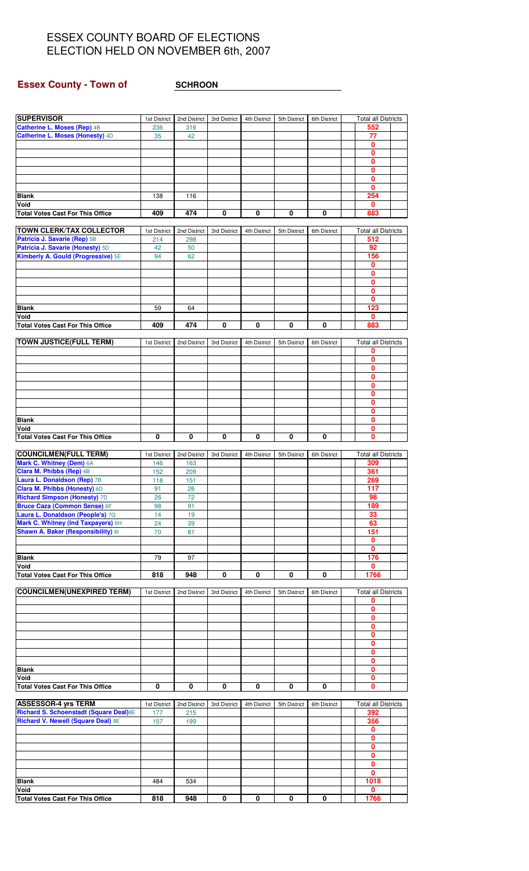# **Essex County - Town of SCHROON**

| <b>SUPERVISOR</b>                               | 1st District | 2nd District | 3rd District | 4th District | 5th District | 6th District | <b>Total all Districts</b> |  |
|-------------------------------------------------|--------------|--------------|--------------|--------------|--------------|--------------|----------------------------|--|
| Catherine L. Moses (Rep) 4B                     | 236          | 316          |              |              |              |              | 552                        |  |
| Catherine L. Moses (Honesty) 4D                 | 35           | 42           |              |              |              |              | 77                         |  |
|                                                 |              |              |              |              |              |              | 0                          |  |
|                                                 |              |              |              |              |              |              | $\mathbf 0$                |  |
|                                                 |              |              |              |              |              |              | $\mathbf{0}$               |  |
|                                                 |              |              |              |              |              |              |                            |  |
|                                                 |              |              |              |              |              |              | 0                          |  |
|                                                 |              |              |              |              |              |              | $\mathbf 0$                |  |
|                                                 |              |              |              |              |              |              | $\mathbf 0$                |  |
| <b>Blank</b>                                    | 138          | 116          |              |              |              |              | 254                        |  |
| Void                                            |              |              |              |              |              |              | 0                          |  |
| <b>Total Votes Cast For This Office</b>         | 409          | 474          | 0            | 0            | 0            | 0            | 883                        |  |
|                                                 |              |              |              |              |              |              |                            |  |
| <b>TOWN CLERK/TAX COLLECTOR</b>                 | 1st District | 2nd District | 3rd District | 4th District | 5th District | 6th District | <b>Total all Districts</b> |  |
| Patricia J. Savarie (Rep) 5B                    |              |              |              |              |              |              |                            |  |
|                                                 | 214          | 298          |              |              |              |              | 512                        |  |
| Patricia J. Savarie (Honesty) 5D                | 42           | 50           |              |              |              |              | 92                         |  |
| Kimberly A. Gould (Progressive) 5E              | 94           | 62           |              |              |              |              | 156                        |  |
|                                                 |              |              |              |              |              |              | 0                          |  |
|                                                 |              |              |              |              |              |              | $\mathbf 0$                |  |
|                                                 |              |              |              |              |              |              | 0                          |  |
|                                                 |              |              |              |              |              |              | $\mathbf 0$                |  |
|                                                 |              |              |              |              |              |              |                            |  |
|                                                 |              |              |              |              |              |              | $\mathbf 0$                |  |
| <b>Blank</b>                                    | 59           | 64           |              |              |              |              | 123                        |  |
| Void                                            |              |              |              |              |              |              | $\mathbf 0$                |  |
| <b>Total Votes Cast For This Office</b>         | 409          | 474          | 0            | 0            | 0            | 0            | 883                        |  |
|                                                 |              |              |              |              |              |              |                            |  |
| <b>TOWN JUSTICE(FULL TERM)</b>                  | 1st District | 2nd District | 3rd District | 4th District | 5th District | 6th District | <b>Total all Districts</b> |  |
|                                                 |              |              |              |              |              |              | 0                          |  |
|                                                 |              |              |              |              |              |              | 0                          |  |
|                                                 |              |              |              |              |              |              | $\mathbf{0}$               |  |
|                                                 |              |              |              |              |              |              |                            |  |
|                                                 |              |              |              |              |              |              | 0                          |  |
|                                                 |              |              |              |              |              |              | 0                          |  |
|                                                 |              |              |              |              |              |              | $\mathbf{0}$               |  |
|                                                 |              |              |              |              |              |              | 0                          |  |
|                                                 |              |              |              |              |              |              | $\mathbf{0}$               |  |
| <b>Blank</b>                                    |              |              |              |              |              |              | $\mathbf{0}$               |  |
| Void                                            |              |              |              |              |              |              | 0                          |  |
| <b>Total Votes Cast For This Office</b>         | 0            | 0            | 0            | 0            | 0            | 0            | $\mathbf{0}$               |  |
|                                                 |              |              |              |              |              |              |                            |  |
|                                                 |              |              |              |              |              |              |                            |  |
| <b>COUNCILMEN(FULL TERM)</b>                    | 1st District | 2nd District | 3rd District | 4th District | 5th District | 6th District | <b>Total all Districts</b> |  |
| Mark C. Whitney (Dem) 6A                        | 146          | 163          |              |              |              |              | 309                        |  |
| Clara M. Phibbs (Rep) 6B                        | 152          | 209          |              |              |              |              | 361                        |  |
| Laura L. Donaldson (Rep) 7B                     | 118          | 151          |              |              |              |              | 269                        |  |
| <b>Clara M. Phibbs (Honesty) 6D</b>             | 91           | 26           |              |              |              |              | 117                        |  |
| <b>Richard Simpson (Honesty) 7D</b>             | 26           | 72           |              |              |              |              | 98                         |  |
| <b>Bruce Caza (Common Sense) 6F</b>             | 98           | 91           |              |              |              |              | 189                        |  |
| Laura L. Donaldson (People's) 7G                | 14           | 19           |              |              |              |              | 33                         |  |
|                                                 |              |              |              |              |              |              |                            |  |
| Mark C. Whitney (Ind Taxpayers) 6H              | 24           | 39           |              |              |              |              | 63                         |  |
| Shawn A. Baker (Responsibility) 61              | 70           | 81           |              |              |              |              | 151                        |  |
|                                                 |              |              |              |              |              |              | $\mathbf{0}$               |  |
|                                                 |              |              |              |              |              |              | $\mathbf 0$                |  |
| <b>Blank</b>                                    | 79           | 97           |              |              |              |              | 176                        |  |
| Void                                            |              |              |              |              |              |              | $\mathbf{0}$               |  |
| <b>Total Votes Cast For This Office</b>         | 818          | 948          | 0            | 0            | 0            | 0            | 1766                       |  |
|                                                 |              |              |              |              |              |              |                            |  |
| <b>COUNCILMEN(UNEXPIRED TERM)</b>               | 1st District | 2nd District | 3rd District | 4th District | 5th District | 6th District | <b>Total all Districts</b> |  |
|                                                 |              |              |              |              |              |              | 0                          |  |
|                                                 |              |              |              |              |              |              | 0                          |  |
|                                                 |              |              |              |              |              |              |                            |  |
|                                                 |              |              |              |              |              |              | 0                          |  |
|                                                 |              |              |              |              |              |              | 0                          |  |
|                                                 |              |              |              |              |              |              | 0                          |  |
|                                                 |              |              |              |              |              |              | $\mathbf 0$                |  |
|                                                 |              |              |              |              |              |              | $\mathbf 0$                |  |
|                                                 |              |              |              |              |              |              | 0                          |  |
| <b>Blank</b>                                    |              |              |              |              |              |              | $\mathbf 0$                |  |
| Void                                            |              |              |              |              |              |              | $\mathbf 0$                |  |
| <b>Total Votes Cast For This Office</b>         | 0            | 0            | 0            | 0            | 0            | 0            | $\mathbf{0}$               |  |
|                                                 |              |              |              |              |              |              |                            |  |
|                                                 |              |              |              |              |              |              |                            |  |
| <b>ASSESSOR-4 yrs TERM</b>                      | 1st District | 2nd District | 3rd District | 4th District | 5th District | 6th District | <b>Total all Districts</b> |  |
| Richard S. Schoenstadt (Square Deal) 8E         | 177          | 215          |              |              |              |              | 392                        |  |
| Richard V. Newell (Square Deal) 9E              | 157          | 199          |              |              |              |              | 356                        |  |
|                                                 |              |              |              |              |              |              | $\mathbf{0}$               |  |
|                                                 |              |              |              |              |              |              | $\mathbf 0$                |  |
|                                                 |              |              |              |              |              |              | $\mathbf{0}$               |  |
|                                                 |              |              |              |              |              |              | $\mathbf 0$                |  |
|                                                 |              |              |              |              |              |              | 0                          |  |
|                                                 |              |              |              |              |              |              |                            |  |
|                                                 |              |              |              |              |              |              |                            |  |
|                                                 |              |              |              |              |              |              | $\mathbf{0}$               |  |
| <b>Blank</b>                                    | 484          | 534          |              |              |              |              | 1018                       |  |
| Void<br><b>Total Votes Cast For This Office</b> | 818          | 948          | 0            | 0            | 0            | 0            | 0<br>1766                  |  |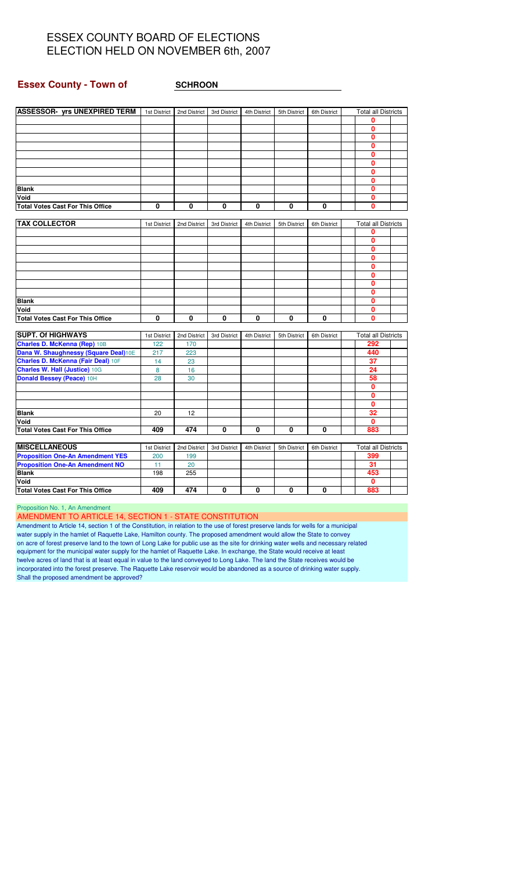#### **Essex County - Town of SCHROON**

| <b>ASSESSOR- yrs UNEXPIRED TERM</b>     | 1st District | 2nd District | 3rd District | 4th District | 5th District | 6th District | <b>Total all Districts</b> |  |
|-----------------------------------------|--------------|--------------|--------------|--------------|--------------|--------------|----------------------------|--|
|                                         |              |              |              |              |              |              | 0                          |  |
|                                         |              |              |              |              |              |              | 0                          |  |
|                                         |              |              |              |              |              |              | 0                          |  |
|                                         |              |              |              |              |              |              | 0                          |  |
|                                         |              |              |              |              |              |              | 0                          |  |
|                                         |              |              |              |              |              |              | 0                          |  |
|                                         |              |              |              |              |              |              | O                          |  |
|                                         |              |              |              |              |              |              | 0                          |  |
| <b>Blank</b>                            |              |              |              |              |              |              | 0                          |  |
| Void                                    |              |              |              |              |              |              | 0                          |  |
| <b>Total Votes Cast For This Office</b> | 0            | 0            | 0            | 0            | 0            | 0            | 0                          |  |
|                                         |              |              |              |              |              |              |                            |  |
| <b>TAX COLLECTOR</b>                    | 1st District | 2nd District | 3rd District | 4th District | 5th District | 6th District | <b>Total all Districts</b> |  |
|                                         |              |              |              |              |              |              | 0                          |  |
|                                         |              |              |              |              |              |              | 0                          |  |
|                                         |              |              |              |              |              |              | $\mathbf{0}$               |  |
|                                         |              |              |              |              |              |              | 0                          |  |
|                                         |              |              |              |              |              |              | 0                          |  |
|                                         |              |              |              |              |              |              | 0                          |  |
|                                         |              |              |              |              |              |              | 0                          |  |
|                                         |              |              |              |              |              |              | 0                          |  |
| <b>Blank</b>                            |              |              |              |              |              |              | 0                          |  |
| Void                                    |              |              |              |              |              |              | 0                          |  |
| <b>Total Votes Cast For This Office</b> | $\mathbf{0}$ | $\mathbf{0}$ | 0            | 0            | 0            | 0            | 0                          |  |
|                                         |              |              |              |              |              |              |                            |  |
| <b>SUPT. Of HIGHWAYS</b>                | 1st District | 2nd District | 3rd District | 4th District | 5th District | 6th District | <b>Total all Districts</b> |  |
| <b>Charles D. McKenna (Rep) 10B</b>     | 122          | 170          |              |              |              |              | 292                        |  |
| Dana W. Shaughnessy (Square Deal)10E    | 217          | 223          |              |              |              |              | 440                        |  |
| Charles D. McKenna (Fair Deal) 10F      | 14           | 23           |              |              |              |              | $\overline{37}$            |  |
| <b>Charles W. Hall (Justice) 10G</b>    | 8            | 16           |              |              |              |              | 24                         |  |
| Donald Bessey (Peace) 10H               | 28           | 30           |              |              |              |              | 58                         |  |
|                                         |              |              |              |              |              |              | 0                          |  |
|                                         |              |              |              |              |              |              | 0                          |  |
|                                         |              |              |              |              |              |              | 0                          |  |
| <b>Blank</b>                            | 20           | 12           |              |              |              |              | 32                         |  |
| Void                                    |              |              |              |              |              |              | 0                          |  |
| <b>Total Votes Cast For This Office</b> | 409          | 474          | 0            | 0            | 0            | 0            | 883                        |  |
|                                         |              |              |              |              |              |              |                            |  |
| <b>MISCELLANEOUS</b>                    | 1st District | 2nd District | 3rd District | 4th District | 5th District | 6th District | <b>Total all Districts</b> |  |
| <b>Proposition One-An Amendment YES</b> | 200          | 199          |              |              |              |              | 399                        |  |
| <b>Proposition One-An Amendment NO</b>  | 11           | 20           |              |              |              |              | 31                         |  |
| <b>Blank</b>                            | 198          | 255          |              |              |              |              | 453                        |  |
| Void                                    |              |              |              |              |              |              | $\mathbf{0}$               |  |
| <b>Total Votes Cast For This Office</b> | 409          | 474          | 0            | 0            | 0            | 0            | 883                        |  |

Proposition No. 1, An Amendment

AMENDMENT TO ARTICLE 14, SECTION 1 - STATE CONSTITUTION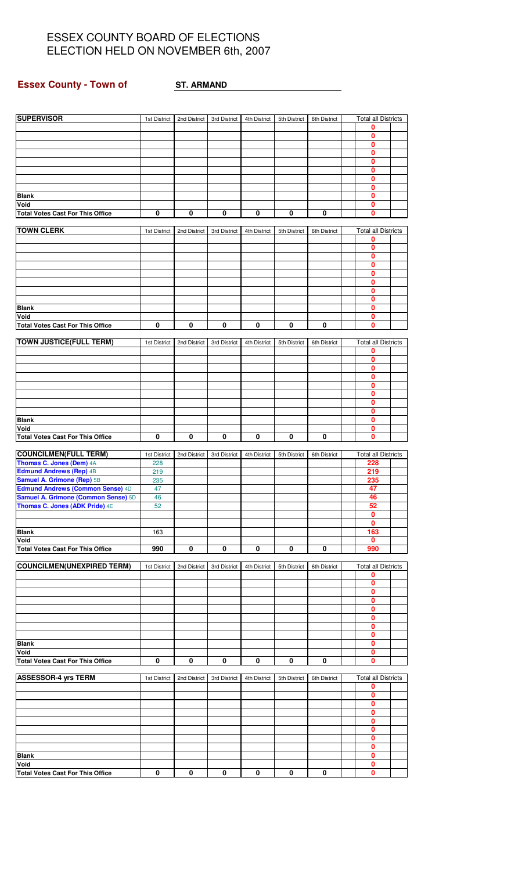## **Essex County - Town of ST. ARMAND**

| <b>SUPERVISOR</b>                                                            | 1st District | 2nd District | 3rd District | 4th District | 5th District | 6th District | <b>Total all Districts</b> |  |
|------------------------------------------------------------------------------|--------------|--------------|--------------|--------------|--------------|--------------|----------------------------|--|
|                                                                              |              |              |              |              |              |              | 0                          |  |
|                                                                              |              |              |              |              |              |              | 0                          |  |
|                                                                              |              |              |              |              |              |              | 0<br>$\bf{0}$              |  |
|                                                                              |              |              |              |              |              |              | 0                          |  |
|                                                                              |              |              |              |              |              |              | 0                          |  |
|                                                                              |              |              |              |              |              |              | 0                          |  |
|                                                                              |              |              |              |              |              |              | 0                          |  |
| <b>Blank</b>                                                                 |              |              |              |              |              |              | 0                          |  |
| Void<br><b>Total Votes Cast For This Office</b>                              | $\bf{0}$     | $\pmb{0}$    | 0            | $\pmb{0}$    | 0            | 0            | $\bf{0}$<br>0              |  |
|                                                                              |              |              |              |              |              |              |                            |  |
| <b>TOWN CLERK</b>                                                            | 1st District | 2nd District | 3rd District | 4th District | 5th District | 6th District | <b>Total all Districts</b> |  |
|                                                                              |              |              |              |              |              |              | 0                          |  |
|                                                                              |              |              |              |              |              |              | 0                          |  |
|                                                                              |              |              |              |              |              |              | 0<br>0                     |  |
|                                                                              |              |              |              |              |              |              | $\mathbf 0$                |  |
|                                                                              |              |              |              |              |              |              | 0                          |  |
|                                                                              |              |              |              |              |              |              | 0                          |  |
|                                                                              |              |              |              |              |              |              | 0                          |  |
| <b>Blank</b>                                                                 |              |              |              |              |              |              | 0                          |  |
| Void<br><b>Total Votes Cast For This Office</b>                              | 0            | 0            | 0            |              | 0            | 0            | 0<br>0                     |  |
|                                                                              |              |              |              | 0            |              |              |                            |  |
| <b>TOWN JUSTICE(FULL TERM)</b>                                               | 1st District | 2nd District | 3rd District | 4th District | 5th District | 6th District | <b>Total all Districts</b> |  |
|                                                                              |              |              |              |              |              |              | 0                          |  |
|                                                                              |              |              |              |              |              |              | $\mathbf 0$                |  |
|                                                                              |              |              |              |              |              |              | 0                          |  |
|                                                                              |              |              |              |              |              |              | 0<br>$\mathbf 0$           |  |
|                                                                              |              |              |              |              |              |              | 0                          |  |
|                                                                              |              |              |              |              |              |              | 0                          |  |
|                                                                              |              |              |              |              |              |              | $\mathbf 0$                |  |
| <b>Blank</b>                                                                 |              |              |              |              |              |              | 0                          |  |
| Void                                                                         |              |              |              |              |              |              | 0                          |  |
| <b>Total Votes Cast For This Office</b>                                      | 0            | 0            | 0            | 0            | 0            | 0            | 0                          |  |
| <b>COUNCILMEN(FULL TERM)</b>                                                 | 1st District | 2nd District | 3rd District | 4th District | 5th District | 6th District | Total all Districts        |  |
| Thomas C. Jones (Dem) 4A                                                     | 228          |              |              |              |              |              | 228                        |  |
| <b>Edmund Andrews (Rep) 4B</b>                                               | 219          |              |              |              |              |              | 219                        |  |
| Samuel A. Grimone (Rep) 5B                                                   | 235          |              |              |              |              |              | 235                        |  |
| Edmund Andrews (Common Sense) 4D                                             | 47           |              |              |              |              |              | 47                         |  |
| <b>Samuel A. Grimone (Common Sense)</b> 5D<br>Thomas C. Jones (ADK Pride) 4E | 46<br>52     |              |              |              |              |              | 46<br>52                   |  |
|                                                                              |              |              |              |              |              |              | $\mathbf 0$                |  |
|                                                                              |              |              |              |              |              |              | 0                          |  |
| <b>Blank</b>                                                                 | 163          |              |              |              |              |              | 163                        |  |
| Void                                                                         |              |              |              |              |              |              | 0                          |  |
| <b>Total Votes Cast For This Office</b>                                      | 990          | 0            | 0            | 0            | 0            | $\pmb{0}$    | 990                        |  |
| <b>COUNCILMEN(UNEXPIRED TERM)</b>                                            | 1st District | 2nd District | 3rd District | 4th District | 5th District | 6th District | <b>Total all Districts</b> |  |
|                                                                              |              |              |              |              |              |              | 0                          |  |
|                                                                              |              |              |              |              |              |              | $\mathbf{0}$               |  |
|                                                                              |              |              |              |              |              |              | $\mathbf 0$                |  |
|                                                                              |              |              |              |              |              |              | $\mathbf 0$                |  |
|                                                                              |              |              |              |              |              |              | $\mathbf{0}$<br>0          |  |
|                                                                              |              |              |              |              |              |              | 0                          |  |
|                                                                              |              |              |              |              |              |              | $\overline{\mathbf{0}}$    |  |
| <b>Blank</b>                                                                 |              |              |              |              |              |              | $\pmb{0}$                  |  |
| Void                                                                         |              |              |              |              |              |              | 0                          |  |
| <b>Total Votes Cast For This Office</b>                                      | $\pmb{0}$    | $\pmb{0}$    | 0            | $\mathbf 0$  | 0            | $\mathbf 0$  | $\mathbf 0$                |  |
| <b>ASSESSOR-4 yrs TERM</b>                                                   | 1st District | 2nd District | 3rd District | 4th District | 5th District | 6th District | <b>Total all Districts</b> |  |
|                                                                              |              |              |              |              |              |              | 0                          |  |
|                                                                              |              |              |              |              |              |              | 0                          |  |
|                                                                              |              |              |              |              |              |              | $\mathbf 0$                |  |
|                                                                              |              |              |              |              |              |              | 0                          |  |
|                                                                              |              |              |              |              |              |              | 0<br>$\mathbf 0$           |  |
|                                                                              |              |              |              |              |              |              | 0                          |  |
|                                                                              |              |              |              |              |              |              | $\pmb{0}$                  |  |
| <b>Blank</b>                                                                 |              |              |              |              |              |              | $\mathbf 0$                |  |
| Void                                                                         |              |              |              |              |              |              | $\pmb{0}$                  |  |
| <b>Total Votes Cast For This Office</b>                                      | $\bf{0}$     | 0            | $\mathbf 0$  | 0            | 0            | 0            | 0                          |  |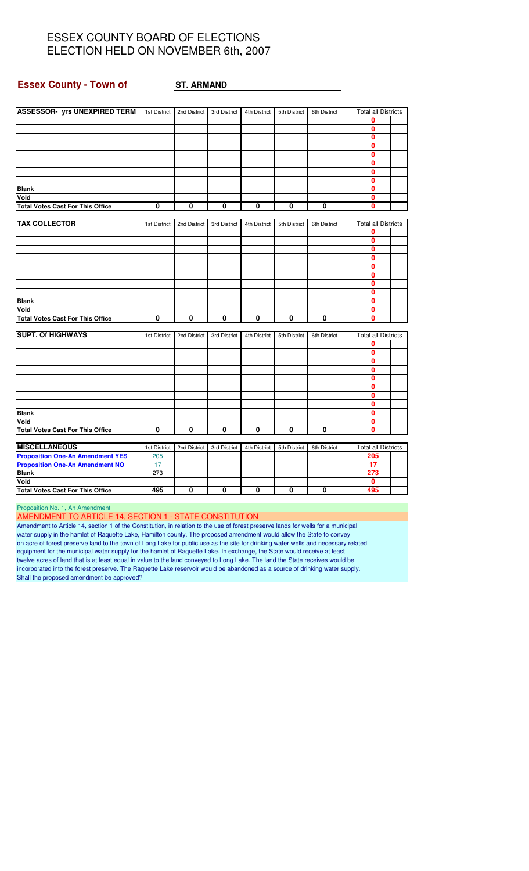#### **Essex County - Town of ST. ARMAND**

| <b>ASSESSOR- yrs UNEXPIRED TERM</b>     | 1st District            | 2nd District | 3rd District | 4th District | 5th District | 6th District            | <b>Total all Districts</b> |  |
|-----------------------------------------|-------------------------|--------------|--------------|--------------|--------------|-------------------------|----------------------------|--|
|                                         |                         |              |              |              |              |                         | 0                          |  |
|                                         |                         |              |              |              |              |                         | $\mathbf{0}$               |  |
|                                         |                         |              |              |              |              |                         | 0                          |  |
|                                         |                         |              |              |              |              |                         | $\mathbf 0$                |  |
|                                         |                         |              |              |              |              |                         | $\mathbf{0}$               |  |
|                                         |                         |              |              |              |              |                         | $\mathbf{0}$               |  |
|                                         |                         |              |              |              |              |                         | $\mathbf{0}$               |  |
|                                         |                         |              |              |              |              |                         | $\mathbf{0}$               |  |
| <b>Blank</b>                            |                         |              |              |              |              |                         | 0                          |  |
| Void                                    |                         |              |              |              |              |                         | 0                          |  |
| <b>Total Votes Cast For This Office</b> | $\overline{\mathbf{0}}$ | $\mathbf 0$  | 0            | 0            | $\mathbf 0$  | $\overline{\mathbf{0}}$ | $\mathbf{0}$               |  |
|                                         |                         |              |              |              |              |                         |                            |  |
| <b>TAX COLLECTOR</b>                    | 1st District            | 2nd District | 3rd District | 4th District | 5th District | 6th District            | <b>Total all Districts</b> |  |
|                                         |                         |              |              |              |              |                         | 0                          |  |
|                                         |                         |              |              |              |              |                         | 0                          |  |
|                                         |                         |              |              |              |              |                         | $\mathbf{0}$               |  |
|                                         |                         |              |              |              |              |                         | $\mathbf{0}$               |  |
|                                         |                         |              |              |              |              |                         | $\mathbf{0}$               |  |
|                                         |                         |              |              |              |              |                         | $\mathbf 0$                |  |
|                                         |                         |              |              |              |              |                         | 0                          |  |
|                                         |                         |              |              |              |              |                         | $\mathbf{0}$               |  |
| <b>Blank</b>                            |                         |              |              |              |              |                         | $\mathbf{0}$               |  |
| Void                                    |                         |              |              |              |              |                         | $\mathbf{0}$               |  |
| <b>Total Votes Cast For This Office</b> | 0                       | $\mathbf{0}$ | 0            | 0            | 0            | $\overline{\mathbf{0}}$ | 0                          |  |
|                                         |                         |              |              |              |              |                         |                            |  |
| <b>SUPT. Of HIGHWAYS</b>                | 1st District            | 2nd District | 3rd District | 4th District | 5th District | 6th District            | <b>Total all Districts</b> |  |
|                                         |                         |              |              |              |              |                         | 0                          |  |
|                                         |                         |              |              |              |              |                         | $\mathbf{0}$               |  |
|                                         |                         |              |              |              |              |                         | 0                          |  |
|                                         |                         |              |              |              |              |                         | 0                          |  |
|                                         |                         |              |              |              |              |                         | $\mathbf{0}$               |  |
|                                         |                         |              |              |              |              |                         | 0                          |  |
|                                         |                         |              |              |              |              |                         | $\mathbf{0}$               |  |
|                                         |                         |              |              |              |              |                         | $\overline{\mathbf{0}}$    |  |
| <b>Blank</b>                            |                         |              |              |              |              |                         | 0                          |  |
| Void                                    |                         |              |              |              |              |                         | $\mathbf{0}$               |  |
| <b>Total Votes Cast For This Office</b> | 0                       | 0            | 0            | 0            | 0            | 0                       | $\mathbf{0}$               |  |
|                                         |                         |              |              |              |              |                         |                            |  |
| <b>MISCELLANEOUS</b>                    | 1st District            | 2nd District | 3rd District | 4th District | 5th District | 6th District            | <b>Total all Districts</b> |  |
| <b>Proposition One-An Amendment YES</b> | 205                     |              |              |              |              |                         | 205                        |  |
| <b>Proposition One-An Amendment NO</b>  | 17                      |              |              |              |              |                         | 17                         |  |
| <b>Blank</b>                            | 273                     |              |              |              |              |                         | 273                        |  |
| Void                                    |                         |              |              |              |              |                         | 0                          |  |
| <b>Total Votes Cast For This Office</b> | 495                     | 0            | 0            | 0            | 0            | 0                       | 495                        |  |

Proposition No. 1, An Amendment

AMENDMENT TO ARTICLE 14, SECTION 1 - STATE CONSTITUTION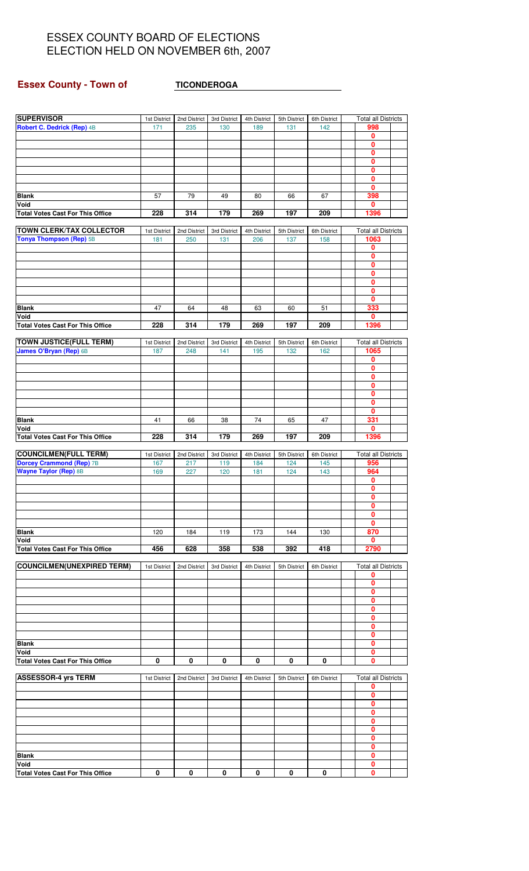# **Essex County - Town of TICONDEROGA**

| <b>SUPERVISOR</b>                               | 1st District        | 2nd District        | 3rd District | 4th District        | 5th District | 6th District        | <b>Total all Districts</b> |
|-------------------------------------------------|---------------------|---------------------|--------------|---------------------|--------------|---------------------|----------------------------|
| Robert C. Dedrick (Rep) 4B                      | 171                 | 235                 | 130          | 189                 | 131          | 142                 | 998                        |
|                                                 |                     |                     |              |                     |              |                     | 0                          |
|                                                 |                     |                     |              |                     |              |                     | 0                          |
|                                                 |                     |                     |              |                     |              |                     | $\overline{\mathbf{0}}$    |
|                                                 |                     |                     |              |                     |              |                     | $\mathbf 0$                |
|                                                 |                     |                     |              |                     |              |                     | 0<br>$\mathbf 0$           |
|                                                 |                     |                     |              |                     |              |                     | $\mathbf{0}$               |
| <b>Blank</b>                                    | 57                  | 79                  | 49           | 80                  | 66           | 67                  | 398                        |
| Void                                            |                     |                     |              |                     |              |                     | 0                          |
| <b>Total Votes Cast For This Office</b>         | 228                 | 314                 | 179          | 269                 | 197          | 209                 | 1396                       |
|                                                 |                     |                     |              |                     |              |                     |                            |
| <b>TOWN CLERK/TAX COLLECTOR</b>                 | 1st District        | 2nd District        | 3rd District | 4th District        | 5th District | 6th District        | <b>Total all Districts</b> |
| Tonya Thompson (Rep) 5B                         | 181                 | 250                 | 131          | 206                 | 137          | 158                 | 1063                       |
|                                                 |                     |                     |              |                     |              |                     | 0                          |
|                                                 |                     |                     |              |                     |              |                     | $\mathbf{0}$<br>0          |
|                                                 |                     |                     |              |                     |              |                     | $\pmb{0}$                  |
|                                                 |                     |                     |              |                     |              |                     | $\overline{\mathbf{0}}$    |
|                                                 |                     |                     |              |                     |              |                     | $\mathbf 0$                |
|                                                 |                     |                     |              |                     |              |                     | $\mathbf{0}$               |
| <b>Blank</b>                                    | 47                  | 64                  | 48           | 63                  | 60           | 51                  | 333                        |
| Void                                            |                     |                     |              |                     |              |                     | 0                          |
| <b>Total Votes Cast For This Office</b>         | 228                 | 314                 | 179          | 269                 | 197          | 209                 | 1396                       |
| <b>TOWN JUSTICE(FULL TERM)</b>                  |                     |                     | 3rd District |                     | 5th District |                     | <b>Total all Districts</b> |
| James O'Bryan (Rep) 6B                          | 1st District<br>187 | 2nd District<br>248 | 141          | 4th District<br>195 | 132          | 6th District<br>162 | 1065                       |
|                                                 |                     |                     |              |                     |              |                     | 0                          |
|                                                 |                     |                     |              |                     |              |                     | 0                          |
|                                                 |                     |                     |              |                     |              |                     | $\pmb{0}$                  |
|                                                 |                     |                     |              |                     |              |                     | $\mathbf 0$                |
|                                                 |                     |                     |              |                     |              |                     | 0                          |
|                                                 |                     |                     |              |                     |              |                     | $\mathbf{0}$               |
|                                                 |                     |                     |              |                     |              |                     | $\mathbf{0}$               |
| <b>Blank</b>                                    | 41                  | 66                  | 38           | 74                  | 65           | 47                  | 331                        |
| Void<br><b>Total Votes Cast For This Office</b> | 228                 | 314                 | 179          | 269                 | 197          | 209                 | $\mathbf{0}$<br>1396       |
|                                                 |                     |                     |              |                     |              |                     |                            |
| <b>COUNCILMEN(FULL TERM)</b>                    | 1st District        | 2nd District        | 3rd District | 4th District        | 5th District | 6th District        | <b>Total all Districts</b> |
| <b>Dorcey Crammond (Rep) 7B</b>                 | 167                 | 217                 | 119          | 184                 | 124          | 145                 | 956                        |
| <b>Wayne Taylor (Rep) 8B</b>                    | 169                 | 227                 | 120          | 181                 | 124          | 143                 | 964                        |
|                                                 |                     |                     |              |                     |              |                     | 0                          |
|                                                 |                     |                     |              |                     |              |                     | 0                          |
|                                                 |                     |                     |              |                     |              |                     | $\mathbf{0}$               |
|                                                 |                     |                     |              |                     |              |                     | 0                          |
|                                                 |                     |                     |              |                     |              |                     | 0<br>0                     |
| <b>Blank</b>                                    | 120                 | 184                 | 119          | 173                 | 144          | 130                 |                            |
| Void                                            |                     |                     |              |                     |              |                     |                            |
| <b>Total Votes Cast For This Office</b>         | 456                 |                     |              |                     |              |                     | 870                        |
|                                                 |                     | 628                 |              | 538                 | 392          | 418                 | 0<br>2790                  |
|                                                 |                     |                     | 358          |                     |              |                     |                            |
| <b>COUNCILMEN(UNEXPIRED TERM)</b>               | 1st District        | 2nd District        | 3rd District | 4th District        | 5th District | 6th District        | <b>Total all Districts</b> |
|                                                 |                     |                     |              |                     |              |                     | 0                          |
|                                                 |                     |                     |              |                     |              |                     | 0                          |
|                                                 |                     |                     |              |                     |              |                     | 0                          |
|                                                 |                     |                     |              |                     |              |                     | 0                          |
|                                                 |                     |                     |              |                     |              |                     | 0<br>0                     |
|                                                 |                     |                     |              |                     |              |                     | 0                          |
|                                                 |                     |                     |              |                     |              |                     | 0                          |
| <b>Blank</b>                                    |                     |                     |              |                     |              |                     | 0                          |
| Void                                            |                     |                     |              |                     |              |                     | 0                          |
| <b>Total Votes Cast For This Office</b>         | 0                   | 0                   | 0            | 0                   | 0            | 0                   | 0                          |
|                                                 |                     |                     |              |                     |              |                     |                            |
| <b>ASSESSOR-4 yrs TERM</b>                      | 1st District        | 2nd District        | 3rd District | 4th District        | 5th District | 6th District        | <b>Total all Districts</b> |
|                                                 |                     |                     |              |                     |              |                     | 0<br>0                     |
|                                                 |                     |                     |              |                     |              |                     | 0                          |
|                                                 |                     |                     |              |                     |              |                     | $\mathbf{0}$               |
|                                                 |                     |                     |              |                     |              |                     | 0                          |
|                                                 |                     |                     |              |                     |              |                     | 0                          |
|                                                 |                     |                     |              |                     |              |                     | $\mathbf{0}$               |
|                                                 |                     |                     |              |                     |              |                     | 0                          |
| <b>Blank</b>                                    |                     |                     |              |                     |              |                     | 0                          |
| Void<br><b>Total Votes Cast For This Office</b> | 0                   | 0                   | 0            | 0                   | 0            | 0                   | 0<br>0                     |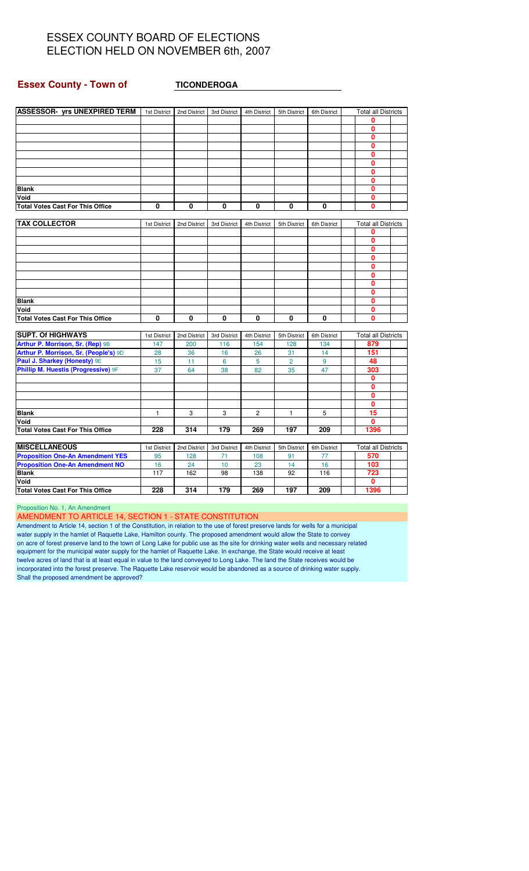#### **Essex County - Town of TICONDEROGA**

| <b>ASSESSOR- yrs UNEXPIRED TERM</b>     | 1st District | 2nd District | 3rd District | 4th District | 5th District   | 6th District | <b>Total all Districts</b> |  |
|-----------------------------------------|--------------|--------------|--------------|--------------|----------------|--------------|----------------------------|--|
|                                         |              |              |              |              |                |              | 0                          |  |
|                                         |              |              |              |              |                |              | 0                          |  |
|                                         |              |              |              |              |                |              | 0                          |  |
|                                         |              |              |              |              |                |              | 0                          |  |
|                                         |              |              |              |              |                |              | 0                          |  |
|                                         |              |              |              |              |                |              | 0                          |  |
|                                         |              |              |              |              |                |              | 0                          |  |
|                                         |              |              |              |              |                |              | $\mathbf{0}$               |  |
| <b>Blank</b>                            |              |              |              |              |                |              | 0                          |  |
| Void                                    |              |              |              |              |                |              | $\mathbf{0}$               |  |
| <b>Total Votes Cast For This Office</b> | 0            | $\bf{0}$     | 0            | 0            | 0              | 0            | 0                          |  |
|                                         |              |              |              |              |                |              |                            |  |
| <b>TAX COLLECTOR</b>                    | 1st District | 2nd District | 3rd District | 4th District | 5th District   | 6th District | <b>Total all Districts</b> |  |
|                                         |              |              |              |              |                |              | 0                          |  |
|                                         |              |              |              |              |                |              | 0                          |  |
|                                         |              |              |              |              |                |              | $\mathbf{0}$               |  |
|                                         |              |              |              |              |                |              | 0                          |  |
|                                         |              |              |              |              |                |              | 0                          |  |
|                                         |              |              |              |              |                |              | 0                          |  |
|                                         |              |              |              |              |                |              | 0                          |  |
|                                         |              |              |              |              |                |              | 0                          |  |
| <b>Blank</b>                            |              |              |              |              |                |              | O                          |  |
| Void                                    |              |              |              |              |                |              | 0                          |  |
| <b>Total Votes Cast For This Office</b> | 0            | $\mathbf{0}$ | $\mathbf{0}$ | 0            | $\bf{0}$       | 0            | 0                          |  |
| <b>SUPT. Of HIGHWAYS</b>                | 1st District | 2nd District | 3rd District | 4th District | 5th District   | 6th District | <b>Total all Districts</b> |  |
| Arthur P. Morrison, Sr. (Rep) 9B        | 147          | 200          | 116          | 154          | 128            | 134          | 879                        |  |
| Arthur P. Morrison, Sr. (People's) 9D   | 28           | 36           | 16           | 26           | 31             | 14           | 151                        |  |
| Paul J. Sharkey (Honesty) 9E            | 15           | 11           | 6            | 5            | $\overline{2}$ | 9            | 48                         |  |
| Phillip M. Huestis (Progressive) 9F     | 37           | 64           | 38           | 82           | 35             | 47           | 303                        |  |
|                                         |              |              |              |              |                |              | 0                          |  |
|                                         |              |              |              |              |                |              | 0                          |  |
|                                         |              |              |              |              |                |              | 0                          |  |
|                                         |              |              |              |              |                |              | 0                          |  |
| <b>Blank</b>                            | 1            | 3            | 3            | 2            | 1              | 5            | 15                         |  |
| Void                                    |              |              |              |              |                |              | 0                          |  |
| <b>Total Votes Cast For This Office</b> | 228          | 314          | 179          | 269          | 197            | 209          | 1396                       |  |
|                                         |              |              |              |              |                |              |                            |  |
| <b>MISCELLANEOUS</b>                    | 1st District | 2nd District | 3rd District | 4th District | 5th District   | 6th District | <b>Total all Districts</b> |  |
| <b>Proposition One-An Amendment YES</b> | 95           | 128          | 71           | 108          | 91             | 77           | 570                        |  |
| <b>Proposition One-An Amendment NO</b>  | 16           | 24           | 10           | 23           | 14             | 16           | 103                        |  |
| <b>Blank</b>                            | 117          | 162          | 98           | 138          | 92             | 116          | 723                        |  |
| Void                                    |              |              |              |              |                |              | 0                          |  |
| <b>Total Votes Cast For This Office</b> | 228          | 314          | 179          | 269          | 197            | 209          | 1396                       |  |

Proposition No. 1, An Amendment

AMENDMENT TO ARTICLE 14, SECTION 1 - STATE CONSTITUTION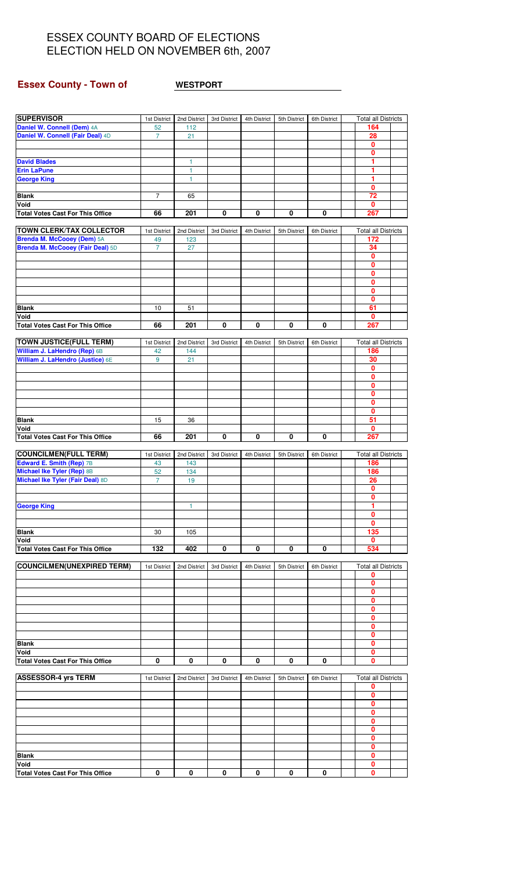## **Essex County - Town of WESTPORT**

| <b>SUPERVISOR</b>                                                     | 1st District         | 2nd District | 3rd District | 4th District | 5th District | 6th District | <b>Total all Districts</b>        |  |
|-----------------------------------------------------------------------|----------------------|--------------|--------------|--------------|--------------|--------------|-----------------------------------|--|
| Daniel W. Connell (Dem) 4A                                            | 52                   | 112          |              |              |              |              | 164                               |  |
| Daniel W. Connell (Fair Deal) 4D                                      | $\overline{7}$       | 21           |              |              |              |              | 28                                |  |
|                                                                       |                      |              |              |              |              |              | 0<br>0                            |  |
| <b>David Blades</b>                                                   |                      | 1            |              |              |              |              | 1                                 |  |
| <b>Erin LaPune</b>                                                    |                      | $\mathbf{1}$ |              |              |              |              | 1                                 |  |
| <b>George King</b>                                                    |                      | 1            |              |              |              |              | 1                                 |  |
| <b>Blank</b>                                                          | $\overline{7}$       |              |              |              |              |              | 0<br>$\overline{72}$              |  |
| Void                                                                  |                      | 65           |              |              |              |              | 0                                 |  |
| <b>Total Votes Cast For This Office</b>                               | 66                   | 201          | 0            | 0            | 0            | 0            | 267                               |  |
|                                                                       |                      |              |              |              |              |              |                                   |  |
| <b>TOWN CLERK/TAX COLLECTOR</b>                                       | 1st District         | 2nd District | 3rd District | 4th District | 5th District | 6th District | <b>Total all Districts</b><br>172 |  |
| <b>Brenda M. McCooey (Dem) 5A</b><br>Brenda M. McCooey (Fair Deal) 5D | 49<br>$\overline{7}$ | 123<br>27    |              |              |              |              | 34                                |  |
|                                                                       |                      |              |              |              |              |              | 0                                 |  |
|                                                                       |                      |              |              |              |              |              | 0                                 |  |
|                                                                       |                      |              |              |              |              |              | 0                                 |  |
|                                                                       |                      |              |              |              |              |              | 0<br>0                            |  |
|                                                                       |                      |              |              |              |              |              | 0                                 |  |
| <b>Blank</b>                                                          | 10                   | 51           |              |              |              |              | 61                                |  |
| Void                                                                  |                      |              |              |              |              |              | 0                                 |  |
| <b>Total Votes Cast For This Office</b>                               | 66                   | 201          | 0            | 0            | 0            | 0            | 267                               |  |
| <b>TOWN JUSTICE(FULL TERM)</b>                                        | 1st District         | 2nd District | 3rd District | 4th District | 5th District | 6th District | <b>Total all Districts</b>        |  |
| William J. LaHendro (Rep) 6B                                          | 42                   | 144          |              |              |              |              | 186                               |  |
| William J. LaHendro (Justice) 6E                                      | 9                    | 21           |              |              |              |              | 30                                |  |
|                                                                       |                      |              |              |              |              |              | $\overline{\mathbf{0}}$           |  |
|                                                                       |                      |              |              |              |              |              | 0<br>0                            |  |
|                                                                       |                      |              |              |              |              |              | 0                                 |  |
|                                                                       |                      |              |              |              |              |              | 0                                 |  |
|                                                                       |                      |              |              |              |              |              | $\mathbf{0}$                      |  |
| <b>Blank</b>                                                          | 15                   | 36           |              |              |              |              | 51                                |  |
| Void<br><b>Total Votes Cast For This Office</b>                       | 66                   | 201          | 0            | 0            | 0            | 0            | 0<br>267                          |  |
|                                                                       |                      |              |              |              |              |              |                                   |  |
| <b>COUNCILMEN(FULL TERM)</b>                                          | 1st District         | 2nd District | 3rd District | 4th District | 5th District | 6th District | <b>Total all Districts</b>        |  |
| Edward E. Smith (Rep) 7B                                              | 43                   | 143          |              |              |              |              | 186                               |  |
| Michael Ike Tyler (Rep) 8B<br>Michael Ike Tyler (Fair Deal) 8D        | 52<br>$\overline{7}$ | 134<br>19    |              |              |              |              | 186<br>26                         |  |
|                                                                       |                      |              |              |              |              |              | $\mathbf 0$                       |  |
|                                                                       |                      |              |              |              |              |              | 0                                 |  |
| <b>George King</b>                                                    |                      | 1            |              |              |              |              | 1                                 |  |
|                                                                       |                      |              |              |              |              |              | 0                                 |  |
| <b>Blank</b>                                                          | 30                   | 105          |              |              |              |              | 0<br>135                          |  |
| Void                                                                  |                      |              |              |              |              |              | 0                                 |  |
| <b>Total Votes Cast For This Office</b>                               | 132                  | 402          | 0            | 0            | 0            | 0            | 534                               |  |
|                                                                       |                      |              |              |              |              |              |                                   |  |
| <b>COUNCILMEN(UNEXPIRED TERM)</b>                                     | 1st District         | 2nd District | 3rd District | 4th District | 5th District | 6th District | <b>Total all Districts</b><br>0   |  |
|                                                                       |                      |              |              |              |              |              | 0                                 |  |
|                                                                       |                      |              |              |              |              |              | 0                                 |  |
|                                                                       |                      |              |              |              |              |              | 0                                 |  |
|                                                                       |                      |              |              |              |              |              | 0<br>0                            |  |
|                                                                       |                      |              |              |              |              |              | 0                                 |  |
|                                                                       |                      |              |              |              |              |              | 0                                 |  |
| <b>Blank</b>                                                          |                      |              |              |              |              |              | 0                                 |  |
| Void                                                                  | 0                    |              | 0            | 0            | 0            | 0            | 0                                 |  |
| <b>Total Votes Cast For This Office</b>                               |                      | 0            |              |              |              |              | 0                                 |  |
| <b>ASSESSOR-4 yrs TERM</b>                                            | 1st District         | 2nd District | 3rd District | 4th District | 5th District | 6th District | <b>Total all Districts</b>        |  |
|                                                                       |                      |              |              |              |              |              | 0                                 |  |
|                                                                       |                      |              |              |              |              |              | 0                                 |  |
|                                                                       |                      |              |              |              |              |              | 0<br>0                            |  |
|                                                                       |                      |              |              |              |              |              | 0                                 |  |
|                                                                       |                      |              |              |              |              |              | 0                                 |  |
|                                                                       |                      |              |              |              |              |              | 0                                 |  |
|                                                                       |                      |              |              |              |              |              | 0                                 |  |
| <b>Blank</b>                                                          |                      |              |              |              |              |              | 0                                 |  |
| Void                                                                  |                      |              |              |              |              |              | 0                                 |  |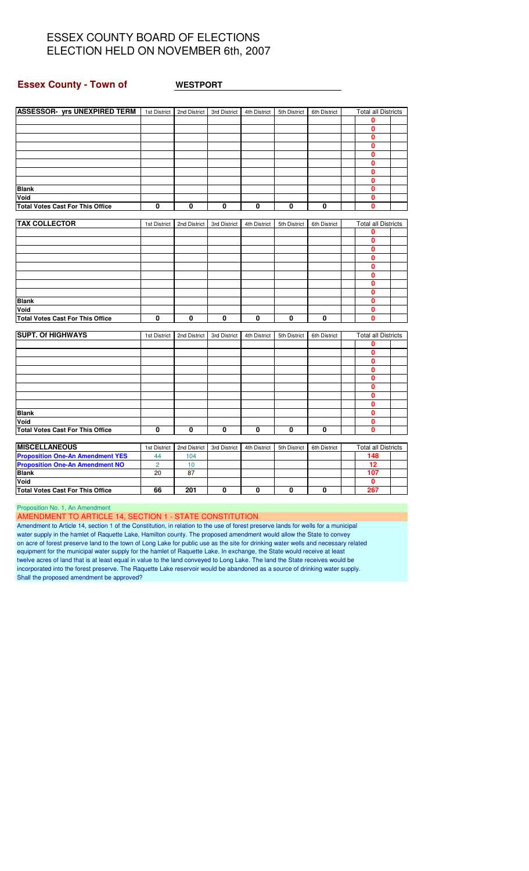#### **Essex County - Town of WESTPORT**

| ASSESSOR- yrs UNEXPIRED TERM   1st District   2nd District   3rd District |                |              |              | 4th District | 5th District | 6th District | <b>Total all Districts</b> |  |
|---------------------------------------------------------------------------|----------------|--------------|--------------|--------------|--------------|--------------|----------------------------|--|
|                                                                           |                |              |              |              |              |              | 0                          |  |
|                                                                           |                |              |              |              |              |              | 0                          |  |
|                                                                           |                |              |              |              |              |              | $\mathbf 0$                |  |
|                                                                           |                |              |              |              |              |              | 0                          |  |
|                                                                           |                |              |              |              |              |              | $\mathbf{0}$               |  |
|                                                                           |                |              |              |              |              |              | $\overline{\mathbf{0}}$    |  |
|                                                                           |                |              |              |              |              |              | 0                          |  |
|                                                                           |                |              |              |              |              |              | $\mathbf{0}$               |  |
| <b>Blank</b>                                                              |                |              |              |              |              |              | $\mathbf{0}$               |  |
| Void                                                                      |                |              |              |              |              |              | 0                          |  |
| <b>Total Votes Cast For This Office</b>                                   | $\mathbf{0}$   | 0            | $\mathbf{0}$ | 0            | $\mathbf{0}$ | 0            | 0                          |  |
|                                                                           |                |              |              |              |              |              |                            |  |
| <b>TAX COLLECTOR</b>                                                      | 1st District   | 2nd District | 3rd District | 4th District | 5th District | 6th District | <b>Total all Districts</b> |  |
|                                                                           |                |              |              |              |              |              | 0                          |  |
|                                                                           |                |              |              |              |              |              | 0                          |  |
|                                                                           |                |              |              |              |              |              | $\mathbf{0}$               |  |
|                                                                           |                |              |              |              |              |              | $\mathbf{0}$               |  |
|                                                                           |                |              |              |              |              |              | 0                          |  |
|                                                                           |                |              |              |              |              |              | 0                          |  |
|                                                                           |                |              |              |              |              |              | $\mathbf 0$                |  |
|                                                                           |                |              |              |              |              |              | 0                          |  |
| <b>Blank</b>                                                              |                |              |              |              |              |              | $\mathbf{0}$               |  |
| Void                                                                      |                |              |              |              |              |              | $\mathbf{0}$               |  |
| <b>Total Votes Cast For This Office</b>                                   | $\mathbf{0}$   | $\mathbf{0}$ | $\mathbf{0}$ | 0            | $\mathbf{0}$ | $\mathbf{0}$ | 0                          |  |
|                                                                           |                |              |              |              |              |              |                            |  |
| <b>SUPT. Of HIGHWAYS</b>                                                  | 1st District   | 2nd District | 3rd District | 4th District | 5th District | 6th District | <b>Total all Districts</b> |  |
|                                                                           |                |              |              |              |              |              | 0                          |  |
|                                                                           |                |              |              |              |              |              | $\mathbf{0}$               |  |
|                                                                           |                |              |              |              |              |              | 0                          |  |
|                                                                           |                |              |              |              |              |              | $\mathbf{0}$               |  |
|                                                                           |                |              |              |              |              |              | 0                          |  |
|                                                                           |                |              |              |              |              |              | 0                          |  |
|                                                                           |                |              |              |              |              |              | 0                          |  |
|                                                                           |                |              |              |              |              |              | 0                          |  |
| <b>Blank</b>                                                              |                |              |              |              |              |              | 0                          |  |
| Void                                                                      |                |              |              |              |              |              | $\mathbf{0}$               |  |
|                                                                           | $\mathbf 0$    | 0            | 0            | 0            | 0            | $\mathbf 0$  | 0                          |  |
| <b>Total Votes Cast For This Office</b>                                   |                |              |              |              |              |              |                            |  |
| <b>MISCELLANEOUS</b>                                                      | 1st District   | 2nd District | 3rd District | 4th District | 5th District | 6th District | <b>Total all Districts</b> |  |
| <b>Proposition One-An Amendment YES</b>                                   | 44             | 104          |              |              |              |              | 148                        |  |
| <b>Proposition One-An Amendment NO</b>                                    | $\overline{2}$ | 10           |              |              |              |              | 12                         |  |
| <b>Blank</b>                                                              |                |              |              |              |              |              | 107                        |  |
| Void                                                                      | 20             | 87           |              |              |              |              | 0                          |  |
|                                                                           |                |              |              |              |              |              | 267                        |  |
| <b>Total Votes Cast For This Office</b>                                   | 66             | 201          | $\mathbf{0}$ | 0            | 0            | $\mathbf 0$  |                            |  |

Proposition No. 1, An Amendment

AMENDMENT TO ARTICLE 14, SECTION 1 - STATE CONSTITUTION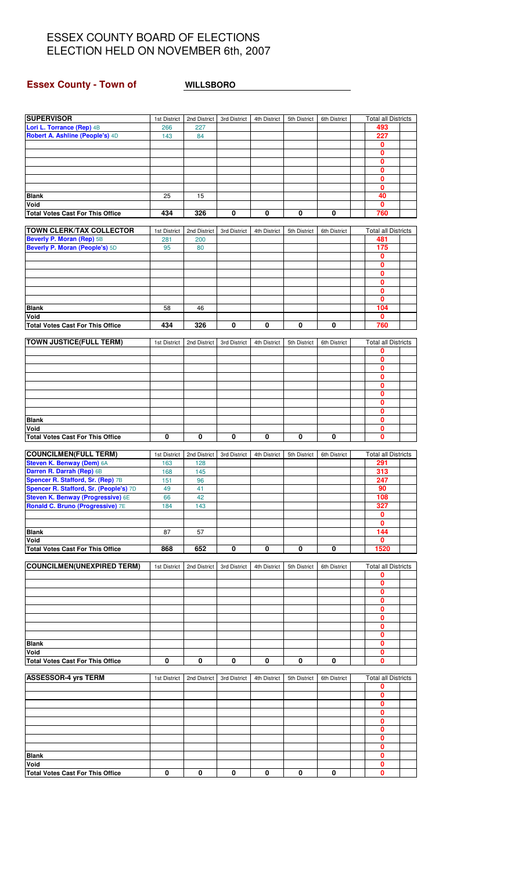## **Essex County - Town of WILLSBORO**

| <b>SUPERVISOR</b>                                                                  | 1st District        | 2nd District        | 3rd District | 4th District | 5th District | 6th District | <b>Total all Districts</b>        |  |
|------------------------------------------------------------------------------------|---------------------|---------------------|--------------|--------------|--------------|--------------|-----------------------------------|--|
| Lori L. Torrance (Rep) 4B                                                          | 266                 | 227                 |              |              |              |              | 493                               |  |
| Robert A. Ashline (People's) 4D                                                    | 143                 | 84                  |              |              |              |              | 227                               |  |
|                                                                                    |                     |                     |              |              |              |              | 0                                 |  |
|                                                                                    |                     |                     |              |              |              |              | 0<br>0                            |  |
|                                                                                    |                     |                     |              |              |              |              | 0                                 |  |
|                                                                                    |                     |                     |              |              |              |              | 0                                 |  |
|                                                                                    |                     |                     |              |              |              |              | 0                                 |  |
| <b>Blank</b>                                                                       | 25                  | 15                  |              |              |              |              | 40                                |  |
| Void                                                                               |                     |                     |              |              |              |              | 0                                 |  |
| <b>Total Votes Cast For This Office</b>                                            | 434                 | 326                 | 0            | $\pmb{0}$    | 0            | 0            | 760                               |  |
|                                                                                    |                     |                     |              |              |              |              |                                   |  |
| <b>TOWN CLERK/TAX COLLECTOR</b><br>Beverly P. Moran (Rep) 5B                       | 1st District<br>281 | 2nd District<br>200 | 3rd District | 4th District | 5th District | 6th District | <b>Total all Districts</b><br>481 |  |
| Beverly P. Moran (People's) 5D                                                     | 95                  | 80                  |              |              |              |              | 175                               |  |
|                                                                                    |                     |                     |              |              |              |              | 0                                 |  |
|                                                                                    |                     |                     |              |              |              |              | 0                                 |  |
|                                                                                    |                     |                     |              |              |              |              | 0                                 |  |
|                                                                                    |                     |                     |              |              |              |              | 0                                 |  |
|                                                                                    |                     |                     |              |              |              |              | 0                                 |  |
|                                                                                    |                     |                     |              |              |              |              | 0                                 |  |
| <b>Blank</b><br>Void                                                               | 58                  | 46                  |              |              |              |              | 104<br>0                          |  |
| <b>Total Votes Cast For This Office</b>                                            | 434                 | 326                 | 0            | 0            | 0            | 0            | 760                               |  |
|                                                                                    |                     |                     |              |              |              |              |                                   |  |
| <b>TOWN JUSTICE(FULL TERM)</b>                                                     | 1st District        | 2nd District        | 3rd District | 4th District | 5th District | 6th District | <b>Total all Districts</b>        |  |
|                                                                                    |                     |                     |              |              |              |              | 0                                 |  |
|                                                                                    |                     |                     |              |              |              |              | $\overline{\mathbf{0}}$           |  |
|                                                                                    |                     |                     |              |              |              |              | 0<br>0                            |  |
|                                                                                    |                     |                     |              |              |              |              | 0                                 |  |
|                                                                                    |                     |                     |              |              |              |              | 0                                 |  |
|                                                                                    |                     |                     |              |              |              |              | 0                                 |  |
|                                                                                    |                     |                     |              |              |              |              | 0                                 |  |
| <b>Blank</b>                                                                       |                     |                     |              |              |              |              | 0                                 |  |
| Void<br><b>Total Votes Cast For This Office</b>                                    | 0                   | 0                   | 0            | 0            | 0            | 0            | 0<br>0                            |  |
|                                                                                    |                     |                     |              |              |              |              |                                   |  |
| <b>COUNCILMEN(FULL TERM)</b>                                                       | 1st District        | 2nd District        | 3rd District | 4th District | 5th District | 6th District | <b>Total all Districts</b>        |  |
| Steven K. Benway (Dem) 6A                                                          | 163                 | 128                 |              |              |              |              | 291                               |  |
| Darren R. Darrah (Rep) 6B                                                          | 168                 | 145                 |              |              |              |              | 313                               |  |
| Spencer R. Stafford, Sr. (Rep) 7B                                                  | 151                 | 96                  |              |              |              |              | 247                               |  |
| Spencer R. Stafford, Sr. (People's) 7D<br><b>Steven K. Benway (Progressive) 6E</b> | 49                  | 41<br>42            |              |              |              |              | 90<br>108                         |  |
| Ronald C. Bruno (Progressive) 7E                                                   | 66<br>184           | 143                 |              |              |              |              | 327                               |  |
|                                                                                    |                     |                     |              |              |              |              | 0                                 |  |
|                                                                                    |                     |                     |              |              |              |              | 0                                 |  |
| <b>Blank</b>                                                                       | 87                  | 57                  |              |              |              |              | 144                               |  |
| Void                                                                               |                     |                     |              |              |              |              | 0                                 |  |
| <b>Total Votes Cast For This Office</b>                                            | 868                 | 652                 | $\pmb{0}$    | 0            | 0            | 0            | 1520                              |  |
| <b>COUNCILMEN(UNEXPIRED TERM)</b>                                                  | 1st District        | 2nd District        | 3rd District | 4th District | 5th District | 6th District | <b>Total all Districts</b>        |  |
|                                                                                    |                     |                     |              |              |              |              | 0                                 |  |
|                                                                                    |                     |                     |              |              |              |              | 0                                 |  |
|                                                                                    |                     |                     |              |              |              |              | 0                                 |  |
|                                                                                    |                     |                     |              |              |              |              | 0<br>0                            |  |
|                                                                                    |                     |                     |              |              |              |              | 0                                 |  |
|                                                                                    |                     |                     |              |              |              |              | 0                                 |  |
|                                                                                    |                     |                     |              |              |              |              | 0                                 |  |
| <b>Blank</b>                                                                       |                     |                     |              |              |              |              | 0                                 |  |
| Void                                                                               |                     |                     |              |              |              |              | 0                                 |  |
| <b>Total Votes Cast For This Office</b>                                            | 0                   | 0                   | 0            | 0            | 0            | 0            | 0                                 |  |
| <b>ASSESSOR-4 yrs TERM</b>                                                         | 1st District        | 2nd District        | 3rd District | 4th District | 5th District | 6th District | <b>Total all Districts</b>        |  |
|                                                                                    |                     |                     |              |              |              |              | 0                                 |  |
|                                                                                    |                     |                     |              |              |              |              | 0                                 |  |
|                                                                                    |                     |                     |              |              |              |              | 0                                 |  |
|                                                                                    |                     |                     |              |              |              |              | 0<br>0                            |  |
|                                                                                    |                     |                     |              |              |              |              | 0                                 |  |
|                                                                                    |                     |                     |              |              |              |              | 0                                 |  |
|                                                                                    |                     |                     |              |              |              |              | 0                                 |  |
| <b>Blank</b>                                                                       |                     |                     |              |              |              |              | 0                                 |  |
| Void<br><b>Total Votes Cast For This Office</b>                                    | 0                   | 0                   | 0            | 0            | 0            | 0            | 0<br>0                            |  |
|                                                                                    |                     |                     |              |              |              |              |                                   |  |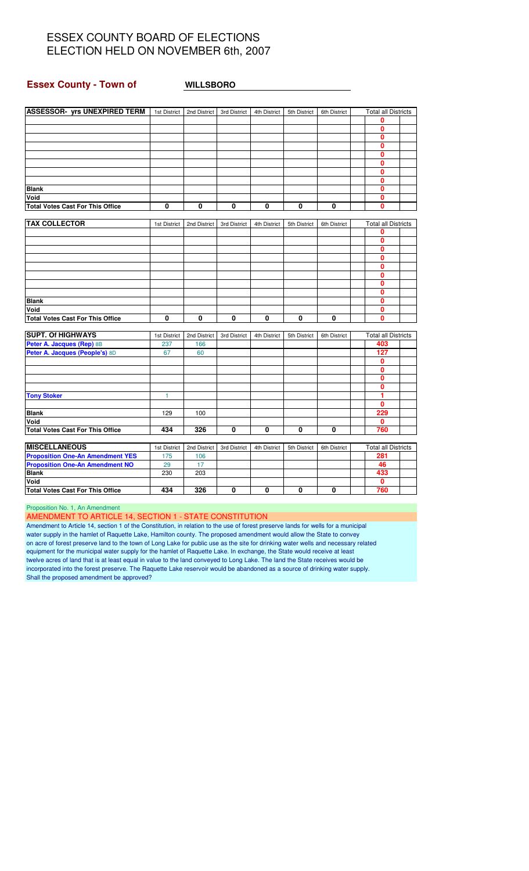#### **Essex County - Town of WILLSBORO**

| <b>ASSESSOR- yrs UNEXPIRED TERM</b>     | 1st District | 2nd District | 3rd District | 4th District | 5th District | 6th District | <b>Total all Districts</b> |  |
|-----------------------------------------|--------------|--------------|--------------|--------------|--------------|--------------|----------------------------|--|
|                                         |              |              |              |              |              |              | 0                          |  |
|                                         |              |              |              |              |              |              | 0                          |  |
|                                         |              |              |              |              |              |              | 0                          |  |
|                                         |              |              |              |              |              |              | 0                          |  |
|                                         |              |              |              |              |              |              | 0                          |  |
|                                         |              |              |              |              |              |              | 0                          |  |
|                                         |              |              |              |              |              |              | 0                          |  |
|                                         |              |              |              |              |              |              | 0                          |  |
| <b>Blank</b>                            |              |              |              |              |              |              | 0                          |  |
| Void                                    |              |              |              |              |              |              | 0                          |  |
| <b>Total Votes Cast For This Office</b> | 0            | 0            | 0            | 0            | 0            | 0            | 0                          |  |
|                                         |              |              |              |              |              |              |                            |  |
| <b>TAX COLLECTOR</b>                    | 1st District | 2nd District | 3rd District | 4th District | 5th District | 6th District | <b>Total all Districts</b> |  |
|                                         |              |              |              |              |              |              | 0                          |  |
|                                         |              |              |              |              |              |              | 0                          |  |
|                                         |              |              |              |              |              |              | 0                          |  |
|                                         |              |              |              |              |              |              | $\mathbf{0}$               |  |
|                                         |              |              |              |              |              |              | 0                          |  |
|                                         |              |              |              |              |              |              | 0                          |  |
|                                         |              |              |              |              |              |              | 0                          |  |
|                                         |              |              |              |              |              |              | 0                          |  |
| <b>Blank</b>                            |              |              |              |              |              |              | 0                          |  |
| Void                                    |              |              |              |              |              |              | 0                          |  |
| <b>Total Votes Cast For This Office</b> | 0            | 0            | 0            | 0            | 0            | 0            | 0                          |  |
|                                         |              |              |              |              |              |              |                            |  |
| <b>SUPT. Of HIGHWAYS</b>                | 1st District | 2nd District | 3rd District | 4th District | 5th District | 6th District | <b>Total all Districts</b> |  |
| Peter A. Jacques (Rep) 8B               | 237          | 166          |              |              |              |              | 403                        |  |
| Peter A. Jacques (People's) 8D          | 67           | 60           |              |              |              |              | 127                        |  |
|                                         |              |              |              |              |              |              | 0                          |  |
|                                         |              |              |              |              |              |              | O                          |  |
|                                         |              |              |              |              |              |              | 0                          |  |
|                                         |              |              |              |              |              |              | 0                          |  |
| <b>Tony Stoker</b>                      | 1            |              |              |              |              |              | 1<br>0                     |  |
|                                         | 129          |              |              |              |              |              | 229                        |  |
| <b>Blank</b><br>Void                    |              | 100          |              |              |              |              | 0                          |  |
| <b>Total Votes Cast For This Office</b> | 434          | 326          | 0            | 0            | 0            | 0            | 760                        |  |
|                                         |              |              |              |              |              |              |                            |  |
| <b>MISCELLANEOUS</b>                    | 1st District | 2nd District | 3rd District | 4th District | 5th District | 6th District | <b>Total all Districts</b> |  |
| <b>Proposition One-An Amendment YES</b> | 175          | 106          |              |              |              |              | 281                        |  |
| <b>Proposition One-An Amendment NO</b>  | 29           | 17           |              |              |              |              | 46                         |  |
| <b>Blank</b>                            | 230          | 203          |              |              |              |              | 433                        |  |
| Void                                    |              |              |              |              |              |              | 0                          |  |
| <b>Total Votes Cast For This Office</b> | 434          | 326          | 0            | 0            | 0            | 0            | 760                        |  |
|                                         |              |              |              |              |              |              |                            |  |

Proposition No. 1, An Amendment

AMENDMENT TO ARTICLE 14, SECTION 1 - STATE CONSTITUTION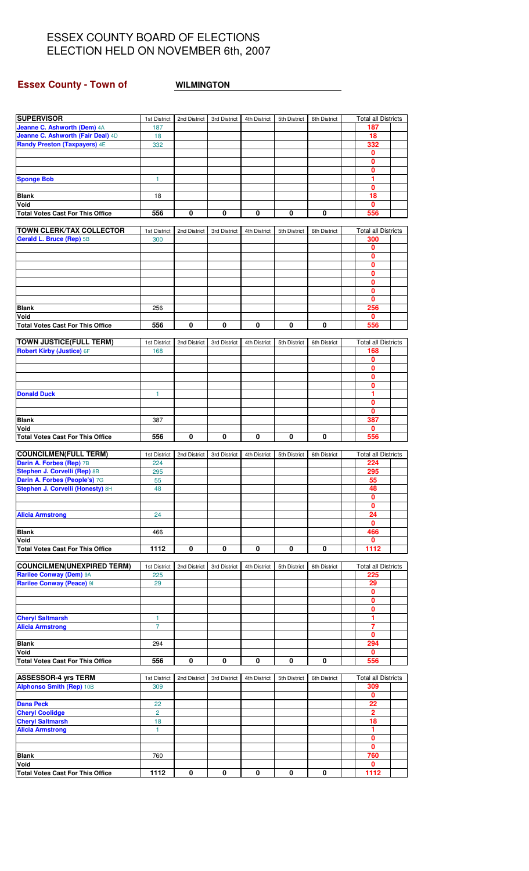## **Essex County - Town of <b>WILMINGTON**

| <b>SUPERVISOR</b>                                                | 1st District         | 2nd District | 3rd District | 4th District | 5th District | 6th District            | <b>Total all Districts</b>        |  |
|------------------------------------------------------------------|----------------------|--------------|--------------|--------------|--------------|-------------------------|-----------------------------------|--|
| Jeanne C. Ashworth (Dem) 4A<br>Jeanne C. Ashworth (Fair Deal) 4D | 187<br>18            |              |              |              |              |                         | 187<br>18                         |  |
| Randy Preston (Taxpayers) 4E                                     | 332                  |              |              |              |              |                         | 332                               |  |
|                                                                  |                      |              |              |              |              |                         | 0                                 |  |
|                                                                  |                      |              |              |              |              |                         | $\mathbf{0}$                      |  |
|                                                                  |                      |              |              |              |              |                         | 0                                 |  |
| <b>Sponge Bob</b>                                                | 1                    |              |              |              |              |                         | 1                                 |  |
| <b>Blank</b>                                                     | 18                   |              |              |              |              |                         | $\mathbf{0}$<br>18                |  |
| Void                                                             |                      |              |              |              |              |                         | $\bf{0}$                          |  |
| <b>Total Votes Cast For This Office</b>                          | 556                  | 0            | 0            | $\pmb{0}$    | 0            | 0                       | 556                               |  |
|                                                                  |                      |              |              |              |              |                         |                                   |  |
| <b>TOWN CLERK/TAX COLLECTOR</b><br>Gerald L. Bruce (Rep) 5B      | 1st District<br>300  | 2nd District | 3rd District | 4th District | 5th District | 6th District            | <b>Total all Districts</b><br>300 |  |
|                                                                  |                      |              |              |              |              |                         | 0                                 |  |
|                                                                  |                      |              |              |              |              |                         | $\mathbf{0}$                      |  |
|                                                                  |                      |              |              |              |              |                         | 0                                 |  |
|                                                                  |                      |              |              |              |              |                         | 0                                 |  |
|                                                                  |                      |              |              |              |              |                         | $\mathbf{0}$<br>0                 |  |
|                                                                  |                      |              |              |              |              |                         | 0                                 |  |
| <b>Blank</b>                                                     | 256                  |              |              |              |              |                         | 256                               |  |
| Void                                                             |                      |              |              |              |              |                         | 0                                 |  |
| <b>Total Votes Cast For This Office</b>                          | 556                  | 0            | 0            | 0            | 0            | 0                       | 556                               |  |
| <b>TOWN JUSTICE(FULL TERM)</b>                                   | 1st District         | 2nd District | 3rd District | 4th District | 5th District | 6th District            | <b>Total all Districts</b>        |  |
| Robert Kirby (Justice) 6F                                        | 168                  |              |              |              |              |                         | 168                               |  |
|                                                                  |                      |              |              |              |              |                         | 0                                 |  |
|                                                                  |                      |              |              |              |              |                         | 0                                 |  |
|                                                                  |                      |              |              |              |              |                         | $\mathbf{0}$<br>0                 |  |
| <b>Donald Duck</b>                                               | 1                    |              |              |              |              |                         | 1                                 |  |
|                                                                  |                      |              |              |              |              |                         | 0                                 |  |
|                                                                  |                      |              |              |              |              |                         | $\mathbf{0}$                      |  |
| <b>Blank</b>                                                     | 387                  |              |              |              |              |                         | 387                               |  |
| Void<br><b>Total Votes Cast For This Office</b>                  | 556                  | 0            | 0            | 0            | 0            | $\overline{\mathbf{0}}$ | 0<br>556                          |  |
|                                                                  |                      |              |              |              |              |                         |                                   |  |
| <b>COUNCILMEN(FULL TERM)</b>                                     | 1st District         | 2nd District | 3rd District | 4th District | 5th District | 6th District            | <b>Total all Districts</b>        |  |
| Darin A. Forbes (Rep) 7B                                         | 224                  |              |              |              |              |                         | 224                               |  |
| Stephen J. Corvelli (Rep) 8B<br>Darin A. Forbes (People's) 7G    | 295<br>55            |              |              |              |              |                         | 295<br>55                         |  |
| Stephen J. Corvelli (Honesty) 8H                                 | 48                   |              |              |              |              |                         | 48                                |  |
|                                                                  |                      |              |              |              |              |                         | 0                                 |  |
|                                                                  |                      |              |              |              |              |                         | 0                                 |  |
| <b>Alicia Armstrong</b>                                          | 24                   |              |              |              |              |                         | 24                                |  |
| Blank                                                            | 466                  |              |              |              |              |                         | 0<br>466                          |  |
| Void                                                             |                      |              |              |              |              |                         | 0                                 |  |
| <b>Total Votes Cast For This Office</b>                          | 1112                 | 0            | 0            | 0            | 0            | 0                       | 1112                              |  |
|                                                                  |                      |              |              |              |              |                         |                                   |  |
| <b>COUNCILMEN(UNEXPIRED TERM)</b><br>Rarilee Conway (Dem) 9A     | 1st District<br>225  | 2nd District | 3rd District | 4th District | 5th District | 6th District            | <b>Total all Districts</b><br>225 |  |
| Rarilee Conway (Peace) 91                                        | 29                   |              |              |              |              |                         | 29                                |  |
|                                                                  |                      |              |              |              |              |                         | 0                                 |  |
|                                                                  |                      |              |              |              |              |                         | 0                                 |  |
|                                                                  |                      |              |              |              |              |                         | 0<br>1                            |  |
| <b>Cheryl Saltmarsh</b><br><b>Alicia Armstrong</b>               | 1<br>7               |              |              |              |              |                         | 7                                 |  |
|                                                                  |                      |              |              |              |              |                         | $\bf{0}$                          |  |
| Blank                                                            | 294                  |              |              |              |              |                         | 294                               |  |
| Void                                                             |                      |              |              |              |              |                         | 0                                 |  |
| <b>Total Votes Cast For This Office</b>                          | 556                  | 0            | 0            | 0            | 0            | 0                       | 556                               |  |
| <b>ASSESSOR-4 yrs TERM</b>                                       | 1st District         | 2nd District | 3rd District | 4th District | 5th District | 6th District            | <b>Total all Districts</b>        |  |
| Alphonso Smith (Rep) 10B                                         | 309                  |              |              |              |              |                         | 309                               |  |
|                                                                  |                      |              |              |              |              |                         | 0                                 |  |
| <b>Dana Peck</b>                                                 | 22<br>$\overline{2}$ |              |              |              |              |                         | 22<br>$\mathbf{2}$                |  |
| <b>Cheryl Coolidge</b><br><b>Cheryl Saltmarsh</b>                | 18                   |              |              |              |              |                         | 18                                |  |
| <b>Alicia Armstrong</b>                                          | 1                    |              |              |              |              |                         | 1                                 |  |
|                                                                  |                      |              |              |              |              |                         | 0                                 |  |
|                                                                  |                      |              |              |              |              |                         | 0                                 |  |
| <b>Blank</b><br>Void                                             | 760                  |              |              |              |              |                         | 760<br>0                          |  |
| <b>Total Votes Cast For This Office</b>                          | 1112                 | 0            | 0            | 0            | 0            | 0                       | 1112                              |  |